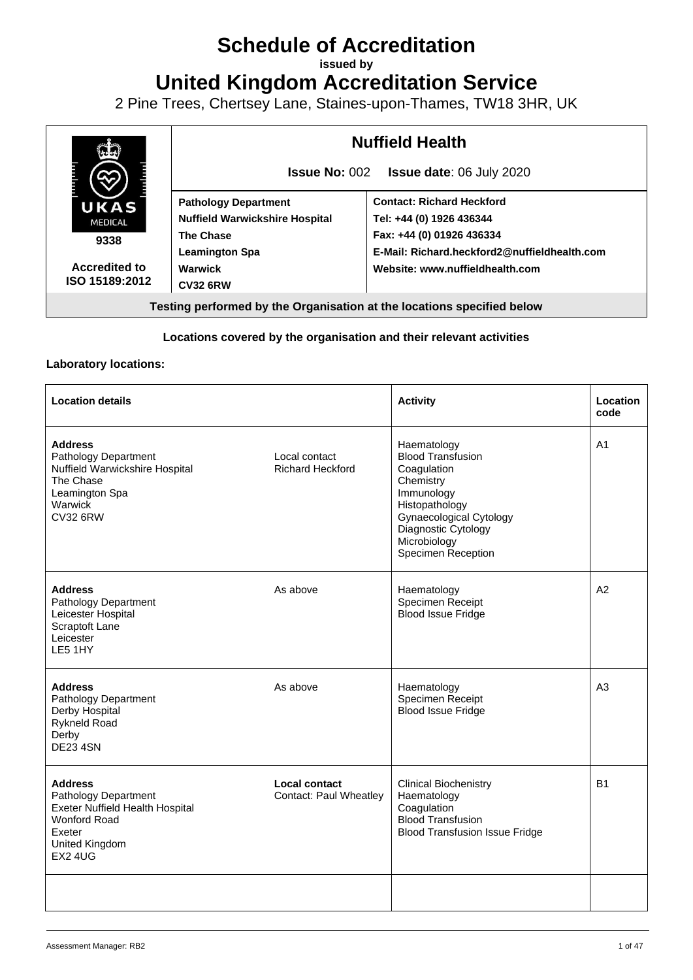# **Schedule of Accreditation**

**issued by**

**United Kingdom Accreditation Service**

2 Pine Trees, Chertsey Lane, Staines-upon-Thames, TW18 3HR, UK



#### **Locations covered by the organisation and their relevant activities**

#### **Laboratory locations:**

| <b>Location details</b>                                                                                                                        |                                                       | <b>Activity</b>                                                                                                                                                                                    | <b>Location</b><br>code |
|------------------------------------------------------------------------------------------------------------------------------------------------|-------------------------------------------------------|----------------------------------------------------------------------------------------------------------------------------------------------------------------------------------------------------|-------------------------|
| <b>Address</b><br>Pathology Department<br>Nuffield Warwickshire Hospital<br>The Chase<br>Leamington Spa<br>Warwick<br><b>CV32 6RW</b>          | Local contact<br><b>Richard Heckford</b>              | Haematology<br><b>Blood Transfusion</b><br>Coagulation<br>Chemistry<br>Immunology<br>Histopathology<br><b>Gynaecological Cytology</b><br>Diagnostic Cytology<br>Microbiology<br>Specimen Reception | A <sub>1</sub>          |
| <b>Address</b><br>Pathology Department<br>Leicester Hospital<br>Scraptoft Lane<br>Leicester<br>LE5 1HY                                         | As above                                              | Haematology<br>Specimen Receipt<br><b>Blood Issue Fridge</b>                                                                                                                                       | A2                      |
| <b>Address</b><br>Pathology Department<br>Derby Hospital<br><b>Rykneld Road</b><br>Derby<br><b>DE23 4SN</b>                                    | As above                                              | Haematology<br>Specimen Receipt<br><b>Blood Issue Fridge</b>                                                                                                                                       | A3                      |
| <b>Address</b><br>Pathology Department<br>Exeter Nuffield Health Hospital<br><b>Wonford Road</b><br>Exeter<br>United Kingdom<br><b>EX2 4UG</b> | <b>Local contact</b><br><b>Contact: Paul Wheatley</b> | <b>Clinical Biochenistry</b><br>Haematology<br>Coagulation<br><b>Blood Transfusion</b><br><b>Blood Transfusion Issue Fridge</b>                                                                    | <b>B1</b>               |
|                                                                                                                                                |                                                       |                                                                                                                                                                                                    |                         |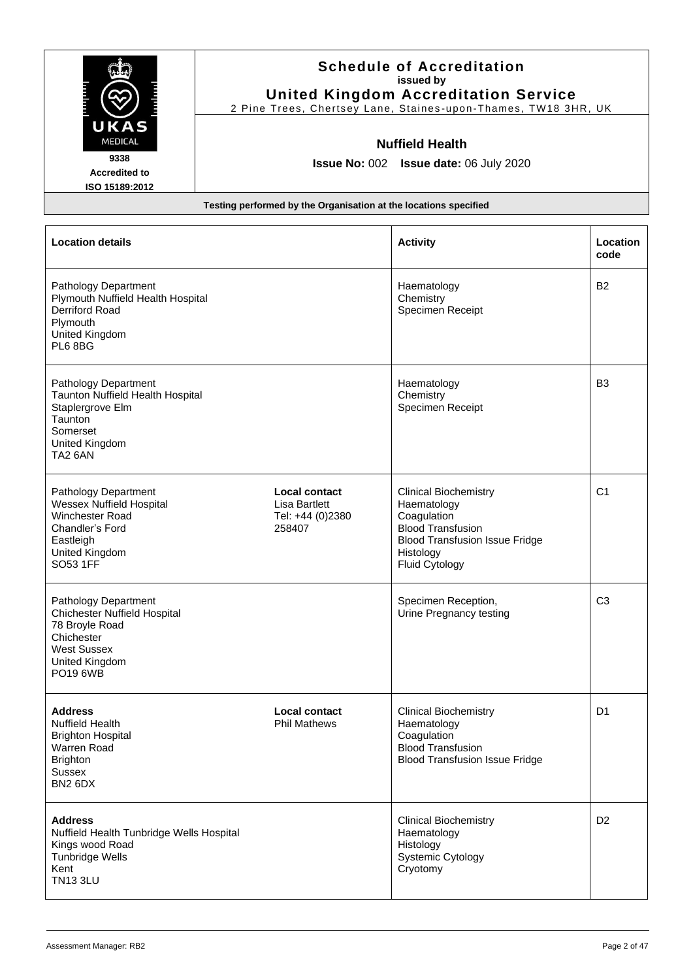|                                                                                                                                                 |                                                                            | <b>Schedule of Accreditation</b><br>issued by<br><b>United Kingdom Accreditation Service</b><br>2 Pine Trees, Chertsey Lane, Staines-upon-Thames, TW18 3HR, UK |                  |
|-------------------------------------------------------------------------------------------------------------------------------------------------|----------------------------------------------------------------------------|----------------------------------------------------------------------------------------------------------------------------------------------------------------|------------------|
| UKAS<br><b>MEDICAL</b><br>9338<br><b>Accredited to</b><br>ISO 15189:2012                                                                        | Testing performed by the Organisation at the locations specified           | <b>Nuffield Health</b><br>Issue No: 002 Issue date: 06 July 2020                                                                                               |                  |
| <b>Location details</b>                                                                                                                         |                                                                            | <b>Activity</b>                                                                                                                                                | Location<br>code |
| Pathology Department<br>Plymouth Nuffield Health Hospital<br>Derriford Road<br>Plymouth<br>United Kingdom<br>PL6 8BG                            |                                                                            | Haematology<br>Chemistry<br>Specimen Receipt                                                                                                                   | <b>B2</b>        |
| Pathology Department<br>Taunton Nuffield Health Hospital<br>Staplergrove Elm<br>Taunton<br>Somerset<br>United Kingdom<br>TA <sub>2</sub> 6AN    |                                                                            | Haematology<br>Chemistry<br>Specimen Receipt                                                                                                                   | B <sub>3</sub>   |
| Pathology Department<br><b>Wessex Nuffield Hospital</b><br><b>Winchester Road</b><br>Chandler's Ford<br>Eastleigh<br>United Kingdom<br>SO53 1FF | <b>Local contact</b><br><b>Lisa Bartlett</b><br>Tel: +44 (0)2380<br>258407 | <b>Clinical Biochemistry</b><br>Haematology<br>Coagulation<br><b>Blood Transfusion</b><br><b>Blood Transfusion Issue Fridge</b><br>Histology<br>Fluid Cytology | C <sub>1</sub>   |
| Pathology Department<br><b>Chichester Nuffield Hospital</b><br>78 Broyle Road<br>Chichester<br><b>West Sussex</b><br>United Kingdom<br>PO19 6WB |                                                                            | Specimen Reception,<br>Urine Pregnancy testing                                                                                                                 | C <sub>3</sub>   |
| <b>Address</b><br><b>Nuffield Health</b><br><b>Brighton Hospital</b><br>Warren Road<br><b>Brighton</b><br><b>Sussex</b><br>BN2 6DX              | <b>Local contact</b><br><b>Phil Mathews</b>                                | <b>Clinical Biochemistry</b><br>Haematology<br>Coagulation<br><b>Blood Transfusion</b><br><b>Blood Transfusion Issue Fridge</b>                                | D <sub>1</sub>   |
| <b>Address</b><br>Nuffield Health Tunbridge Wells Hospital<br>Kings wood Road<br><b>Tunbridge Wells</b><br>Kent<br><b>TN13 3LU</b>              |                                                                            | <b>Clinical Biochemistry</b><br>Haematology<br>Histology<br>Systemic Cytology<br>Cryotomy                                                                      | D <sub>2</sub>   |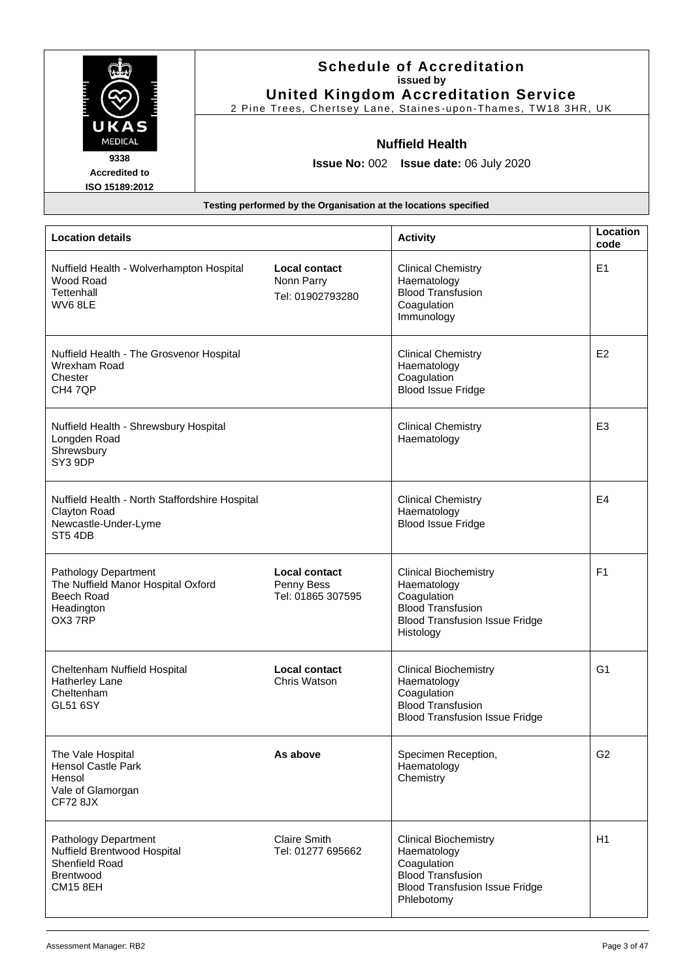| UKAS                                                                                                  |                                                                  | <b>Schedule of Accreditation</b><br>issued by<br><b>United Kingdom Accreditation Service</b><br>2 Pine Trees, Chertsey Lane, Staines-upon-Thames, TW18 3HR, UK |                  |
|-------------------------------------------------------------------------------------------------------|------------------------------------------------------------------|----------------------------------------------------------------------------------------------------------------------------------------------------------------|------------------|
| <b>MEDICAL</b>                                                                                        |                                                                  | <b>Nuffield Health</b>                                                                                                                                         |                  |
| 9338<br><b>Accredited to</b>                                                                          |                                                                  | <b>Issue No: 002 Issue date: 06 July 2020</b>                                                                                                                  |                  |
| ISO 15189:2012                                                                                        |                                                                  |                                                                                                                                                                |                  |
|                                                                                                       | Testing performed by the Organisation at the locations specified |                                                                                                                                                                |                  |
|                                                                                                       |                                                                  |                                                                                                                                                                |                  |
| <b>Location details</b>                                                                               |                                                                  | <b>Activity</b>                                                                                                                                                | Location<br>code |
| Nuffield Health - Wolverhampton Hospital<br>Wood Road<br>Tettenhall<br>WV68LE                         | <b>Local contact</b><br>Nonn Parry<br>Tel: 01902793280           | <b>Clinical Chemistry</b><br>Haematology<br><b>Blood Transfusion</b><br>Coagulation<br>Immunology                                                              | E <sub>1</sub>   |
| Nuffield Health - The Grosvenor Hospital<br>Wrexham Road<br>Chester<br>CH4 7QP                        |                                                                  | <b>Clinical Chemistry</b><br>Haematology<br>Coagulation<br><b>Blood Issue Fridge</b>                                                                           | E2               |
| Nuffield Health - Shrewsbury Hospital<br>Longden Road<br>Shrewsbury<br>SY3 9DP                        |                                                                  | <b>Clinical Chemistry</b><br>Haematology                                                                                                                       | E <sub>3</sub>   |
| Nuffield Health - North Staffordshire Hospital<br>Clayton Road<br>Newcastle-Under-Lyme<br>ST54DB      |                                                                  | <b>Clinical Chemistry</b><br>Haematology<br><b>Blood Issue Fridge</b>                                                                                          | E4               |
| Pathology Department<br>The Nuffield Manor Hospital Oxford<br>Beech Road<br>Headington<br>OX37RP      | <b>Local contact</b><br>Penny Bess<br>Tel: 01865 307595          | <b>Clinical Biochemistry</b><br>Haematology<br>Coagulation<br><b>Blood Transfusion</b><br><b>Blood Transfusion Issue Fridge</b><br>Histology                   | F <sub>1</sub>   |
| Cheltenham Nuffield Hospital<br>Hatherley Lane<br>Cheltenham<br><b>GL51 6SY</b>                       | <b>Local contact</b><br>Chris Watson                             | <b>Clinical Biochemistry</b><br>Haematology<br>Coagulation<br><b>Blood Transfusion</b><br><b>Blood Transfusion Issue Fridge</b>                                | G <sub>1</sub>   |
| The Vale Hospital<br><b>Hensol Castle Park</b><br>Hensol<br>Vale of Glamorgan<br><b>CF72 8JX</b>      | As above                                                         | Specimen Reception,<br>Haematology<br>Chemistry                                                                                                                | G <sub>2</sub>   |
| Pathology Department<br>Nuffield Brentwood Hospital<br>Shenfield Road<br>Brentwood<br><b>CM15 8EH</b> | <b>Claire Smith</b><br>Tel: 01277 695662                         | <b>Clinical Biochemistry</b><br>Haematology<br>Coagulation<br><b>Blood Transfusion</b><br><b>Blood Transfusion Issue Fridge</b><br>Phlebotomy                  | H1               |

ī

 $\mathbb{R}^n$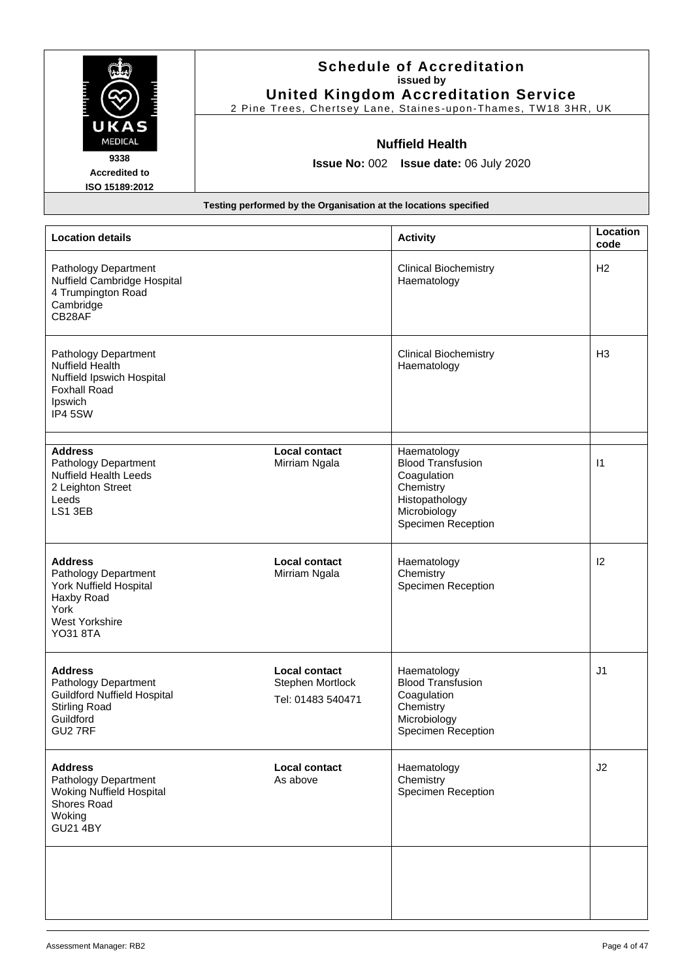|                                                                                                                              |                                                                  | <b>Schedule of Accreditation</b><br>issued by<br><b>United Kingdom Accreditation Service</b><br>2 Pine Trees, Chertsey Lane, Staines-upon-Thames, TW18 3HR, UK |                  |
|------------------------------------------------------------------------------------------------------------------------------|------------------------------------------------------------------|----------------------------------------------------------------------------------------------------------------------------------------------------------------|------------------|
| UKAS<br><b>MEDICAL</b><br>9338<br><b>Accredited to</b><br>ISO 15189:2012                                                     |                                                                  | <b>Nuffield Health</b><br>Issue No: 002 Issue date: 06 July 2020                                                                                               |                  |
|                                                                                                                              | Testing performed by the Organisation at the locations specified |                                                                                                                                                                |                  |
| <b>Location details</b>                                                                                                      |                                                                  | <b>Activity</b>                                                                                                                                                | Location<br>code |
| Pathology Department<br>Nuffield Cambridge Hospital<br>4 Trumpington Road<br>Cambridge<br>CB28AF                             |                                                                  | <b>Clinical Biochemistry</b><br>Haematology                                                                                                                    | H2               |
| Pathology Department<br><b>Nuffield Health</b><br>Nuffield Ipswich Hospital<br><b>Foxhall Road</b><br>Ipswich<br>IP4 5SW     |                                                                  | <b>Clinical Biochemistry</b><br>Haematology                                                                                                                    | H <sub>3</sub>   |
| <b>Address</b><br>Pathology Department<br><b>Nuffield Health Leeds</b><br>2 Leighton Street<br>Leeds<br>LS1 3EB              | <b>Local contact</b><br>Mirriam Ngala                            | Haematology<br><b>Blood Transfusion</b><br>Coagulation<br>Chemistry<br>Histopathology<br>Microbiology<br>Specimen Reception                                    | $\vert$ 1        |
| <b>Address</b><br>Pathology Department<br>York Nuffield Hospital<br>Haxby Road<br>York<br>West Yorkshire<br><b>YO31 8TA</b>  | <b>Local contact</b><br>Mirriam Ngala                            | Haematology<br>Chemistry<br>Specimen Reception                                                                                                                 | $\mathsf{I2}$    |
| <b>Address</b><br>Pathology Department<br><b>Guildford Nuffield Hospital</b><br><b>Stirling Road</b><br>Guildford<br>GU2 7RF | <b>Local contact</b><br>Stephen Mortlock<br>Tel: 01483 540471    | Haematology<br><b>Blood Transfusion</b><br>Coagulation<br>Chemistry<br>Microbiology<br>Specimen Reception                                                      | J1               |
| <b>Address</b><br>Pathology Department<br><b>Woking Nuffield Hospital</b><br>Shores Road<br>Woking<br><b>GU21 4BY</b>        | <b>Local contact</b><br>As above                                 | Haematology<br>Chemistry<br>Specimen Reception                                                                                                                 | J2               |
|                                                                                                                              |                                                                  |                                                                                                                                                                |                  |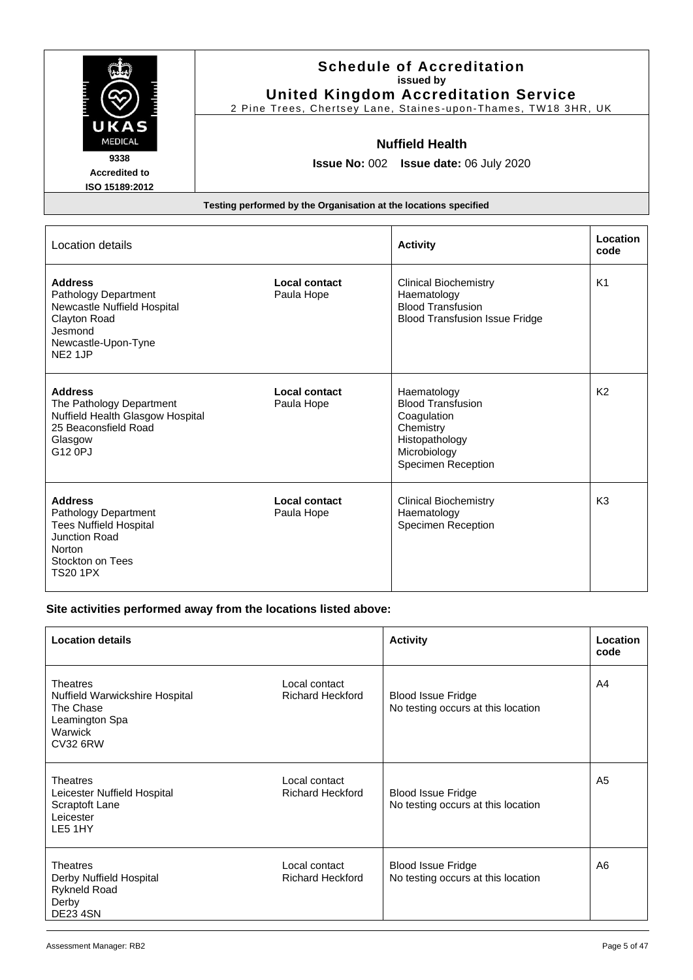| UKAS                                                                                                                                                    |                                                                  | <b>Schedule of Accreditation</b><br>issued by<br><b>United Kingdom Accreditation Service</b><br>2 Pine Trees, Chertsey Lane, Staines-upon-Thames, TW18 3HR, UK |                  |
|---------------------------------------------------------------------------------------------------------------------------------------------------------|------------------------------------------------------------------|----------------------------------------------------------------------------------------------------------------------------------------------------------------|------------------|
| <b>MEDICAL</b><br>9338<br><b>Accredited to</b><br>ISO 15189:2012                                                                                        | <b>Nuffield Health</b><br>Issue No: 002 Issue date: 06 July 2020 |                                                                                                                                                                |                  |
|                                                                                                                                                         | Testing performed by the Organisation at the locations specified |                                                                                                                                                                |                  |
| Location details                                                                                                                                        |                                                                  | <b>Activity</b>                                                                                                                                                | Location<br>code |
| <b>Address</b><br><b>Pathology Department</b><br>Newcastle Nuffield Hospital<br>Clayton Road<br>Jesmond<br>Newcastle-Upon-Tyne<br>NE <sub>2</sub> 1JP   | Local contact<br>Paula Hope                                      | <b>Clinical Biochemistry</b><br>Haematology<br><b>Blood Transfusion</b><br><b>Blood Transfusion Issue Fridge</b>                                               | K <sub>1</sub>   |
| <b>Address</b><br>The Pathology Department<br>Nuffield Health Glasgow Hospital<br>25 Beaconsfield Road<br>Glasgow<br>G12 0PJ                            | <b>Local contact</b><br>Paula Hope                               | Haematology<br><b>Blood Transfusion</b><br>Coagulation<br>Chemistry<br>Histopathology<br>Microbiology<br><b>Specimen Reception</b>                             | K <sub>2</sub>   |
| <b>Address</b><br><b>Pathology Department</b><br><b>Tees Nuffield Hospital</b><br>Junction Road<br><b>Norton</b><br>Stockton on Tees<br><b>TS20 1PX</b> | Local contact<br>Paula Hope                                      | <b>Clinical Biochemistry</b><br>Haematology<br><b>Specimen Reception</b>                                                                                       | K <sub>3</sub>   |

## **Site activities performed away from the locations listed above:**

| <b>Location details</b>                                                                                        |                                          | <b>Activity</b>                                                 | Location<br>code |
|----------------------------------------------------------------------------------------------------------------|------------------------------------------|-----------------------------------------------------------------|------------------|
| <b>Theatres</b><br>Nuffield Warwickshire Hospital<br>The Chase<br>Leamington Spa<br>Warwick<br><b>CV32 6RW</b> | Local contact<br><b>Richard Heckford</b> | <b>Blood Issue Fridge</b><br>No testing occurs at this location | A4               |
| Theatres<br>Leicester Nuffield Hospital<br>Scraptoft Lane<br>Leicester<br>LE5 1HY                              | Local contact<br><b>Richard Heckford</b> | <b>Blood Issue Fridge</b><br>No testing occurs at this location | A5               |
| Theatres<br>Derby Nuffield Hospital<br><b>Rykneld Road</b><br>Derby<br><b>DE23 4SN</b>                         | Local contact<br><b>Richard Heckford</b> | <b>Blood Issue Fridge</b><br>No testing occurs at this location | A6               |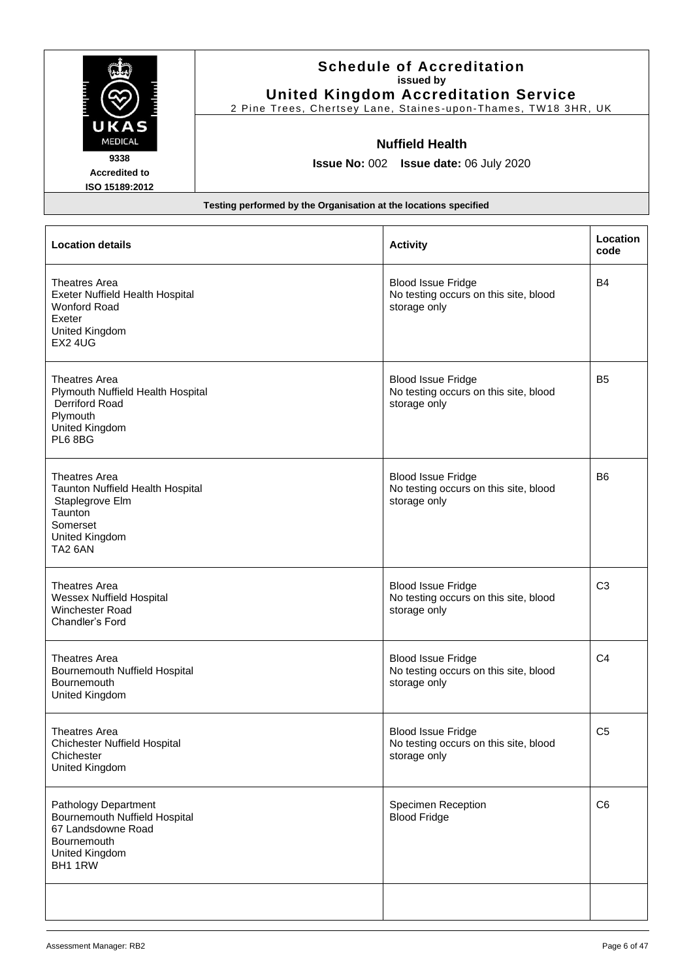| <b>Schedule of Accreditation</b><br>issued by<br><b>United Kingdom Accreditation Service</b><br>2 Pine Trees, Chertsey Lane, Staines-upon-Thames, TW18 3HR, UK |                                                                  |                                                                                    |                  |
|----------------------------------------------------------------------------------------------------------------------------------------------------------------|------------------------------------------------------------------|------------------------------------------------------------------------------------|------------------|
| UKAS<br>MEDICAL<br>9338<br><b>Accredited to</b><br>ISO 15189:2012                                                                                              | <b>Nuffield Health</b><br>Issue No: 002 Issue date: 06 July 2020 |                                                                                    |                  |
|                                                                                                                                                                | Testing performed by the Organisation at the locations specified |                                                                                    |                  |
| <b>Location details</b>                                                                                                                                        |                                                                  | <b>Activity</b>                                                                    | Location<br>code |
| Theatres Area<br>Exeter Nuffield Health Hospital<br><b>Wonford Road</b><br>Exeter<br>United Kingdom<br><b>EX2 4UG</b>                                          |                                                                  | <b>Blood Issue Fridge</b><br>No testing occurs on this site, blood<br>storage only | <b>B4</b>        |
| <b>Theatres Area</b><br>Plymouth Nuffield Health Hospital<br><b>Derriford Road</b><br>Plymouth<br>United Kingdom<br>PL6 8BG                                    |                                                                  | <b>Blood Issue Fridge</b><br>No testing occurs on this site, blood<br>storage only | <b>B5</b>        |
| Theatres Area<br>Taunton Nuffield Health Hospital<br>Staplegrove Elm<br>Taunton<br>Somerset<br>United Kingdom<br>TA2 6AN                                       |                                                                  | <b>Blood Issue Fridge</b><br>No testing occurs on this site, blood<br>storage only | <b>B6</b>        |
| <b>Theatres Area</b><br><b>Wessex Nuffield Hospital</b><br>Winchester Road<br>Chandler's Ford                                                                  |                                                                  | <b>Blood Issue Fridge</b><br>No testing occurs on this site, blood<br>storage only | C <sub>3</sub>   |
| <b>Theatres Area</b><br>Bournemouth Nuffield Hospital<br><b>Bournemouth</b><br>United Kingdom                                                                  |                                                                  | <b>Blood Issue Fridge</b><br>No testing occurs on this site, blood<br>storage only | C <sub>4</sub>   |
| <b>Theatres Area</b><br><b>Chichester Nuffield Hospital</b><br>Chichester<br>United Kingdom                                                                    |                                                                  | <b>Blood Issue Fridge</b><br>No testing occurs on this site, blood<br>storage only | C <sub>5</sub>   |
| Pathology Department<br>Bournemouth Nuffield Hospital<br>67 Landsdowne Road<br><b>Bournemouth</b><br>United Kingdom<br>BH1 1RW                                 |                                                                  | Specimen Reception<br><b>Blood Fridge</b>                                          | C <sub>6</sub>   |
|                                                                                                                                                                |                                                                  |                                                                                    |                  |

 $\frac{1}{2}$ 

 $\mathbb{Z}$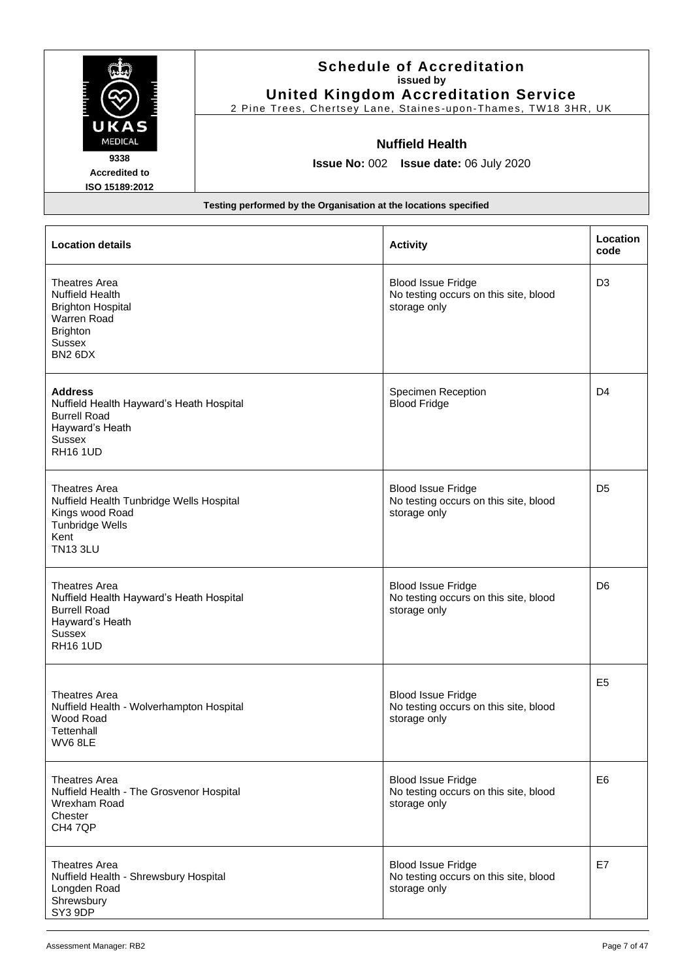|                                                                                                                                                           | <b>Schedule of Accreditation</b><br>issued by<br><b>United Kingdom Accreditation Service</b><br>2 Pine Trees, Chertsey Lane, Staines-upon-Thames, TW18 3HR, UK |                                                                                    |                  |
|-----------------------------------------------------------------------------------------------------------------------------------------------------------|----------------------------------------------------------------------------------------------------------------------------------------------------------------|------------------------------------------------------------------------------------|------------------|
| UKAS<br><b>MEDICAL</b><br>9338<br><b>Accredited to</b><br>ISO 15189:2012                                                                                  |                                                                                                                                                                | <b>Nuffield Health</b><br><b>Issue No: 002 Issue date: 06 July 2020</b>            |                  |
|                                                                                                                                                           | Testing performed by the Organisation at the locations specified                                                                                               |                                                                                    |                  |
| <b>Location details</b>                                                                                                                                   |                                                                                                                                                                | <b>Activity</b>                                                                    | Location<br>code |
| <b>Theatres Area</b><br><b>Nuffield Health</b><br><b>Brighton Hospital</b><br>Warren Road<br><b>Brighton</b><br>Sussex<br>BN <sub>2</sub> 6D <sub>X</sub> |                                                                                                                                                                | <b>Blood Issue Fridge</b><br>No testing occurs on this site, blood<br>storage only | D <sub>3</sub>   |
| <b>Address</b><br>Nuffield Health Hayward's Heath Hospital<br><b>Burrell Road</b><br>Hayward's Heath<br><b>Sussex</b><br><b>RH16 1UD</b>                  |                                                                                                                                                                | Specimen Reception<br><b>Blood Fridge</b>                                          | D <sub>4</sub>   |
| <b>Theatres Area</b><br>Nuffield Health Tunbridge Wells Hospital<br>Kings wood Road<br><b>Tunbridge Wells</b><br>Kent<br><b>TN13 3LU</b>                  |                                                                                                                                                                | <b>Blood Issue Fridge</b><br>No testing occurs on this site, blood<br>storage only | D <sub>5</sub>   |
| <b>Theatres Area</b><br>Nuffield Health Hayward's Heath Hospital<br><b>Burrell Road</b><br>Hayward's Heath<br>Sussex<br><b>RH16 1UD</b>                   |                                                                                                                                                                | <b>Blood Issue Fridge</b><br>No testing occurs on this site, blood<br>storage only | D <sub>6</sub>   |
| <b>Theatres Area</b><br>Nuffield Health - Wolverhampton Hospital<br>Wood Road<br>Tettenhall<br>WV68LE                                                     |                                                                                                                                                                | <b>Blood Issue Fridge</b><br>No testing occurs on this site, blood<br>storage only | E <sub>5</sub>   |
| <b>Theatres Area</b><br>Nuffield Health - The Grosvenor Hospital<br>Wrexham Road                                                                          |                                                                                                                                                                | <b>Blood Issue Fridge</b><br>No testing occurs on this site, blood<br>storage only | E <sub>6</sub>   |

Blood Issue Fridge

storage only

No testing occurs on this site, blood

Theatres Area Nuffield Health - Shrewsbury Hospital Longden Road Shrewsbury SY3 9DP

Chester CH4 7QP

E7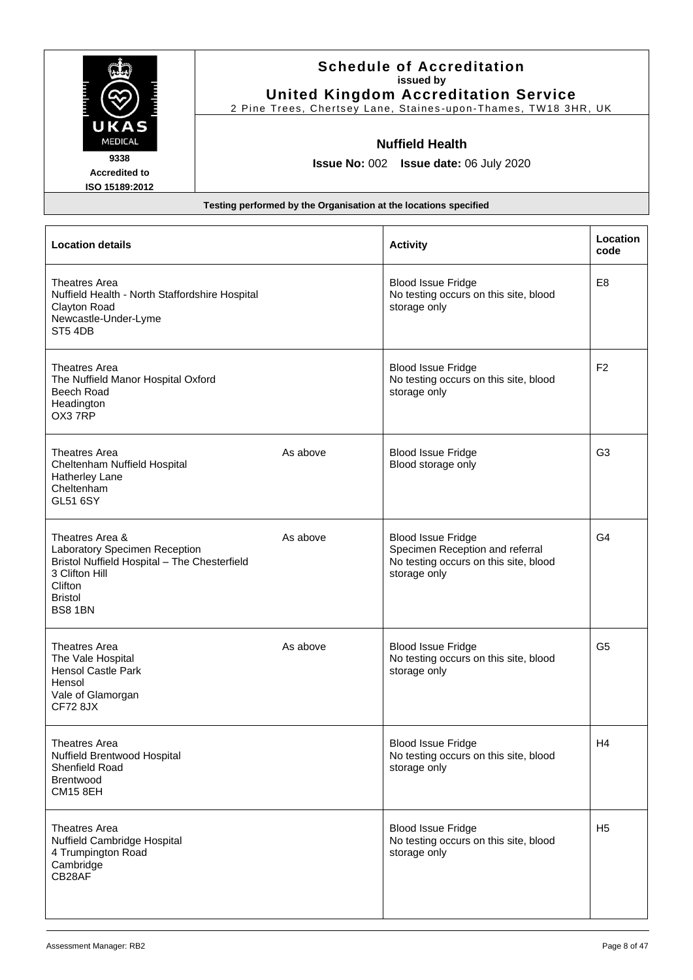|                                                                                                                                                            | <b>Schedule of Accreditation</b><br>issued by<br><b>United Kingdom Accreditation Service</b><br>2 Pine Trees, Chertsey Lane, Staines-upon-Thames, TW18 3HR, UK |                                                                                                                       |                  |
|------------------------------------------------------------------------------------------------------------------------------------------------------------|----------------------------------------------------------------------------------------------------------------------------------------------------------------|-----------------------------------------------------------------------------------------------------------------------|------------------|
| UKAS<br>MEDICAL<br>9338<br><b>Accredited to</b><br>ISO 15189:2012                                                                                          | Testing performed by the Organisation at the locations specified                                                                                               | <b>Nuffield Health</b><br>Issue No: 002 Issue date: 06 July 2020                                                      |                  |
| <b>Location details</b>                                                                                                                                    |                                                                                                                                                                | <b>Activity</b>                                                                                                       | Location<br>code |
| Theatres Area<br>Nuffield Health - North Staffordshire Hospital<br>Clayton Road<br>Newcastle-Under-Lyme<br>ST54DB                                          |                                                                                                                                                                | <b>Blood Issue Fridge</b><br>No testing occurs on this site, blood<br>storage only                                    | E <sub>8</sub>   |
| <b>Theatres Area</b><br>The Nuffield Manor Hospital Oxford<br>Beech Road<br>Headington<br>OX37RP                                                           |                                                                                                                                                                | <b>Blood Issue Fridge</b><br>No testing occurs on this site, blood<br>storage only                                    | F <sub>2</sub>   |
| <b>Theatres Area</b><br>Cheltenham Nuffield Hospital<br>Hatherley Lane<br>Cheltenham<br><b>GL51 6SY</b>                                                    | As above                                                                                                                                                       | <b>Blood Issue Fridge</b><br>Blood storage only                                                                       | G <sub>3</sub>   |
| Theatres Area &<br>Laboratory Specimen Reception<br>Bristol Nuffield Hospital - The Chesterfield<br>3 Clifton Hill<br>Clifton<br><b>Bristol</b><br>BS8 1BN | As above                                                                                                                                                       | <b>Blood Issue Fridge</b><br>Specimen Reception and referral<br>No testing occurs on this site, blood<br>storage only | G4               |
| <b>Theatres Area</b><br>The Vale Hospital<br><b>Hensol Castle Park</b><br>Hensol<br>Vale of Glamorgan<br><b>CF72 8JX</b>                                   | As above                                                                                                                                                       | <b>Blood Issue Fridge</b><br>No testing occurs on this site, blood<br>storage only                                    | G <sub>5</sub>   |
| Theatres Area<br>Nuffield Brentwood Hospital<br><b>Shenfield Road</b><br><b>Brentwood</b><br><b>CM15 8EH</b>                                               |                                                                                                                                                                | <b>Blood Issue Fridge</b><br>No testing occurs on this site, blood<br>storage only                                    | H <sub>4</sub>   |
| <b>Theatres Area</b><br>Nuffield Cambridge Hospital<br>4 Trumpington Road<br>Cambridge<br>CB28AF                                                           |                                                                                                                                                                | <b>Blood Issue Fridge</b><br>No testing occurs on this site, blood<br>storage only                                    | H <sub>5</sub>   |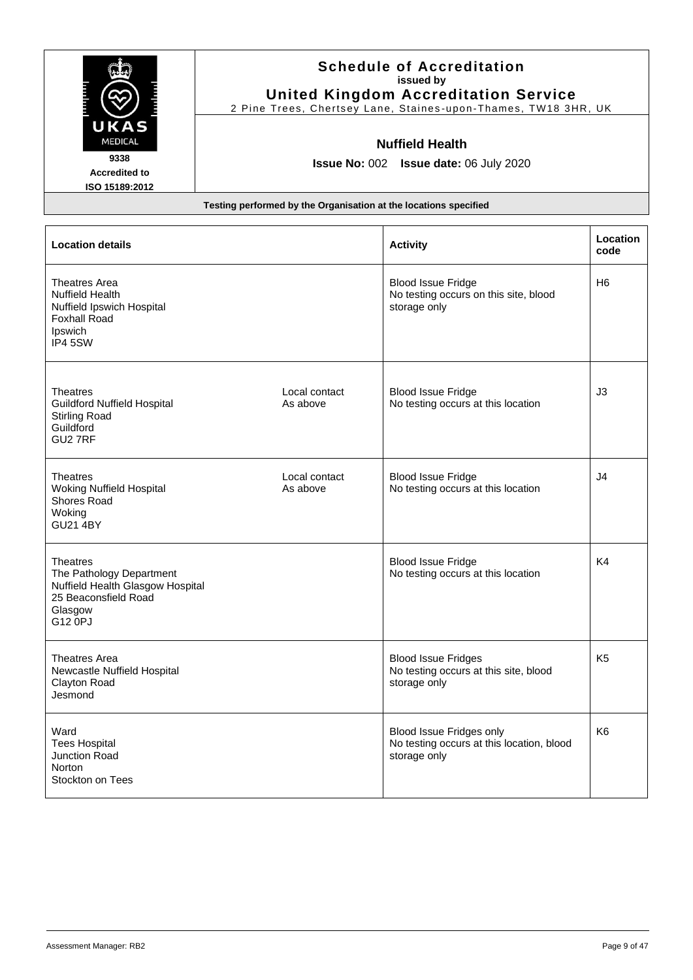|                                                                                                                          | <b>Schedule of Accreditation</b><br>issued by<br><b>United Kingdom Accreditation Service</b><br>2 Pine Trees, Chertsey Lane, Staines-upon-Thames, TW18 3HR, UK |                                                                                    |                  |
|--------------------------------------------------------------------------------------------------------------------------|----------------------------------------------------------------------------------------------------------------------------------------------------------------|------------------------------------------------------------------------------------|------------------|
| UKA<br><b>MEDICAL</b><br>9338<br><b>Accredited to</b><br>ISO 15189:2012                                                  | <b>Nuffield Health</b><br>Issue No: 002 Issue date: 06 July 2020                                                                                               |                                                                                    |                  |
|                                                                                                                          | Testing performed by the Organisation at the locations specified                                                                                               |                                                                                    |                  |
| <b>Location details</b>                                                                                                  |                                                                                                                                                                | <b>Activity</b>                                                                    | Location<br>code |
| Theatres Area<br><b>Nuffield Health</b><br>Nuffield Ipswich Hospital<br><b>Foxhall Road</b><br><b>Ipswich</b><br>IP4 5SW |                                                                                                                                                                | <b>Blood Issue Fridge</b><br>No testing occurs on this site, blood<br>storage only | H <sub>6</sub>   |
| <b>Theatres</b><br><b>Guildford Nuffield Hospital</b><br><b>Stirling Road</b><br>Guildford<br>GU2 7RF                    | Local contact<br>As above                                                                                                                                      | <b>Blood Issue Fridge</b><br>No testing occurs at this location                    | J <sub>3</sub>   |
| <b>Theatres</b><br>Woking Nuffield Hospital<br>Shores Road<br>Woking<br><b>GU21 4BY</b>                                  | Local contact<br>As above                                                                                                                                      | <b>Blood Issue Fridge</b><br>No testing occurs at this location                    | J <sub>4</sub>   |
| <b>Theatres</b><br>The Pathology Department<br>Nuffield Health Glasgow Hospital<br>25 Beaconsfield Road<br>Glasgow       |                                                                                                                                                                | <b>Blood Issue Fridge</b><br>No testing occurs at this location                    | K4               |

Blood Issue Fridges

Blood Issue Fridges only

storage only

storage only

No testing occurs at this site, blood

No testing occurs at this location, blood

G12 0PJ

Theatres Area

Clayton Road Jesmond

Stockton on Tees

Ward Tees Hospital Junction Road Norton

Newcastle Nuffield Hospital

K5

K6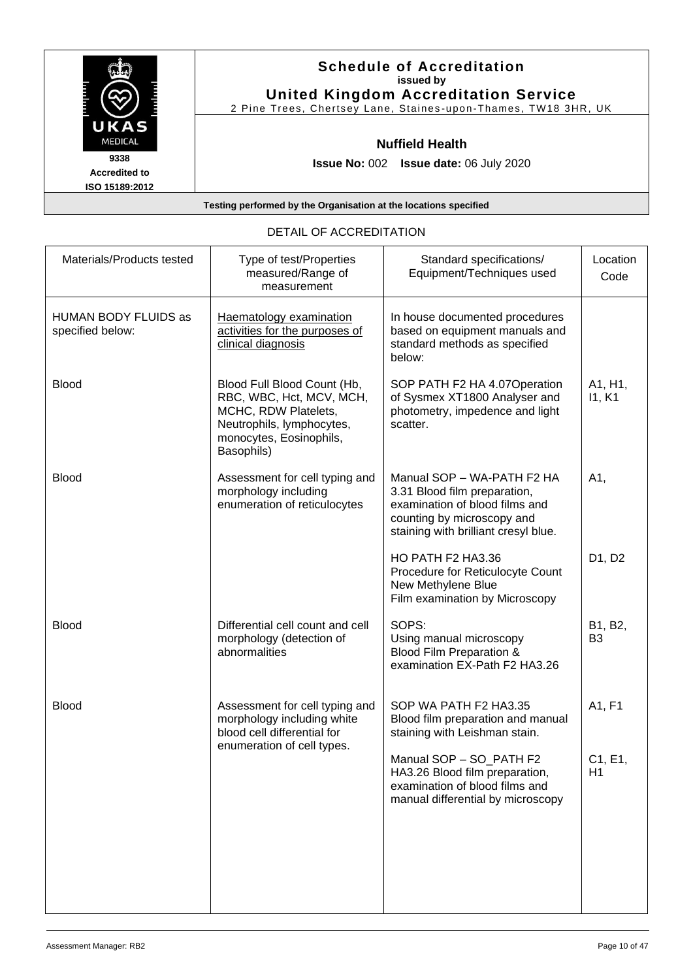|                                                | <b>Schedule of Accreditation</b><br>issued by<br><b>United Kingdom Accreditation Service</b><br>2 Pine Trees, Chertsey Lane, Staines-upon-Thames, TW18 3HR, UK |
|------------------------------------------------|----------------------------------------------------------------------------------------------------------------------------------------------------------------|
| UKAS<br><b>MEDICAL</b>                         | <b>Nuffield Health</b>                                                                                                                                         |
| 9338<br><b>Accredited to</b><br>ISO 15189:2012 | <b>Issue No: 002 Issue date: 06 July 2020</b>                                                                                                                  |
|                                                | Testing performed by the Organisation at the locations specified                                                                                               |

### DETAIL OF ACCREDITATION

| Materials/Products tested                | Type of test/Properties<br>measured/Range of<br>measurement                                                                                           | Standard specifications/<br>Equipment/Techniques used                                                                                                              | Location<br>Code          |
|------------------------------------------|-------------------------------------------------------------------------------------------------------------------------------------------------------|--------------------------------------------------------------------------------------------------------------------------------------------------------------------|---------------------------|
| HUMAN BODY FLUIDS as<br>specified below: | Haematology examination<br>activities for the purposes of<br>clinical diagnosis                                                                       | In house documented procedures<br>based on equipment manuals and<br>standard methods as specified<br>below:                                                        |                           |
| <b>Blood</b>                             | Blood Full Blood Count (Hb,<br>RBC, WBC, Hct, MCV, MCH,<br>MCHC, RDW Platelets,<br>Neutrophils, lymphocytes,<br>monocytes, Eosinophils,<br>Basophils) | SOP PATH F2 HA 4.07Operation<br>of Sysmex XT1800 Analyser and<br>photometry, impedence and light<br>scatter.                                                       | A1, H1,<br>11, K1         |
| <b>Blood</b>                             | Assessment for cell typing and<br>morphology including<br>enumeration of reticulocytes                                                                | Manual SOP - WA-PATH F2 HA<br>3.31 Blood film preparation,<br>examination of blood films and<br>counting by microscopy and<br>staining with brilliant cresyl blue. | A1,                       |
|                                          |                                                                                                                                                       | HO PATH F2 HA3.36<br>Procedure for Reticulocyte Count<br>New Methylene Blue<br>Film examination by Microscopy                                                      | D1, D2                    |
| <b>Blood</b>                             | Differential cell count and cell<br>morphology (detection of<br>abnormalities                                                                         | SOPS:<br>Using manual microscopy<br>Blood Film Preparation &<br>examination EX-Path F2 HA3.26                                                                      | B1, B2,<br>B <sub>3</sub> |
| <b>Blood</b>                             | Assessment for cell typing and<br>morphology including white<br>blood cell differential for<br>enumeration of cell types.                             | SOP WA PATH F2 HA3.35<br>Blood film preparation and manual<br>staining with Leishman stain.                                                                        | A1, F1                    |
|                                          |                                                                                                                                                       | Manual SOP - SO_PATH F2<br>HA3.26 Blood film preparation,<br>examination of blood films and<br>manual differential by microscopy                                   | C1, E1,<br>H1             |
|                                          |                                                                                                                                                       |                                                                                                                                                                    |                           |
|                                          |                                                                                                                                                       |                                                                                                                                                                    |                           |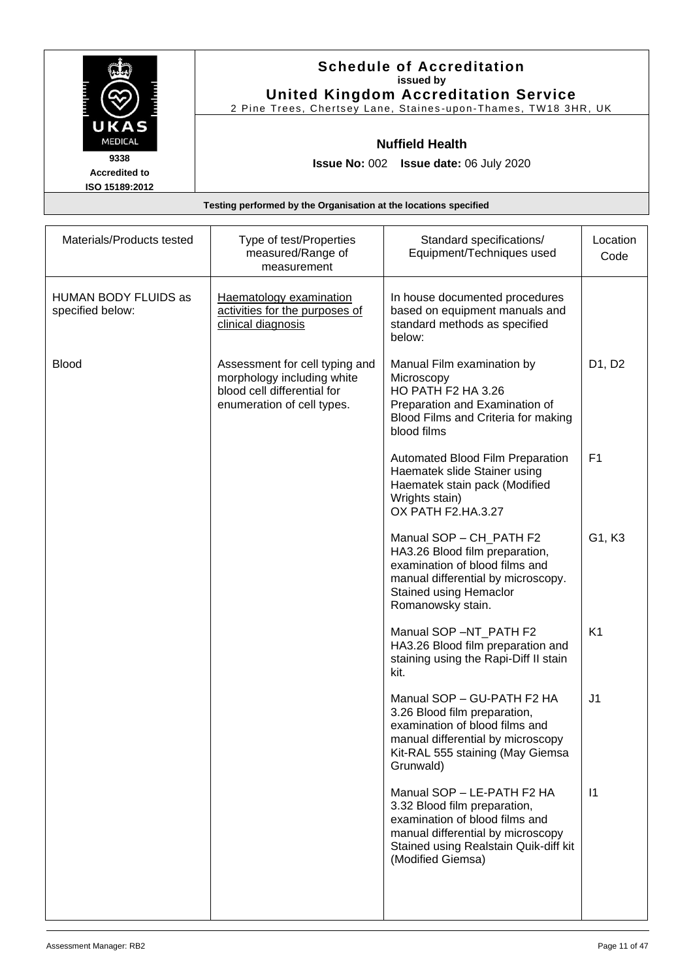| <b>Schedule of Accreditation</b><br>issued by<br><b>United Kingdom Accreditation Service</b> |
|----------------------------------------------------------------------------------------------|
| 2 Pine Trees, Chertsey Lane, Staines-upon-Thames, TW18 3HR, UK                               |
| <b>Nuffield Health</b>                                                                       |
| <b>Issue No: 002 Issue date: 06 July 2020</b>                                                |
|                                                                                              |

| Materials/Products tested                | Type of test/Properties<br>measured/Range of<br>measurement                                                               | Standard specifications/<br>Equipment/Techniques used                                                                                                                                           | Location<br>Code |
|------------------------------------------|---------------------------------------------------------------------------------------------------------------------------|-------------------------------------------------------------------------------------------------------------------------------------------------------------------------------------------------|------------------|
| HUMAN BODY FLUIDS as<br>specified below: | Haematology examination<br>activities for the purposes of<br>clinical diagnosis                                           | In house documented procedures<br>based on equipment manuals and<br>standard methods as specified<br>below:                                                                                     |                  |
| <b>Blood</b>                             | Assessment for cell typing and<br>morphology including white<br>blood cell differential for<br>enumeration of cell types. | Manual Film examination by<br>Microscopy<br><b>HO PATH F2 HA 3.26</b><br>Preparation and Examination of<br>Blood Films and Criteria for making<br>blood films                                   | D1, D2           |
|                                          |                                                                                                                           | Automated Blood Film Preparation<br>Haematek slide Stainer using<br>Haematek stain pack (Modified<br>Wrights stain)<br>OX PATH F2.HA.3.27                                                       | F <sub>1</sub>   |
|                                          |                                                                                                                           | Manual SOP - CH_PATH F2<br>HA3.26 Blood film preparation,<br>examination of blood films and<br>manual differential by microscopy.<br><b>Stained using Hemaclor</b><br>Romanowsky stain.         | G1, K3           |
|                                          |                                                                                                                           | Manual SOP -NT_PATH F2<br>HA3.26 Blood film preparation and<br>staining using the Rapi-Diff II stain<br>kit.                                                                                    | K <sub>1</sub>   |
|                                          |                                                                                                                           | Manual SOP - GU-PATH F2 HA<br>3.26 Blood film preparation,<br>examination of blood films and<br>manual differential by microscopy<br>Kit-RAL 555 staining (May Giemsa<br>Grunwald)              | J <sub>1</sub>   |
|                                          |                                                                                                                           | Manual SOP - LE-PATH F2 HA<br>3.32 Blood film preparation,<br>examination of blood films and<br>manual differential by microscopy<br>Stained using Realstain Quik-diff kit<br>(Modified Giemsa) | 1                |
|                                          |                                                                                                                           |                                                                                                                                                                                                 |                  |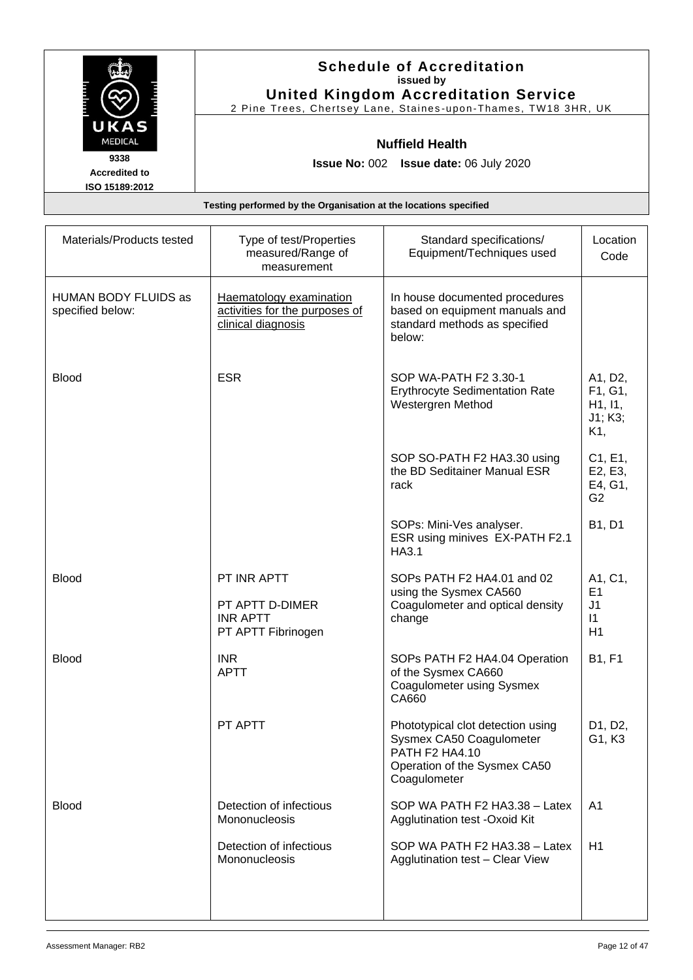|                                                                  | <b>Schedule of Accreditation</b><br>issued by<br><b>United Kingdom Accreditation Service</b><br>2 Pine Trees, Chertsey Lane, Staines-upon-Thames, TW18 3HR, UK |  |
|------------------------------------------------------------------|----------------------------------------------------------------------------------------------------------------------------------------------------------------|--|
| UKAS<br><b>MEDICAL</b>                                           | <b>Nuffield Health</b>                                                                                                                                         |  |
| 9338<br><b>Accredited to</b><br>ISO 15189:2012                   | <b>Issue No: 002 Issue date: 06 July 2020</b>                                                                                                                  |  |
| Testing performed by the Organisation at the locations specified |                                                                                                                                                                |  |

| Materials/Products tested                | Type of test/Properties<br>measured/Range of<br>measurement                     | Standard specifications/<br>Equipment/Techniques used                                                                           | Location<br>Code                                               |
|------------------------------------------|---------------------------------------------------------------------------------|---------------------------------------------------------------------------------------------------------------------------------|----------------------------------------------------------------|
| HUMAN BODY FLUIDS as<br>specified below: | Haematology examination<br>activities for the purposes of<br>clinical diagnosis | In house documented procedures<br>based on equipment manuals and<br>standard methods as specified<br>below:                     |                                                                |
| <b>Blood</b>                             | <b>ESR</b>                                                                      | SOP WA-PATH F2 3.30-1<br><b>Erythrocyte Sedimentation Rate</b><br>Westergren Method                                             | A1, D2,<br>F1, G1,<br>H1, I1,<br>J1; K3;<br>K1,                |
|                                          |                                                                                 | SOP SO-PATH F2 HA3.30 using<br>the BD Seditainer Manual ESR<br>rack                                                             | C1, E1,<br>E2, E3,<br>E4, G1,<br>G <sub>2</sub>                |
|                                          |                                                                                 | SOPs: Mini-Ves analyser.<br>ESR using minives EX-PATH F2.1<br>HA3.1                                                             | B1, D1                                                         |
| <b>Blood</b>                             | PT INR APTT<br>PT APTT D-DIMER<br><b>INR APTT</b><br>PT APTT Fibrinogen         | SOPs PATH F2 HA4.01 and 02<br>using the Sysmex CA560<br>Coagulometer and optical density<br>change                              | A1, C1,<br>E <sub>1</sub><br>J <sub>1</sub><br>$\vert$ 1<br>H1 |
| <b>Blood</b>                             | <b>INR</b><br><b>APTT</b>                                                       | SOPs PATH F2 HA4.04 Operation<br>of the Sysmex CA660<br>Coagulometer using Sysmex<br>CA660                                      | <b>B1, F1</b>                                                  |
|                                          | PT APTT                                                                         | Phototypical clot detection using<br>Sysmex CA50 Coagulometer<br>PATH F2 HA4.10<br>Operation of the Sysmex CA50<br>Coagulometer | D <sub>1</sub> , D <sub>2</sub> ,<br>G1, K3                    |
| <b>Blood</b>                             | Detection of infectious<br>Mononucleosis                                        | SOP WA PATH F2 HA3.38 - Latex<br>Agglutination test - Oxoid Kit                                                                 | A <sub>1</sub>                                                 |
|                                          | Detection of infectious<br>Mononucleosis                                        | SOP WA PATH F2 HA3.38 - Latex<br><b>Agglutination test - Clear View</b>                                                         | H1                                                             |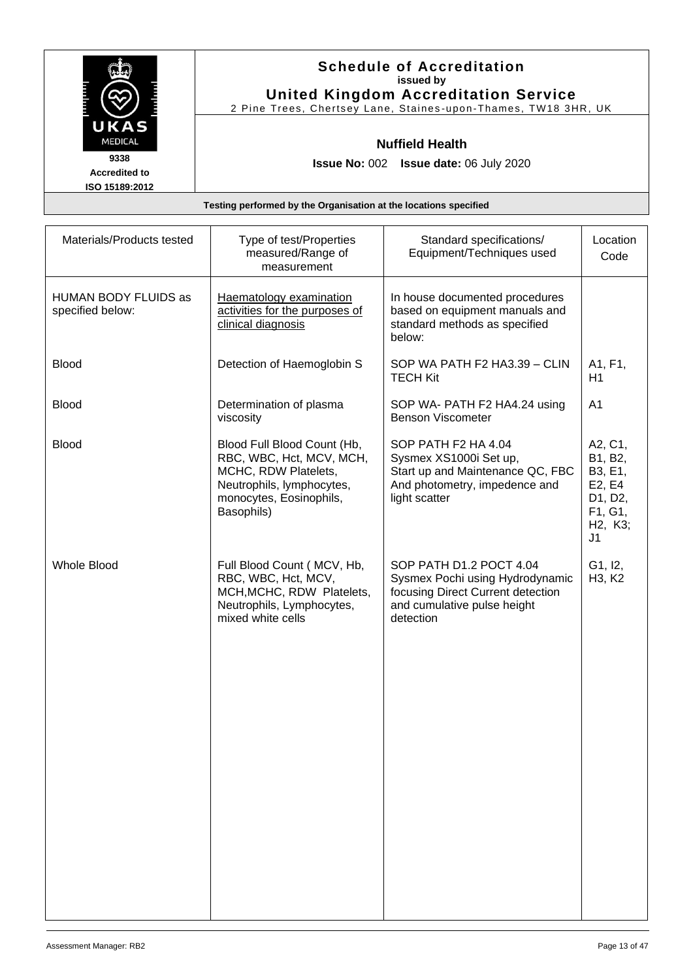|                                        | <b>Schedule of Accreditation</b><br>issued by<br><b>United Kingdom Accreditation Service</b> |
|----------------------------------------|----------------------------------------------------------------------------------------------|
|                                        | 2 Pine Trees, Chertsey Lane, Staines-upon-Thames, TW18 3HR, UK                               |
| UKAS<br><b>MEDICAL</b>                 | <b>Nuffield Health</b>                                                                       |
| 9338                                   | <b>Issue No: 002 Issue date: 06 July 2020</b>                                                |
| <b>Accredited to</b><br>ISO 15189:2012 |                                                                                              |
|                                        | Testing performed by the Organisation at the locations specified                             |

| Materials/Products tested                | Type of test/Properties<br>measured/Range of<br>measurement                                                                                           | Standard specifications/<br>Equipment/Techniques used                                                                                       | Location<br>Code                                                                                                     |
|------------------------------------------|-------------------------------------------------------------------------------------------------------------------------------------------------------|---------------------------------------------------------------------------------------------------------------------------------------------|----------------------------------------------------------------------------------------------------------------------|
| HUMAN BODY FLUIDS as<br>specified below: | Haematology examination<br>activities for the purposes of<br>clinical diagnosis                                                                       | In house documented procedures<br>based on equipment manuals and<br>standard methods as specified<br>below:                                 |                                                                                                                      |
| <b>Blood</b>                             | Detection of Haemoglobin S                                                                                                                            | SOP WA PATH F2 HA3.39 - CLIN<br><b>TECH Kit</b>                                                                                             | A1, F1,<br>H1                                                                                                        |
| <b>Blood</b>                             | Determination of plasma<br>viscosity                                                                                                                  | SOP WA- PATH F2 HA4.24 using<br><b>Benson Viscometer</b>                                                                                    | A <sub>1</sub>                                                                                                       |
| <b>Blood</b>                             | Blood Full Blood Count (Hb,<br>RBC, WBC, Hct, MCV, MCH,<br>MCHC, RDW Platelets,<br>Neutrophils, lymphocytes,<br>monocytes, Eosinophils,<br>Basophils) | SOP PATH F2 HA 4.04<br>Sysmex XS1000i Set up,<br>Start up and Maintenance QC, FBC<br>And photometry, impedence and<br>light scatter         | A2, C1,<br>B1, B2,<br>B3, E1,<br>E2, E4<br>D1, D2,<br>F1, G1,<br>H <sub>2</sub> , K <sub>3</sub> ;<br>J <sub>1</sub> |
| <b>Whole Blood</b>                       | Full Blood Count (MCV, Hb,<br>RBC, WBC, Hct, MCV,<br>MCH, MCHC, RDW Platelets,<br>Neutrophils, Lymphocytes,<br>mixed white cells                      | SOP PATH D1.2 POCT 4.04<br>Sysmex Pochi using Hydrodynamic<br>focusing Direct Current detection<br>and cumulative pulse height<br>detection | G1, I2,<br>H3, K2                                                                                                    |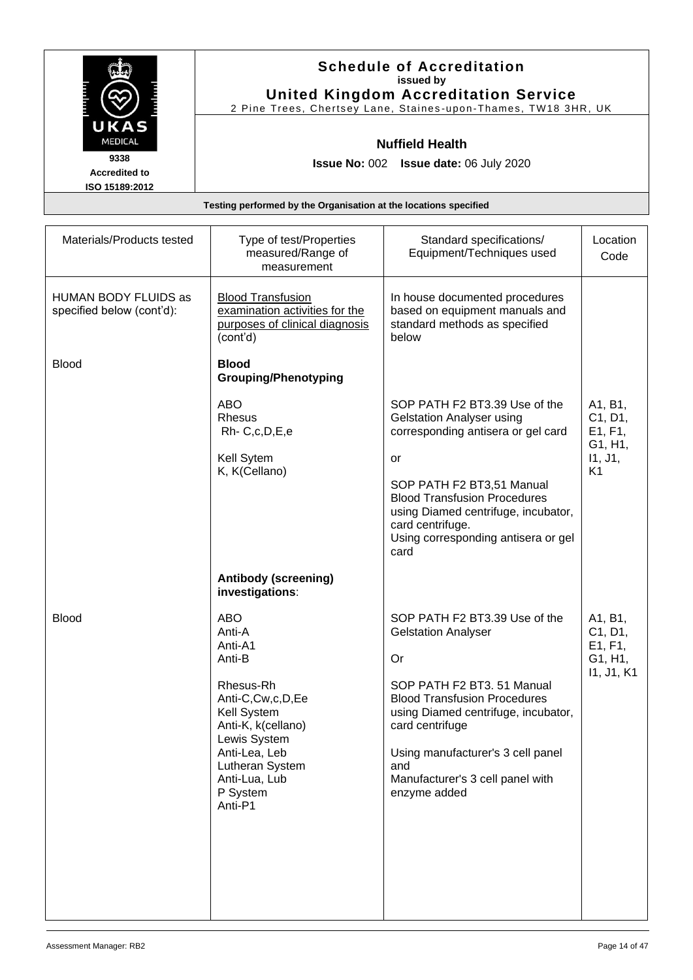|                      | <b>Schedule of Accreditation</b><br>issued by                    |
|----------------------|------------------------------------------------------------------|
|                      | <b>United Kingdom Accreditation Service</b>                      |
|                      | 2 Pine Trees, Chertsey Lane, Staines-upon-Thames, TW18 3HR, UK   |
| UKAS                 |                                                                  |
| <b>MEDICAL</b>       | <b>Nuffield Health</b>                                           |
| 9338                 | <b>Issue No: 002 Issue date: 06 July 2020</b>                    |
| <b>Accredited to</b> |                                                                  |
| ISO 15189:2012       |                                                                  |
|                      | Testing performed by the Organisation at the locations specified |
|                      |                                                                  |

| Materials/Products tested                                | Type of test/Properties<br>measured/Range of<br>measurement                                                                                                                                                 | Standard specifications/<br>Equipment/Techniques used                                                                                                                                                                                                                                                   | Location<br>Code                                                      |
|----------------------------------------------------------|-------------------------------------------------------------------------------------------------------------------------------------------------------------------------------------------------------------|---------------------------------------------------------------------------------------------------------------------------------------------------------------------------------------------------------------------------------------------------------------------------------------------------------|-----------------------------------------------------------------------|
| <b>HUMAN BODY FLUIDS as</b><br>specified below (cont'd): | <b>Blood Transfusion</b><br>examination activities for the<br>purposes of clinical diagnosis<br>(cont'd)                                                                                                    | In house documented procedures<br>based on equipment manuals and<br>standard methods as specified<br>below                                                                                                                                                                                              |                                                                       |
| <b>Blood</b>                                             | <b>Blood</b><br><b>Grouping/Phenotyping</b>                                                                                                                                                                 |                                                                                                                                                                                                                                                                                                         |                                                                       |
|                                                          | <b>ABO</b><br><b>Rhesus</b><br>Rh-C,c,D,E,e<br>Kell Sytem<br>K, K(Cellano)                                                                                                                                  | SOP PATH F2 BT3.39 Use of the<br><b>Gelstation Analyser using</b><br>corresponding antisera or gel card<br>or<br>SOP PATH F2 BT3,51 Manual<br><b>Blood Transfusion Procedures</b><br>using Diamed centrifuge, incubator,<br>card centrifuge.<br>Using corresponding antisera or gel<br>card             | A1, B1,<br>C1, D1,<br>E1, F1,<br>G1, H1,<br>11, J1,<br>K <sub>1</sub> |
|                                                          | <b>Antibody (screening)</b><br>investigations:                                                                                                                                                              |                                                                                                                                                                                                                                                                                                         |                                                                       |
| <b>Blood</b>                                             | <b>ABO</b><br>Anti-A<br>Anti-A1<br>Anti-B<br>Rhesus-Rh<br>Anti-C,Cw,c,D,Ee<br>Kell System<br>Anti-K, k(cellano)<br>Lewis System<br>Anti-Lea, Leb<br>Lutheran System<br>Anti-Lua, Lub<br>P System<br>Anti-P1 | SOP PATH F2 BT3.39 Use of the<br><b>Gelstation Analyser</b><br><b>Or</b><br>SOP PATH F2 BT3. 51 Manual<br><b>Blood Transfusion Procedures</b><br>using Diamed centrifuge, incubator,<br>card centrifuge<br>Using manufacturer's 3 cell panel<br>and<br>Manufacturer's 3 cell panel with<br>enzyme added | A1, B1,<br>C1, D1,<br>E1, F1,<br>G1, H1,<br>11, J1, K1                |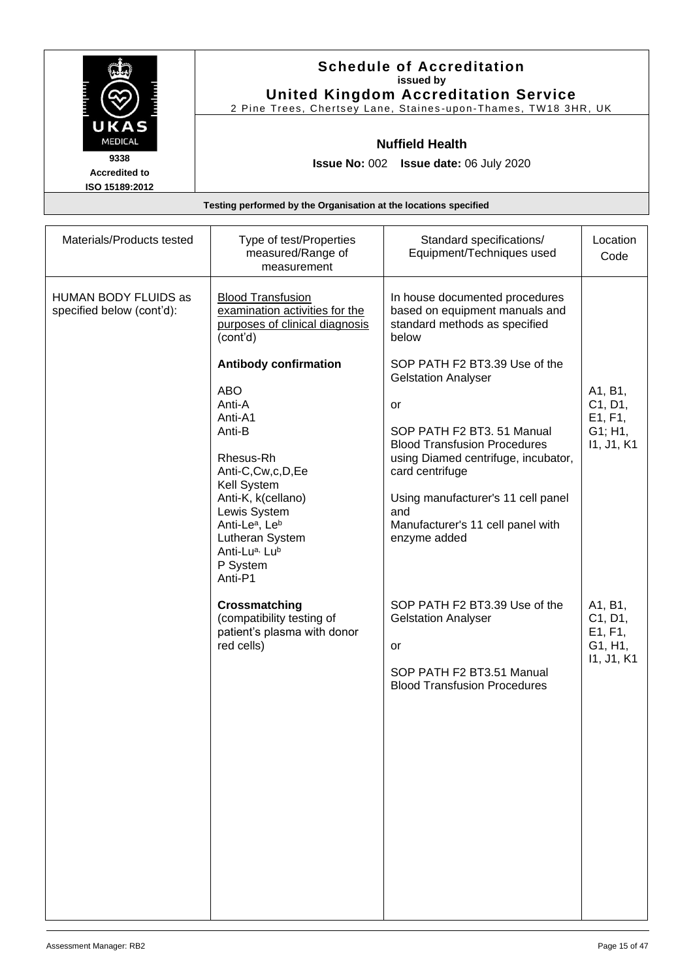|                                        | <b>Schedule of Accreditation</b><br>issued by                    |
|----------------------------------------|------------------------------------------------------------------|
|                                        | <b>United Kingdom Accreditation Service</b>                      |
|                                        | 2 Pine Trees, Chertsey Lane, Staines-upon-Thames, TW18 3HR, UK   |
| UKAS                                   |                                                                  |
| <b>MEDICAL</b>                         | <b>Nuffield Health</b>                                           |
| 9338                                   | <b>Issue No: 002 Issue date: 06 July 2020</b>                    |
| <b>Accredited to</b><br>ISO 15189:2012 |                                                                  |
|                                        | Testing performed by the Organisation at the locations specified |
|                                        |                                                                  |

| Materials/Products tested                         | Type of test/Properties<br>measured/Range of<br>measurement                                                                                                                                                                                                                                                                                                                      | Standard specifications/<br>Equipment/Techniques used                                                                                                                                                                                                                                                                                                                                                            | Location<br>Code                                       |
|---------------------------------------------------|----------------------------------------------------------------------------------------------------------------------------------------------------------------------------------------------------------------------------------------------------------------------------------------------------------------------------------------------------------------------------------|------------------------------------------------------------------------------------------------------------------------------------------------------------------------------------------------------------------------------------------------------------------------------------------------------------------------------------------------------------------------------------------------------------------|--------------------------------------------------------|
| HUMAN BODY FLUIDS as<br>specified below (cont'd): | <b>Blood Transfusion</b><br>examination activities for the<br>purposes of clinical diagnosis<br>(cont'd)<br><b>Antibody confirmation</b><br><b>ABO</b><br>Anti-A<br>Anti-A1<br>Anti-B<br>Rhesus-Rh<br>Anti-C,Cw,c,D,Ee<br>Kell System<br>Anti-K, k(cellano)<br>Lewis System<br>Anti-Le <sup>a</sup> , Le <sup>b</sup><br>Lutheran System<br>Anti-Lua, Lub<br>P System<br>Anti-P1 | In house documented procedures<br>based on equipment manuals and<br>standard methods as specified<br>below<br>SOP PATH F2 BT3.39 Use of the<br><b>Gelstation Analyser</b><br>or<br>SOP PATH F2 BT3. 51 Manual<br><b>Blood Transfusion Procedures</b><br>using Diamed centrifuge, incubator,<br>card centrifuge<br>Using manufacturer's 11 cell panel<br>and<br>Manufacturer's 11 cell panel with<br>enzyme added | A1, B1,<br>C1, D1,<br>E1, F1,<br>G1; H1,<br>11, J1, K1 |
|                                                   | Crossmatching<br>(compatibility testing of<br>patient's plasma with donor<br>red cells)                                                                                                                                                                                                                                                                                          | SOP PATH F2 BT3.39 Use of the<br><b>Gelstation Analyser</b><br>or<br>SOP PATH F2 BT3.51 Manual<br><b>Blood Transfusion Procedures</b>                                                                                                                                                                                                                                                                            | A1, B1,<br>C1, D1,<br>E1, F1,<br>G1, H1,<br>11, J1, K1 |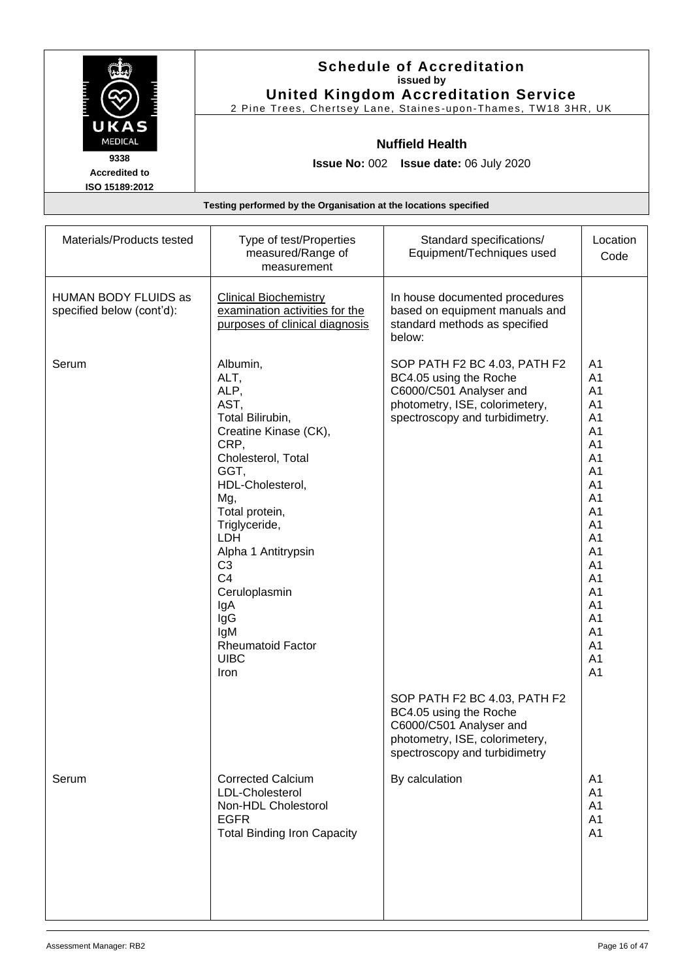|                        | <b>Schedule of Accreditation</b><br>issued by<br><b>United Kingdom Accreditation Service</b> |
|------------------------|----------------------------------------------------------------------------------------------|
|                        | 2 Pine Trees, Chertsey Lane, Staines-upon-Thames, TW18 3HR, UK                               |
| UKAS<br><b>MEDICAL</b> | <b>Nuffield Health</b>                                                                       |
| 9338                   | <b>Issue No: 002 Issue date: 06 July 2020</b>                                                |
| <b>Accredited to</b>   |                                                                                              |
| ISO 15189:2012         |                                                                                              |
|                        | Testing performed by the Organisation at the locations specified                             |

| Materials/Products tested                         | Type of test/Properties<br>measured/Range of<br>measurement                                                                                                                                                                                                                                                                                  | Standard specifications/<br>Equipment/Techniques used                                                                                                 | Location<br>Code                                                                                                                                                                                         |
|---------------------------------------------------|----------------------------------------------------------------------------------------------------------------------------------------------------------------------------------------------------------------------------------------------------------------------------------------------------------------------------------------------|-------------------------------------------------------------------------------------------------------------------------------------------------------|----------------------------------------------------------------------------------------------------------------------------------------------------------------------------------------------------------|
| HUMAN BODY FLUIDS as<br>specified below (cont'd): | <b>Clinical Biochemistry</b><br>examination activities for the<br>purposes of clinical diagnosis                                                                                                                                                                                                                                             | In house documented procedures<br>based on equipment manuals and<br>standard methods as specified<br>below:                                           |                                                                                                                                                                                                          |
| Serum                                             | Albumin,<br>ALT,<br>ALP,<br>AST,<br>Total Bilirubin,<br>Creatine Kinase (CK),<br>CRP,<br>Cholesterol, Total<br>GGT,<br>HDL-Cholesterol,<br>Mg,<br>Total protein,<br>Triglyceride,<br><b>LDH</b><br>Alpha 1 Antitrypsin<br>C <sub>3</sub><br>C <sub>4</sub><br>Ceruloplasmin<br>IgA<br>IgG<br>IgM<br>Rheumatoid Factor<br><b>UIBC</b><br>Iron | SOP PATH F2 BC 4.03, PATH F2<br>BC4.05 using the Roche<br>C6000/C501 Analyser and<br>photometry, ISE, colorimetery,<br>spectroscopy and turbidimetry. | A1<br>A1<br>A1<br>A <sub>1</sub><br>A <sub>1</sub><br>A <sub>1</sub><br>A1<br>A1<br>A1<br>A1<br>A1<br>A <sub>1</sub><br>A1<br>A1<br>A1<br>A1<br>A1<br>A1<br>A1<br>A1<br>A1<br>A1<br>A1<br>A <sub>1</sub> |
|                                                   |                                                                                                                                                                                                                                                                                                                                              | SOP PATH F2 BC 4.03, PATH F2<br>BC4.05 using the Roche<br>C6000/C501 Analyser and<br>photometry, ISE, colorimetery,<br>spectroscopy and turbidimetry  |                                                                                                                                                                                                          |
| Serum                                             | <b>Corrected Calcium</b><br>LDL-Cholesterol<br>Non-HDL Cholestorol<br><b>EGFR</b><br><b>Total Binding Iron Capacity</b>                                                                                                                                                                                                                      | By calculation                                                                                                                                        | A <sub>1</sub><br>A1<br>A1<br>A1<br>A <sub>1</sub>                                                                                                                                                       |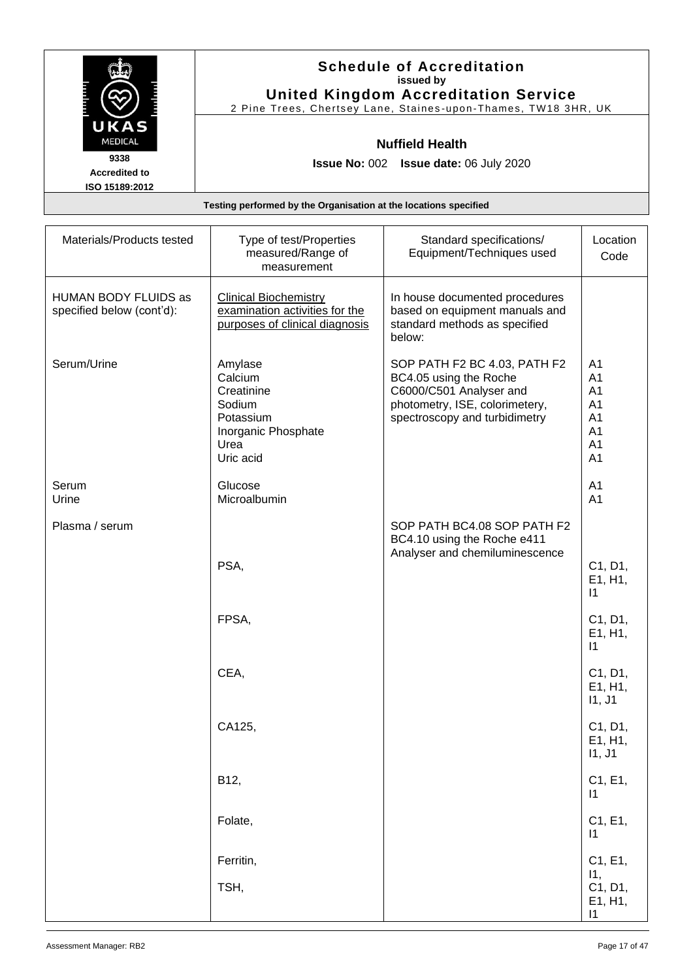|                                                                  | <b>Schedule of Accreditation</b><br>issued by<br><b>United Kingdom Accreditation Service</b><br>2 Pine Trees, Chertsey Lane, Staines-upon-Thames, TW18 3HR, UK |  |
|------------------------------------------------------------------|----------------------------------------------------------------------------------------------------------------------------------------------------------------|--|
| UKAS<br><b>MEDICAL</b>                                           | <b>Nuffield Health</b>                                                                                                                                         |  |
| 9338<br><b>Accredited to</b><br>ISO 15189:2012                   | <b>Issue No: 002 Issue date: 06 July 2020</b>                                                                                                                  |  |
| Testing performed by the Organisation at the locations specified |                                                                                                                                                                |  |

| Materials/Products tested                         | Type of test/Properties<br>measured/Range of<br>measurement                                         | Standard specifications/<br>Equipment/Techniques used                                                                                                | Location<br>Code                                         |
|---------------------------------------------------|-----------------------------------------------------------------------------------------------------|------------------------------------------------------------------------------------------------------------------------------------------------------|----------------------------------------------------------|
| HUMAN BODY FLUIDS as<br>specified below (cont'd): | <b>Clinical Biochemistry</b><br>examination activities for the<br>purposes of clinical diagnosis    | In house documented procedures<br>based on equipment manuals and<br>standard methods as specified<br>below:                                          |                                                          |
| Serum/Urine                                       | Amylase<br>Calcium<br>Creatinine<br>Sodium<br>Potassium<br>Inorganic Phosphate<br>Urea<br>Uric acid | SOP PATH F2 BC 4.03, PATH F2<br>BC4.05 using the Roche<br>C6000/C501 Analyser and<br>photometry, ISE, colorimetery,<br>spectroscopy and turbidimetry | A <sub>1</sub><br>A1<br>A1<br>A1<br>A1<br>A1<br>A1<br>A1 |
| Serum<br>Urine                                    | Glucose<br>Microalbumin                                                                             |                                                                                                                                                      | A <sub>1</sub><br>A1                                     |
| Plasma / serum                                    | PSA,                                                                                                | SOP PATH BC4.08 SOP PATH F2<br>BC4.10 using the Roche e411<br>Analyser and chemiluminescence                                                         | C1, D1,<br>E1, H1,                                       |
|                                                   | FPSA,                                                                                               |                                                                                                                                                      | $\mathsf{I}$<br>C1, D1,<br>E1, H1,                       |
|                                                   | CEA,                                                                                                |                                                                                                                                                      | $\mathsf{I}$<br>C1, D1,<br>E1, H1,<br>11, J1             |
|                                                   | CA125,                                                                                              |                                                                                                                                                      | C1, D1,<br>E1, H1,<br>11, J1                             |
|                                                   | B12,                                                                                                |                                                                                                                                                      | C1, E1,<br>$\vert$ 1                                     |
|                                                   | Folate,                                                                                             |                                                                                                                                                      | C1, E1,<br>$\vert$ 1                                     |
|                                                   | Ferritin,<br>TSH,                                                                                   |                                                                                                                                                      | C1, E1,<br>11,<br>C1, D1,<br>E1, H1,<br>$\vert$ 1        |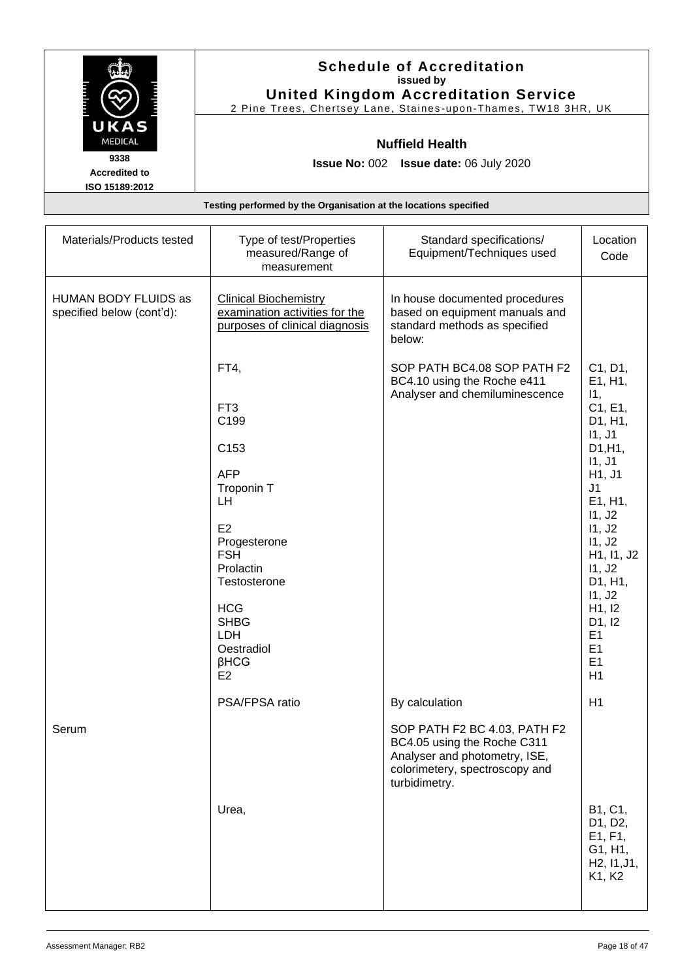|                                                | <b>Schedule of Accreditation</b><br>issued by<br><b>United Kingdom Accreditation Service</b> |
|------------------------------------------------|----------------------------------------------------------------------------------------------|
| UKAS                                           | 2 Pine Trees, Chertsey Lane, Staines-upon-Thames, TW18 3HR, UK                               |
| <b>MEDICAL</b>                                 | <b>Nuffield Health</b>                                                                       |
| 9338<br><b>Accredited to</b><br>ISO 15189:2012 | <b>Issue No: 002 Issue date: 06 July 2020</b>                                                |
|                                                | Testing performed by the Organisation at the locations specified                             |

| Materials/Products tested                         | Type of test/Properties<br>measured/Range of<br>measurement                                                                                                                                                                               | Standard specifications/<br>Equipment/Techniques used                                                                                           | Location<br>Code                                                                                                                                                                                                                                                                  |
|---------------------------------------------------|-------------------------------------------------------------------------------------------------------------------------------------------------------------------------------------------------------------------------------------------|-------------------------------------------------------------------------------------------------------------------------------------------------|-----------------------------------------------------------------------------------------------------------------------------------------------------------------------------------------------------------------------------------------------------------------------------------|
| HUMAN BODY FLUIDS as<br>specified below (cont'd): | <b>Clinical Biochemistry</b><br>examination activities for the<br>purposes of clinical diagnosis                                                                                                                                          | In house documented procedures<br>based on equipment manuals and<br>standard methods as specified<br>below:                                     |                                                                                                                                                                                                                                                                                   |
|                                                   | FT4,<br>FT <sub>3</sub><br>C199<br>C153<br><b>AFP</b><br>Troponin T<br>LH<br>E <sub>2</sub><br>Progesterone<br><b>FSH</b><br>Prolactin<br>Testosterone<br><b>HCG</b><br><b>SHBG</b><br>LDH<br>Oestradiol<br>$\beta$ HCG<br>E <sub>2</sub> | SOP PATH BC4.08 SOP PATH F2<br>BC4.10 using the Roche e411<br>Analyser and chemiluminescence                                                    | C1, D1,<br>E1, H1,<br>11,<br>C1, E1,<br>D1, H1,<br>11, J1<br>D1, H1,<br>11, J1<br>H <sub>1</sub> , J <sub>1</sub><br>J <sub>1</sub><br>E1, H1,<br>11, J2<br>11, J2<br>11, J <sub>2</sub><br>H1, I1, J2<br>11, J2<br>D1, H1,<br>11, J2<br>H1, I2<br>D1, I2<br>E1<br>E1<br>E1<br>H1 |
|                                                   | PSA/FPSA ratio                                                                                                                                                                                                                            | By calculation                                                                                                                                  | H1                                                                                                                                                                                                                                                                                |
| Serum                                             |                                                                                                                                                                                                                                           | SOP PATH F2 BC 4.03, PATH F2<br>BC4.05 using the Roche C311<br>Analyser and photometry, ISE,<br>colorimetery, spectroscopy and<br>turbidimetry. |                                                                                                                                                                                                                                                                                   |
|                                                   | Urea,                                                                                                                                                                                                                                     |                                                                                                                                                 | B1, C1,<br>D1, D2,<br>E1, F1,<br>G1, H1,<br>H2, 11, J1,<br>K1, K2                                                                                                                                                                                                                 |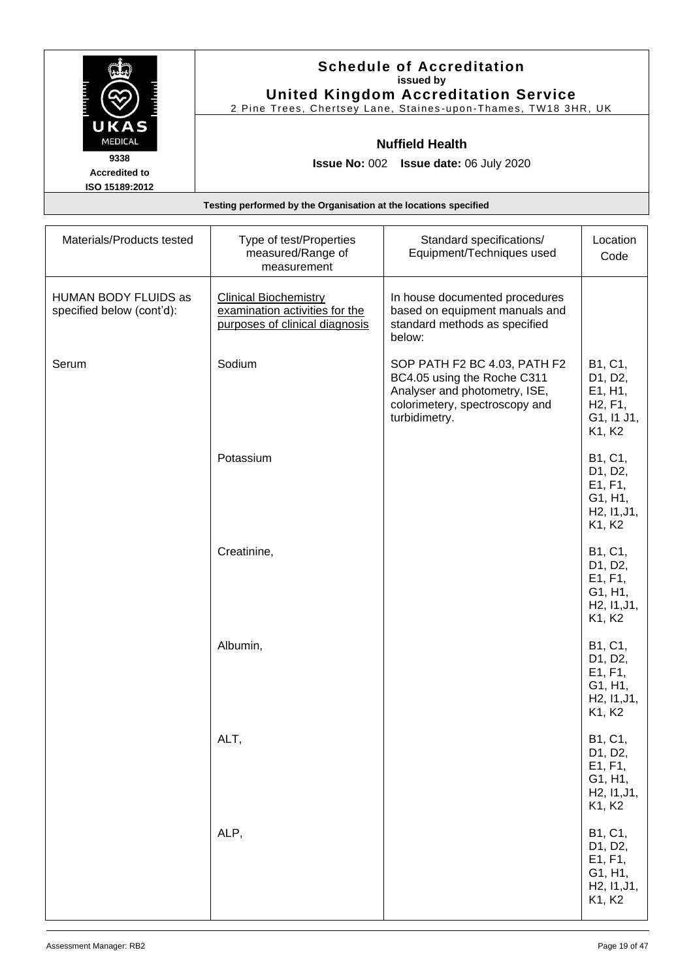|                                        | <b>Schedule of Accreditation</b><br>issued by<br><b>United Kingdom Accreditation Service</b> |
|----------------------------------------|----------------------------------------------------------------------------------------------|
|                                        | 2 Pine Trees, Chertsey Lane, Staines-upon-Thames, TW18 3HR, UK                               |
| UKAS<br><b>MEDICAL</b>                 | <b>Nuffield Health</b>                                                                       |
| 9338                                   | <b>Issue No: 002 Issue date: 06 July 2020</b>                                                |
| <b>Accredited to</b><br>ISO 15189:2012 |                                                                                              |
|                                        | Testing performed by the Organisation at the locations specified                             |

| Materials/Products tested                         | Type of test/Properties<br>measured/Range of<br>measurement                                      | Standard specifications/<br>Equipment/Techniques used                                                                                           | Location<br>Code                                                                            |
|---------------------------------------------------|--------------------------------------------------------------------------------------------------|-------------------------------------------------------------------------------------------------------------------------------------------------|---------------------------------------------------------------------------------------------|
| HUMAN BODY FLUIDS as<br>specified below (cont'd): | <b>Clinical Biochemistry</b><br>examination activities for the<br>purposes of clinical diagnosis | In house documented procedures<br>based on equipment manuals and<br>standard methods as specified<br>below:                                     |                                                                                             |
| Serum                                             | Sodium                                                                                           | SOP PATH F2 BC 4.03, PATH F2<br>BC4.05 using the Roche C311<br>Analyser and photometry, ISE,<br>colorimetery, spectroscopy and<br>turbidimetry. | B1, C1,<br>D1, D2,<br>E1, H1,<br>H <sub>2</sub> , F <sub>1</sub> ,<br>G1, I1 J1,<br>K1, K2  |
|                                                   | Potassium                                                                                        |                                                                                                                                                 | B1, C1,<br>D1, D2,<br>E1, F1,<br>G1, H1,<br>H <sub>2</sub> , 11, J <sub>1</sub> ,<br>K1, K2 |
|                                                   | Creatinine,                                                                                      |                                                                                                                                                 | B1, C1,<br>D1, D2,<br>E1, F1,<br>G1, H1,<br>H <sub>2</sub> , 11, J <sub>1</sub> ,<br>K1, K2 |
|                                                   | Albumin,                                                                                         |                                                                                                                                                 | B1, C1,<br>D1, D2,<br>E1, F1,<br>G1, H1,<br>H <sub>2</sub> , 11, J <sub>1</sub> ,<br>K1, K2 |
|                                                   | ALT,                                                                                             |                                                                                                                                                 | B1, C1,<br>D1, D2,<br>E1, F1,<br>G1, H1,<br>H2, I1, J1,<br>K1, K2                           |
|                                                   | ALP,                                                                                             |                                                                                                                                                 | B1, C1,<br>D1, D2,<br>E1, F1,<br>G1, H1,<br>H2, 11, J1,<br>K1, K2                           |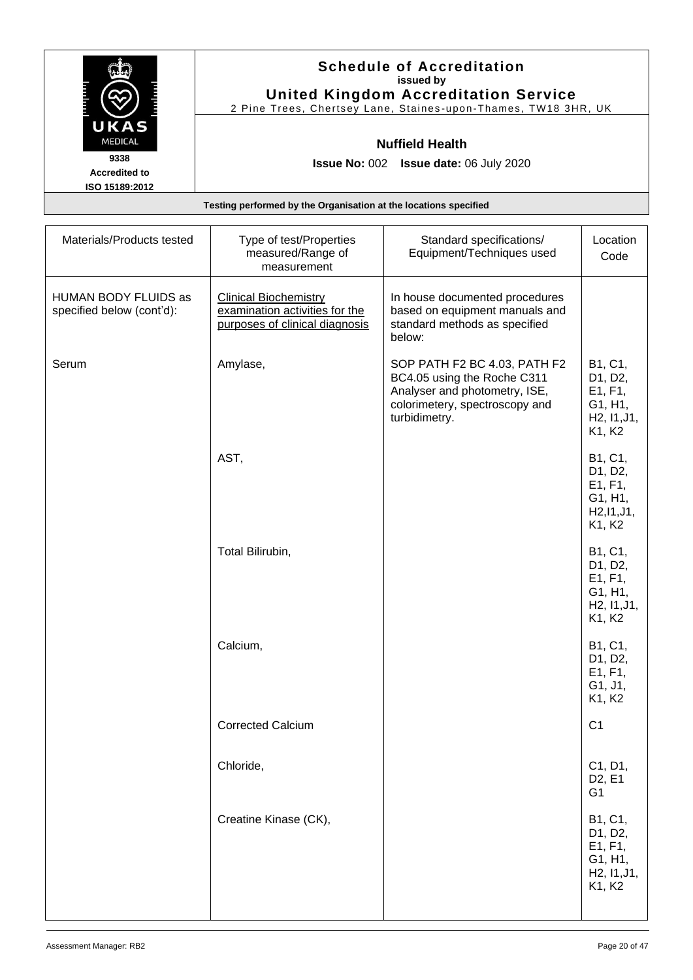|                                        | <b>Schedule of Accreditation</b><br>issued by<br><b>United Kingdom Accreditation Service</b> |
|----------------------------------------|----------------------------------------------------------------------------------------------|
|                                        | 2 Pine Trees, Chertsey Lane, Staines-upon-Thames, TW18 3HR, UK                               |
| UKAS<br><b>MEDICAL</b>                 | <b>Nuffield Health</b>                                                                       |
| 9338                                   | <b>Issue No: 002 Issue date: 06 July 2020</b>                                                |
| <b>Accredited to</b><br>ISO 15189:2012 |                                                                                              |
|                                        | Testing performed by the Organisation at the locations specified                             |

| Materials/Products tested                         | Type of test/Properties<br>measured/Range of<br>measurement                                      | Standard specifications/<br>Equipment/Techniques used                                                                                           | Location<br>Code                                                                            |
|---------------------------------------------------|--------------------------------------------------------------------------------------------------|-------------------------------------------------------------------------------------------------------------------------------------------------|---------------------------------------------------------------------------------------------|
| HUMAN BODY FLUIDS as<br>specified below (cont'd): | <b>Clinical Biochemistry</b><br>examination activities for the<br>purposes of clinical diagnosis | In house documented procedures<br>based on equipment manuals and<br>standard methods as specified<br>below:                                     |                                                                                             |
| Serum                                             | Amylase,                                                                                         | SOP PATH F2 BC 4.03, PATH F2<br>BC4.05 using the Roche C311<br>Analyser and photometry, ISE,<br>colorimetery, spectroscopy and<br>turbidimetry. | B1, C1,<br>D1, D2,<br>E1, F1,<br>G1, H1,<br>H2, 11, J1,<br>K1, K2                           |
|                                                   | AST,                                                                                             |                                                                                                                                                 | B1, C1,<br>D1, D2,<br>E1, F1,<br>G1, H1,<br>H2, I1, J1,<br>K1, K2                           |
|                                                   | Total Bilirubin,                                                                                 |                                                                                                                                                 | B1, C1,<br>D1, D2,<br>E1, F1,<br>G1, H1,<br>H <sub>2</sub> , 11, J <sub>1</sub> ,<br>K1, K2 |
|                                                   | Calcium,                                                                                         |                                                                                                                                                 | B1, C1,<br>D1, D2,<br>E1, F1,<br>G1, J1,<br>K1, K2                                          |
|                                                   | <b>Corrected Calcium</b>                                                                         |                                                                                                                                                 | C <sub>1</sub>                                                                              |
|                                                   | Chloride,                                                                                        |                                                                                                                                                 | C1, D1,<br>D <sub>2</sub> , E <sub>1</sub><br>G <sub>1</sub>                                |
|                                                   | Creatine Kinase (CK),                                                                            |                                                                                                                                                 | B1, C1,<br>D1, D2,<br>E1, F1,<br>G1, H1,<br>H <sub>2</sub> , 11, J <sub>1</sub> ,<br>K1, K2 |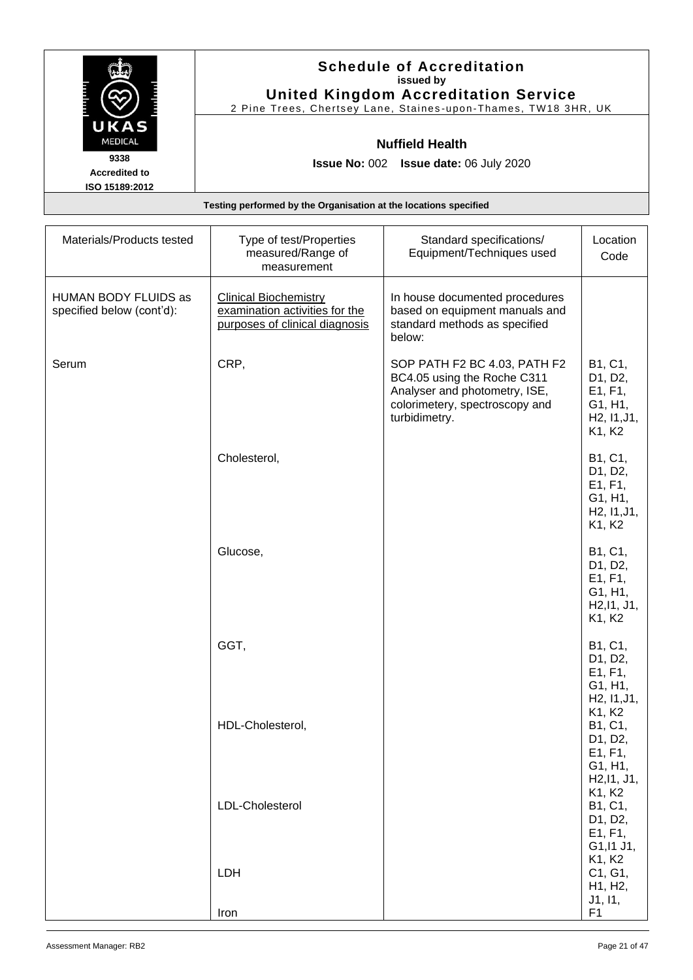|                              | <b>Schedule of Accreditation</b><br>issued by                                                                 |
|------------------------------|---------------------------------------------------------------------------------------------------------------|
|                              | <b>United Kingdom Accreditation Service</b><br>2 Pine Trees, Chertsey Lane, Staines-upon-Thames, TW18 3HR, UK |
| UKAS<br><b>MEDICAL</b>       | <b>Nuffield Health</b>                                                                                        |
| 9338<br><b>Accredited to</b> | <b>Issue No: 002 Issue date: 06 July 2020</b>                                                                 |
| ISO 15189:2012               | Testing performed by the Organisation at the locations specified                                              |

| Materials/Products tested                         | Type of test/Properties<br>measured/Range of<br>measurement                                      | Standard specifications/<br>Equipment/Techniques used                                                                                           | Location<br>Code                                                                            |
|---------------------------------------------------|--------------------------------------------------------------------------------------------------|-------------------------------------------------------------------------------------------------------------------------------------------------|---------------------------------------------------------------------------------------------|
| HUMAN BODY FLUIDS as<br>specified below (cont'd): | <b>Clinical Biochemistry</b><br>examination activities for the<br>purposes of clinical diagnosis | In house documented procedures<br>based on equipment manuals and<br>standard methods as specified<br>below:                                     |                                                                                             |
| Serum                                             | CRP,                                                                                             | SOP PATH F2 BC 4.03, PATH F2<br>BC4.05 using the Roche C311<br>Analyser and photometry, ISE,<br>colorimetery, spectroscopy and<br>turbidimetry. | B1, C1,<br>D1, D2,<br>E1, F1,<br>G1, H1,<br>H <sub>2</sub> , 11, J <sub>1</sub> ,<br>K1, K2 |
|                                                   | Cholesterol,                                                                                     |                                                                                                                                                 | B1, C1,<br>D1, D2,<br>E1, F1,<br>G1, H1,<br>H <sub>2</sub> , 11, J <sub>1</sub> ,<br>K1, K2 |
|                                                   | Glucose,                                                                                         |                                                                                                                                                 | B1, C1,<br>D1, D2,<br>E1, F1,<br>G1, H1,<br>H <sub>2</sub> , 11, J <sub>1</sub> ,<br>K1, K2 |
|                                                   | GGT,                                                                                             |                                                                                                                                                 | B1, C1,<br>D1, D2,<br>E1, F1,<br>G1, H1,<br>H <sub>2</sub> , 11, J <sub>1</sub> ,           |
|                                                   | HDL-Cholesterol,                                                                                 |                                                                                                                                                 | K1, K2<br>B1, C1,<br>D1, D2,<br>E1, F1,<br>G1, H1,<br>H2, I1, J1,<br>K1, K2                 |
|                                                   | LDL-Cholesterol                                                                                  |                                                                                                                                                 | B1, C1,<br>D1, D2,<br>E1, F1,<br>G1, I1 J1,                                                 |
|                                                   | LDH<br>Iron                                                                                      |                                                                                                                                                 | K1, K2<br>C1, G1,<br>H1, H2,<br>J1, I1,<br>F1                                               |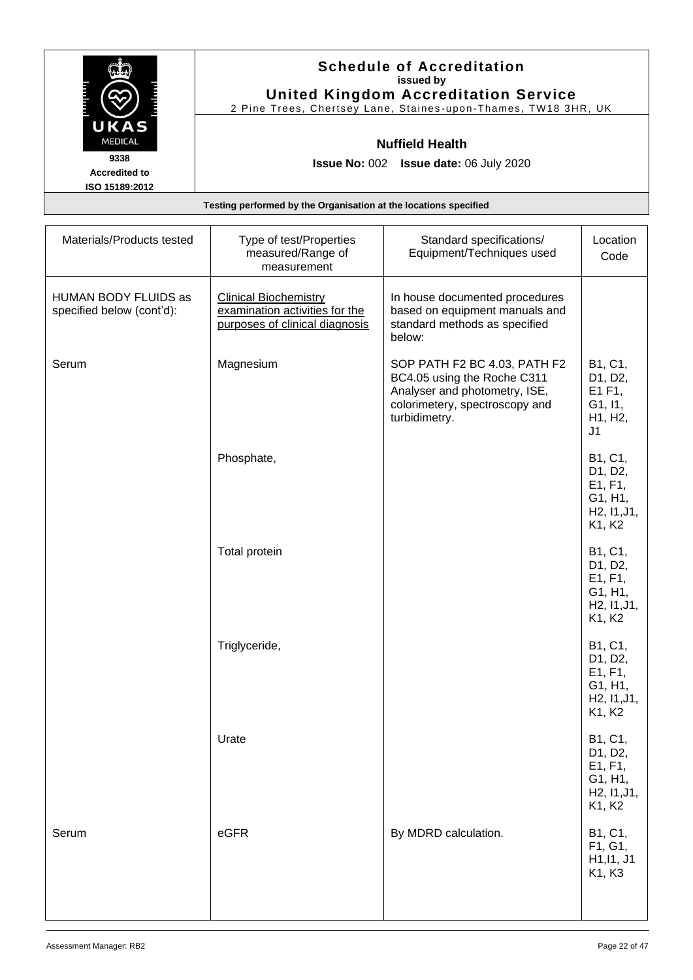|                                        | <b>Schedule of Accreditation</b><br>issued by<br><b>United Kingdom Accreditation Service</b> |
|----------------------------------------|----------------------------------------------------------------------------------------------|
|                                        | 2 Pine Trees, Chertsey Lane, Staines-upon-Thames, TW18 3HR, UK                               |
| UKAS<br><b>MEDICAL</b>                 | <b>Nuffield Health</b>                                                                       |
| 9338                                   | <b>Issue No: 002 Issue date: 06 July 2020</b>                                                |
| <b>Accredited to</b><br>ISO 15189:2012 |                                                                                              |
|                                        | Testing performed by the Organisation at the locations specified                             |

| Materials/Products tested                         | Type of test/Properties<br>measured/Range of<br>measurement                                      | Standard specifications/<br>Equipment/Techniques used                                                                                           | Location<br>Code                                                                            |
|---------------------------------------------------|--------------------------------------------------------------------------------------------------|-------------------------------------------------------------------------------------------------------------------------------------------------|---------------------------------------------------------------------------------------------|
| HUMAN BODY FLUIDS as<br>specified below (cont'd): | <b>Clinical Biochemistry</b><br>examination activities for the<br>purposes of clinical diagnosis | In house documented procedures<br>based on equipment manuals and<br>standard methods as specified<br>below:                                     |                                                                                             |
| Serum                                             | Magnesium                                                                                        | SOP PATH F2 BC 4.03, PATH F2<br>BC4.05 using the Roche C311<br>Analyser and photometry, ISE,<br>colorimetery, spectroscopy and<br>turbidimetry. | B1, C1,<br>D1, D2,<br>E1 F1,<br>G1, I1,<br>H1, H2,<br>J <sub>1</sub>                        |
|                                                   | Phosphate,                                                                                       |                                                                                                                                                 | B1, C1,<br>D1, D2,<br>E1, F1,<br>G1, H1,<br>H <sub>2</sub> , 11, J <sub>1</sub> ,<br>K1, K2 |
|                                                   | Total protein                                                                                    |                                                                                                                                                 | B1, C1,<br>D1, D2,<br>E1, F1,<br>G1, H1,<br>H2, 11, J1,<br>K1, K2                           |
|                                                   | Triglyceride,                                                                                    |                                                                                                                                                 | B1, C1,<br>D1, D2,<br>E1, F1,<br>G1, H1,<br>H <sub>2</sub> , 11, J <sub>1</sub> ,<br>K1, K2 |
|                                                   | Urate                                                                                            |                                                                                                                                                 | B1, C1,<br>D1, D2,<br>E1, F1,<br>G1, H1,<br>H2, 11, J1,<br>K1, K2                           |
| Serum                                             | eGFR                                                                                             | By MDRD calculation.                                                                                                                            | B1, C1,<br>F1, G1,<br>H1, I1, J1<br>K1, K3                                                  |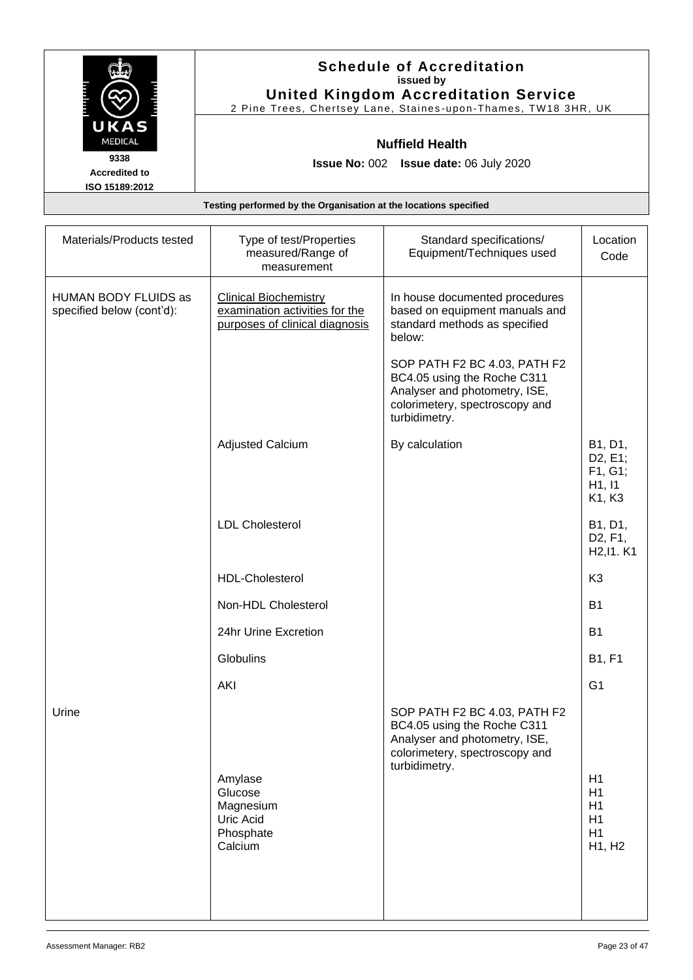| <b>Schedule of Accreditation</b><br>issued by                  |
|----------------------------------------------------------------|
| <b>United Kingdom Accreditation Service</b>                    |
| 2 Pine Trees, Chertsey Lane, Staines-upon-Thames, TW18 3HR, UK |
| <b>Nuffield Health</b>                                         |
| <b>Issue No: 002 Issue date: 06 July 2020</b>                  |
|                                                                |
|                                                                |
|                                                                |

| Materials/Products tested                         | Type of test/Properties<br>measured/Range of<br>measurement                                      | Standard specifications/<br>Equipment/Techniques used                                                                                           | Location<br>Code                                                                     |
|---------------------------------------------------|--------------------------------------------------------------------------------------------------|-------------------------------------------------------------------------------------------------------------------------------------------------|--------------------------------------------------------------------------------------|
| HUMAN BODY FLUIDS as<br>specified below (cont'd): | <b>Clinical Biochemistry</b><br>examination activities for the<br>purposes of clinical diagnosis | In house documented procedures<br>based on equipment manuals and<br>standard methods as specified<br>below:                                     |                                                                                      |
|                                                   |                                                                                                  | SOP PATH F2 BC 4.03, PATH F2<br>BC4.05 using the Roche C311<br>Analyser and photometry, ISE,<br>colorimetery, spectroscopy and<br>turbidimetry. |                                                                                      |
|                                                   | <b>Adjusted Calcium</b>                                                                          | By calculation                                                                                                                                  | B1, D1,<br>D <sub>2</sub> , E <sub>1</sub> ;<br>F1, G1;<br>H1, I1<br>K1, K3          |
|                                                   | <b>LDL Cholesterol</b>                                                                           |                                                                                                                                                 | B1, D1,<br>D <sub>2</sub> , F <sub>1</sub> ,<br>H <sub>2</sub> , 11 . K <sub>1</sub> |
|                                                   | <b>HDL-Cholesterol</b>                                                                           |                                                                                                                                                 | K <sub>3</sub>                                                                       |
|                                                   | Non-HDL Cholesterol                                                                              |                                                                                                                                                 | <b>B1</b>                                                                            |
|                                                   | 24hr Urine Excretion                                                                             |                                                                                                                                                 | <b>B1</b>                                                                            |
|                                                   | Globulins                                                                                        |                                                                                                                                                 | <b>B1, F1</b>                                                                        |
|                                                   | <b>AKI</b>                                                                                       |                                                                                                                                                 | G <sub>1</sub>                                                                       |
| Urine                                             | Amylase<br>Glucose<br>Magnesium<br>Uric Acid<br>Phosphate<br>Calcium                             | SOP PATH F2 BC 4.03, PATH F2<br>BC4.05 using the Roche C311<br>Analyser and photometry, ISE,<br>colorimetery, spectroscopy and<br>turbidimetry. | H1<br>H1<br>H1<br>H1<br>H1<br>H1, H2                                                 |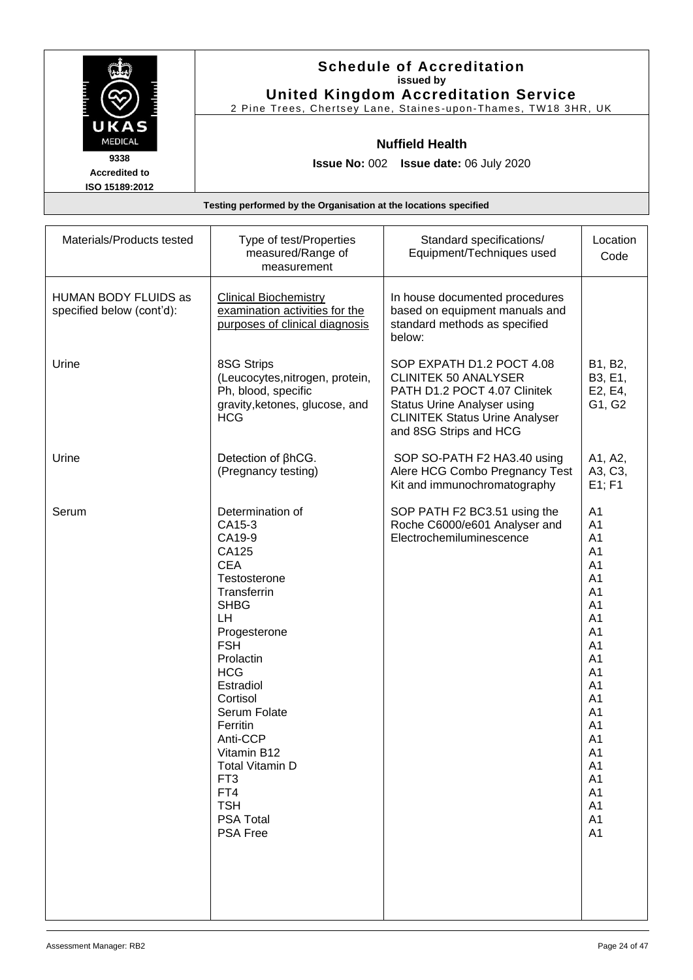|                                                | <b>Schedule of Accreditation</b><br>issued by<br><b>United Kingdom Accreditation Service</b><br>2 Pine Trees, Chertsey Lane, Staines-upon-Thames, TW18 3HR, UK |
|------------------------------------------------|----------------------------------------------------------------------------------------------------------------------------------------------------------------|
| UKAS<br><b>MEDICAL</b>                         | <b>Nuffield Health</b>                                                                                                                                         |
| 9338<br><b>Accredited to</b><br>ISO 15189:2012 | <b>Issue No: 002 Issue date: 06 July 2020</b>                                                                                                                  |
|                                                | Testing performed by the Organisation at the locations specified                                                                                               |

| Materials/Products tested                         | Type of test/Properties<br>measured/Range of<br>measurement                                                                                                                                                                                                                                                                                                       | Standard specifications/<br>Equipment/Techniques used                                                                                                                                             | Location<br>Code                                                                                                                                                                                                                                                                                                                                                                                                                                               |
|---------------------------------------------------|-------------------------------------------------------------------------------------------------------------------------------------------------------------------------------------------------------------------------------------------------------------------------------------------------------------------------------------------------------------------|---------------------------------------------------------------------------------------------------------------------------------------------------------------------------------------------------|----------------------------------------------------------------------------------------------------------------------------------------------------------------------------------------------------------------------------------------------------------------------------------------------------------------------------------------------------------------------------------------------------------------------------------------------------------------|
| HUMAN BODY FLUIDS as<br>specified below (cont'd): | <b>Clinical Biochemistry</b><br>examination activities for the<br>purposes of clinical diagnosis                                                                                                                                                                                                                                                                  | In house documented procedures<br>based on equipment manuals and<br>standard methods as specified<br>below:                                                                                       |                                                                                                                                                                                                                                                                                                                                                                                                                                                                |
| Urine                                             | 8SG Strips<br>(Leucocytes, nitrogen, protein,<br>Ph, blood, specific<br>gravity, ketones, glucose, and<br><b>HCG</b>                                                                                                                                                                                                                                              | SOP EXPATH D1.2 POCT 4.08<br><b>CLINITEK 50 ANALYSER</b><br>PATH D1.2 POCT 4.07 Clinitek<br><b>Status Urine Analyser using</b><br><b>CLINITEK Status Urine Analyser</b><br>and 8SG Strips and HCG | B1, B2,<br>B3, E1,<br>E2, E4,<br>G1, G2                                                                                                                                                                                                                                                                                                                                                                                                                        |
| Urine                                             | Detection of $\beta$ hCG.<br>(Pregnancy testing)                                                                                                                                                                                                                                                                                                                  | SOP SO-PATH F2 HA3.40 using<br>Alere HCG Combo Pregnancy Test<br>Kit and immunochromatography                                                                                                     | A1, A2,<br>A3, C3,<br>E1; F1                                                                                                                                                                                                                                                                                                                                                                                                                                   |
| Serum                                             | Determination of<br>CA15-3<br>CA19-9<br>CA125<br><b>CEA</b><br>Testosterone<br>Transferrin<br><b>SHBG</b><br>LH<br>Progesterone<br><b>FSH</b><br>Prolactin<br><b>HCG</b><br>Estradiol<br>Cortisol<br>Serum Folate<br>Ferritin<br>Anti-CCP<br>Vitamin B12<br><b>Total Vitamin D</b><br>FT <sub>3</sub><br>FT4<br><b>TSH</b><br><b>PSA Total</b><br><b>PSA Free</b> | SOP PATH F2 BC3.51 using the<br>Roche C6000/e601 Analyser and<br>Electrochemiluminescence                                                                                                         | A <sub>1</sub><br>A <sub>1</sub><br>A <sub>1</sub><br>A <sub>1</sub><br>A <sub>1</sub><br>A <sub>1</sub><br>A <sub>1</sub><br>A <sub>1</sub><br>A <sub>1</sub><br>A <sub>1</sub><br>A <sub>1</sub><br>A <sub>1</sub><br>A <sub>1</sub><br>A <sub>1</sub><br>A <sub>1</sub><br>A <sub>1</sub><br>A <sub>1</sub><br>A <sub>1</sub><br>A <sub>1</sub><br>A <sub>1</sub><br>A <sub>1</sub><br>A <sub>1</sub><br>A <sub>1</sub><br>A <sub>1</sub><br>A <sub>1</sub> |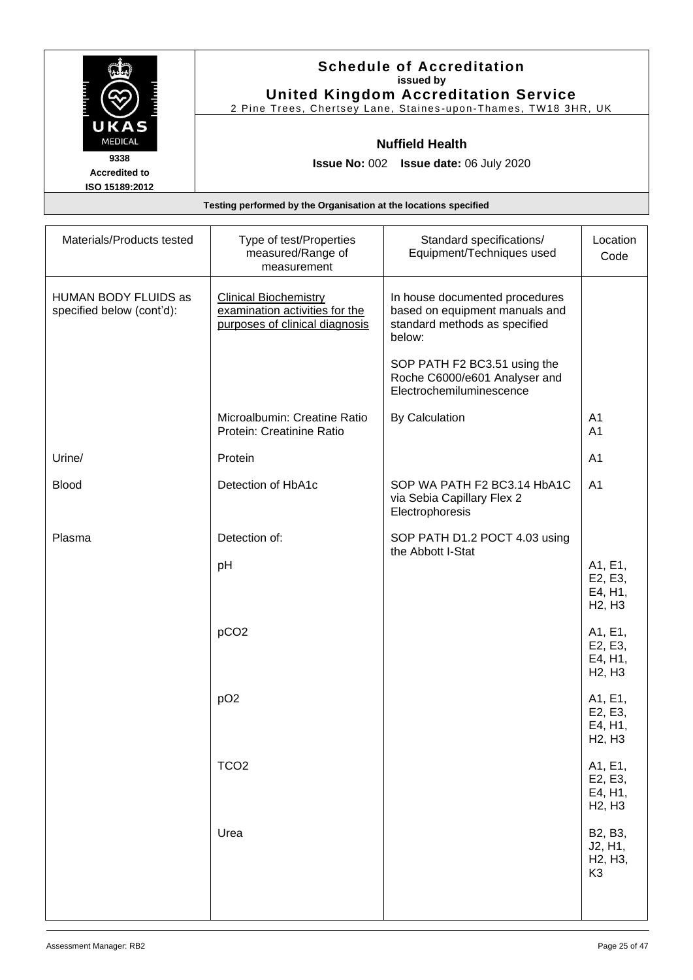| <b>Schedule of Accreditation</b><br>issued by                  |
|----------------------------------------------------------------|
| <b>United Kingdom Accreditation Service</b>                    |
| 2 Pine Trees, Chertsey Lane, Staines-upon-Thames, TW18 3HR, UK |
| <b>Nuffield Health</b>                                         |
| <b>Issue No: 002 Issue date: 06 July 2020</b>                  |
|                                                                |
|                                                                |
|                                                                |

| Materials/Products tested                         | Type of test/Properties<br>measured/Range of<br>measurement                                      | Standard specifications/<br>Equipment/Techniques used                                                       | Location<br>Code                                                          |
|---------------------------------------------------|--------------------------------------------------------------------------------------------------|-------------------------------------------------------------------------------------------------------------|---------------------------------------------------------------------------|
| HUMAN BODY FLUIDS as<br>specified below (cont'd): | <b>Clinical Biochemistry</b><br>examination activities for the<br>purposes of clinical diagnosis | In house documented procedures<br>based on equipment manuals and<br>standard methods as specified<br>below: |                                                                           |
|                                                   |                                                                                                  | SOP PATH F2 BC3.51 using the<br>Roche C6000/e601 Analyser and<br>Electrochemiluminescence                   |                                                                           |
|                                                   | Microalbumin: Creatine Ratio<br>Protein: Creatinine Ratio                                        | <b>By Calculation</b>                                                                                       | A <sub>1</sub><br>A <sub>1</sub>                                          |
| Urine/                                            | Protein                                                                                          |                                                                                                             | A <sub>1</sub>                                                            |
| <b>Blood</b>                                      | Detection of HbA1c                                                                               | SOP WA PATH F2 BC3.14 HbA1C<br>via Sebia Capillary Flex 2<br>Electrophoresis                                | A <sub>1</sub>                                                            |
| Plasma                                            | Detection of:                                                                                    | SOP PATH D1.2 POCT 4.03 using                                                                               |                                                                           |
|                                                   | pH                                                                                               | the Abbott I-Stat                                                                                           | A1, E1,<br>E2, E3,<br>E4, H1,<br>H <sub>2</sub> , H <sub>3</sub>          |
|                                                   | pCO <sub>2</sub>                                                                                 |                                                                                                             | A1, E1,<br>E2, E3,<br>E4, H1,<br>H <sub>2</sub> , H <sub>3</sub>          |
|                                                   | pO <sub>2</sub>                                                                                  |                                                                                                             | A1, E1,<br>E2, E3,<br>E4, H1,<br>H <sub>2</sub> , H <sub>3</sub>          |
|                                                   | TCO <sub>2</sub>                                                                                 |                                                                                                             | A1, E1,<br>E2, E3,<br>E4, H1,<br>H <sub>2</sub> , H <sub>3</sub>          |
|                                                   | Urea                                                                                             |                                                                                                             | B2, B3,<br>J2, H1,<br>H <sub>2</sub> , H <sub>3</sub> ,<br>K <sub>3</sub> |
|                                                   |                                                                                                  |                                                                                                             |                                                                           |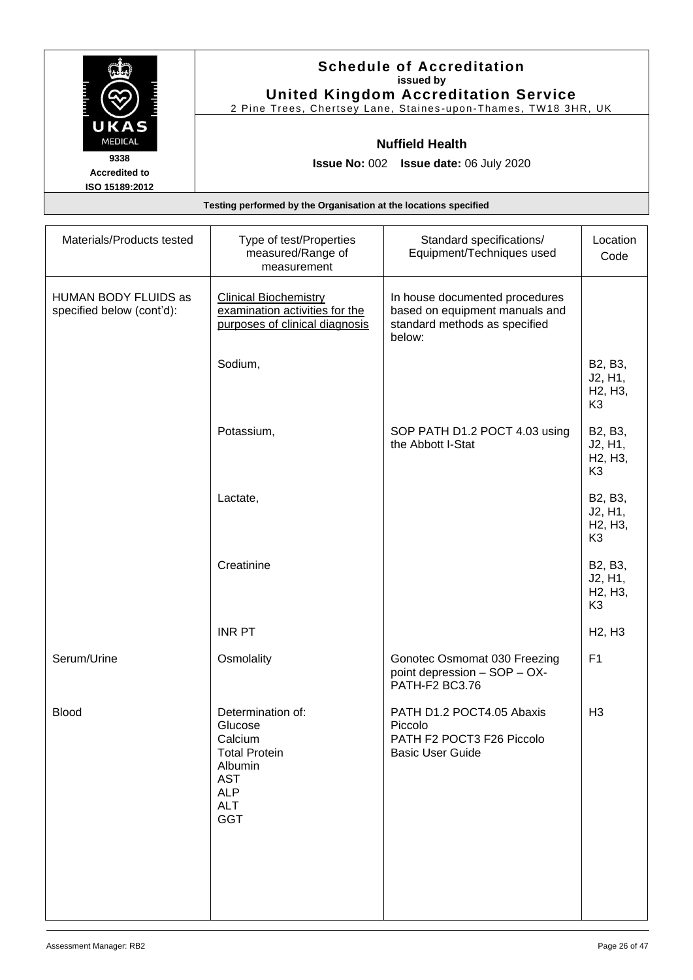|                        | <b>Schedule of Accreditation</b>                                 |
|------------------------|------------------------------------------------------------------|
|                        | issued by                                                        |
|                        | <b>United Kingdom Accreditation Service</b>                      |
|                        | 2 Pine Trees, Chertsey Lane, Staines-upon-Thames, TW18 3HR, UK   |
| UKAS<br><b>MEDICAL</b> | <b>Nuffield Health</b>                                           |
| 9338                   |                                                                  |
| <b>Accredited to</b>   | <b>Issue No: 002 Issue date: 06 July 2020</b>                    |
| ISO 15189:2012         |                                                                  |
|                        | Testing performed by the Organisation at the locations specified |

| Materials/Products tested                         | Type of test/Properties<br>measured/Range of<br>measurement                                                                        | Standard specifications/<br>Equipment/Techniques used                                                       | Location<br>Code                                                          |
|---------------------------------------------------|------------------------------------------------------------------------------------------------------------------------------------|-------------------------------------------------------------------------------------------------------------|---------------------------------------------------------------------------|
| HUMAN BODY FLUIDS as<br>specified below (cont'd): | <b>Clinical Biochemistry</b><br>examination activities for the<br>purposes of clinical diagnosis                                   | In house documented procedures<br>based on equipment manuals and<br>standard methods as specified<br>below: |                                                                           |
|                                                   | Sodium,                                                                                                                            |                                                                                                             | B2, B3,<br>J2, H1,<br>H <sub>2</sub> , H <sub>3</sub> ,<br>K <sub>3</sub> |
|                                                   | Potassium,                                                                                                                         | SOP PATH D1.2 POCT 4.03 using<br>the Abbott I-Stat                                                          | B2, B3,<br>J2, H1,<br>H <sub>2</sub> , H <sub>3</sub> ,<br>K <sub>3</sub> |
|                                                   | Lactate,                                                                                                                           |                                                                                                             | B2, B3,<br>J2, H1,<br>H <sub>2</sub> , H <sub>3</sub> ,<br>K <sub>3</sub> |
|                                                   | Creatinine                                                                                                                         |                                                                                                             | B2, B3,<br>J2, H1,<br>H <sub>2</sub> , H <sub>3</sub> ,<br>K <sub>3</sub> |
|                                                   | <b>INR PT</b>                                                                                                                      |                                                                                                             | H <sub>2</sub> , H <sub>3</sub>                                           |
| Serum/Urine                                       | Osmolality                                                                                                                         | Gonotec Osmomat 030 Freezing<br>point depression - SOP - OX-<br>PATH-F2 BC3.76                              | F <sub>1</sub>                                                            |
| <b>Blood</b>                                      | Determination of:<br>Glucose<br>Calcium<br><b>Total Protein</b><br>Albumin<br><b>AST</b><br><b>ALP</b><br><b>ALT</b><br><b>GGT</b> | PATH D1.2 POCT4.05 Abaxis<br>Piccolo<br>PATH F2 POCT3 F26 Piccolo<br><b>Basic User Guide</b>                | H <sub>3</sub>                                                            |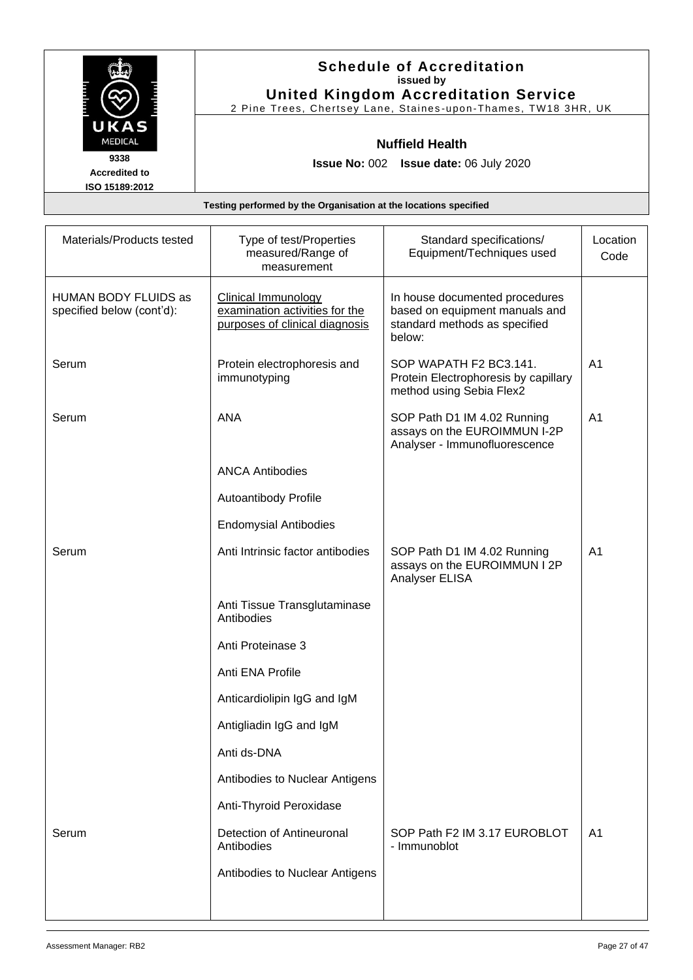|                                                                  | <b>Schedule of Accreditation</b><br>issued by<br><b>United Kingdom Accreditation Service</b><br>2 Pine Trees, Chertsey Lane, Staines-upon-Thames, TW18 3HR, UK |  |
|------------------------------------------------------------------|----------------------------------------------------------------------------------------------------------------------------------------------------------------|--|
| UKAS<br><b>MEDICAL</b>                                           | <b>Nuffield Health</b>                                                                                                                                         |  |
| 9338<br><b>Accredited to</b><br>ISO 15189:2012                   | <b>Issue No: 002 Issue date: 06 July 2020</b>                                                                                                                  |  |
| Testing performed by the Organisation at the locations specified |                                                                                                                                                                |  |

| Materials/Products tested                                | Type of test/Properties<br>measured/Range of<br>measurement                                    | Standard specifications/<br>Equipment/Techniques used                                                       | Location<br>Code |
|----------------------------------------------------------|------------------------------------------------------------------------------------------------|-------------------------------------------------------------------------------------------------------------|------------------|
| <b>HUMAN BODY FLUIDS as</b><br>specified below (cont'd): | <b>Clinical Immunology</b><br>examination activities for the<br>purposes of clinical diagnosis | In house documented procedures<br>based on equipment manuals and<br>standard methods as specified<br>below: |                  |
| Serum                                                    | Protein electrophoresis and<br>immunotyping                                                    | SOP WAPATH F2 BC3.141.<br>Protein Electrophoresis by capillary<br>method using Sebia Flex2                  | A <sub>1</sub>   |
| Serum                                                    | <b>ANA</b>                                                                                     | SOP Path D1 IM 4.02 Running<br>assays on the EUROIMMUN I-2P<br>Analyser - Immunofluorescence                | A <sub>1</sub>   |
|                                                          | <b>ANCA Antibodies</b>                                                                         |                                                                                                             |                  |
|                                                          | Autoantibody Profile                                                                           |                                                                                                             |                  |
|                                                          | <b>Endomysial Antibodies</b>                                                                   |                                                                                                             |                  |
| Serum                                                    | Anti Intrinsic factor antibodies                                                               | SOP Path D1 IM 4.02 Running<br>assays on the EUROIMMUN I 2P<br>Analyser ELISA                               | A <sub>1</sub>   |
|                                                          | Anti Tissue Transglutaminase<br>Antibodies                                                     |                                                                                                             |                  |
|                                                          | Anti Proteinase 3                                                                              |                                                                                                             |                  |
|                                                          | Anti ENA Profile                                                                               |                                                                                                             |                  |
|                                                          | Anticardiolipin IgG and IgM                                                                    |                                                                                                             |                  |
|                                                          | Antigliadin IgG and IgM                                                                        |                                                                                                             |                  |
|                                                          | Anti ds-DNA                                                                                    |                                                                                                             |                  |
|                                                          | Antibodies to Nuclear Antigens                                                                 |                                                                                                             |                  |
|                                                          | Anti-Thyroid Peroxidase                                                                        |                                                                                                             |                  |
| Serum                                                    | Detection of Antineuronal<br>Antibodies                                                        | SOP Path F2 IM 3.17 EUROBLOT<br>- Immunoblot                                                                | A <sub>1</sub>   |
|                                                          | Antibodies to Nuclear Antigens                                                                 |                                                                                                             |                  |
|                                                          |                                                                                                |                                                                                                             |                  |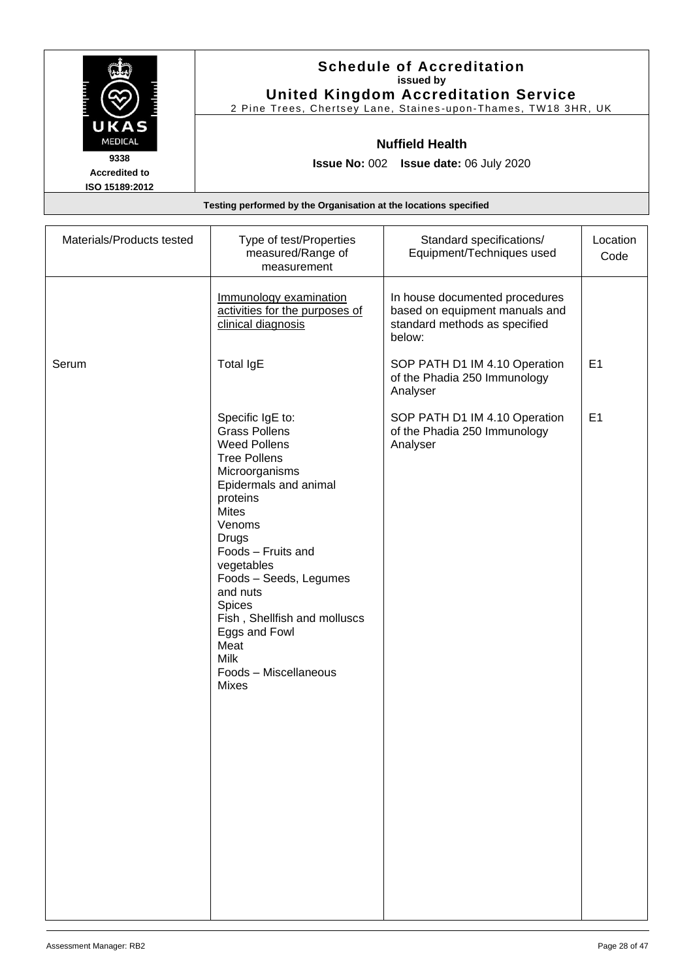|                                                | <b>Schedule of Accreditation</b><br>issued by<br><b>United Kingdom Accreditation Service</b><br>2 Pine Trees, Chertsey Lane, Staines-upon-Thames, TW18 3HR, UK |
|------------------------------------------------|----------------------------------------------------------------------------------------------------------------------------------------------------------------|
| UKAS<br><b>MEDICAL</b>                         | <b>Nuffield Health</b>                                                                                                                                         |
| 9338<br><b>Accredited to</b><br>ISO 15189:2012 | <b>Issue No: 002 Issue date: 06 July 2020</b>                                                                                                                  |
|                                                | Testing performed by the Organisation at the locations specified                                                                                               |

| Materials/Products tested | Type of test/Properties<br>measured/Range of<br>measurement                                                                                                                                                                                                                                                                                                                                  | Standard specifications/<br>Equipment/Techniques used                                                       | Location<br>Code |
|---------------------------|----------------------------------------------------------------------------------------------------------------------------------------------------------------------------------------------------------------------------------------------------------------------------------------------------------------------------------------------------------------------------------------------|-------------------------------------------------------------------------------------------------------------|------------------|
|                           | Immunology examination<br>activities for the purposes of<br>clinical diagnosis                                                                                                                                                                                                                                                                                                               | In house documented procedures<br>based on equipment manuals and<br>standard methods as specified<br>below: |                  |
| Serum                     | <b>Total IgE</b>                                                                                                                                                                                                                                                                                                                                                                             | SOP PATH D1 IM 4.10 Operation<br>of the Phadia 250 Immunology<br>Analyser                                   | E <sub>1</sub>   |
|                           | Specific IgE to:<br><b>Grass Pollens</b><br><b>Weed Pollens</b><br><b>Tree Pollens</b><br>Microorganisms<br>Epidermals and animal<br>proteins<br><b>Mites</b><br>Venoms<br><b>Drugs</b><br>Foods - Fruits and<br>vegetables<br>Foods - Seeds, Legumes<br>and nuts<br>Spices<br>Fish, Shellfish and molluscs<br>Eggs and Fowl<br>Meat<br><b>Milk</b><br>Foods - Miscellaneous<br><b>Mixes</b> | SOP PATH D1 IM 4.10 Operation<br>of the Phadia 250 Immunology<br>Analyser                                   | E1               |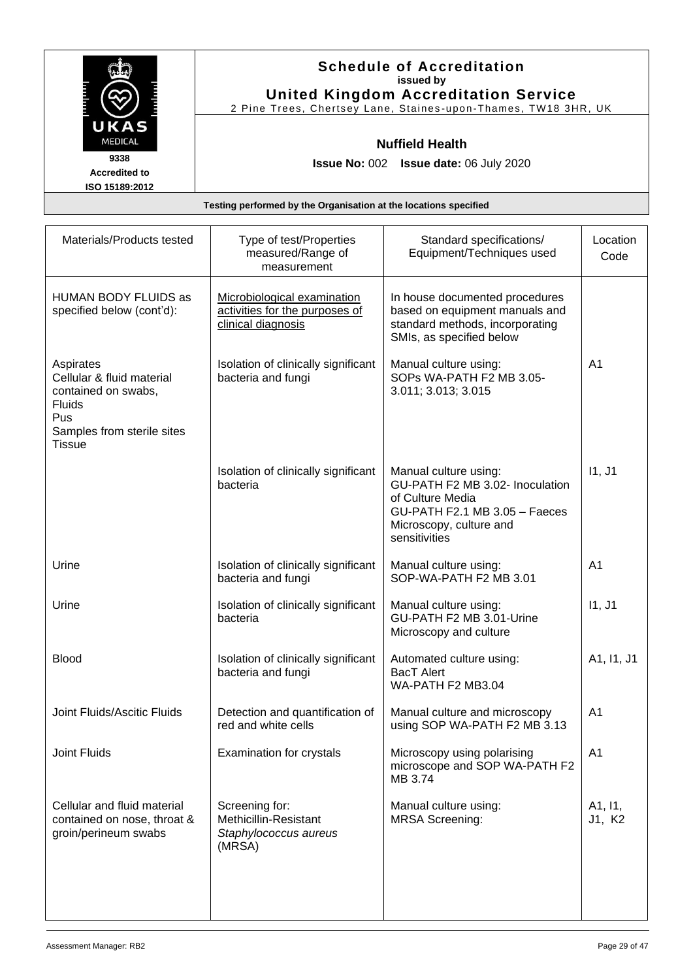|                        | <b>Schedule of Accreditation</b><br>issued by<br><b>United Kingdom Accreditation Service</b> |
|------------------------|----------------------------------------------------------------------------------------------|
|                        | 2 Pine Trees, Chertsey Lane, Staines-upon-Thames, TW18 3HR, UK                               |
| UKAS<br><b>MEDICAL</b> | <b>Nuffield Health</b>                                                                       |
| 9338                   | <b>Issue No: 002</b><br><b>Issue date: 06 July 2020</b>                                      |
| <b>Accredited to</b>   |                                                                                              |
| ISO 15189:2012         |                                                                                              |
|                        | Testing performed by the Organisation at the locations specified                             |

| Type of test/Properties<br>measured/Range of<br>measurement                         | Standard specifications/<br>Equipment/Techniques used                                                                                                     | Location<br>Code  |
|-------------------------------------------------------------------------------------|-----------------------------------------------------------------------------------------------------------------------------------------------------------|-------------------|
| Microbiological examination<br>activities for the purposes of<br>clinical diagnosis | In house documented procedures<br>based on equipment manuals and<br>standard methods, incorporating<br>SMIs, as specified below                           |                   |
| Isolation of clinically significant<br>bacteria and fungi                           | Manual culture using:<br>SOPs WA-PATH F2 MB 3.05-<br>3.011; 3.013; 3.015                                                                                  | A <sub>1</sub>    |
| Isolation of clinically significant<br>bacteria                                     | Manual culture using:<br>GU-PATH F2 MB 3.02- Inoculation<br>of Culture Media<br>GU-PATH F2.1 MB 3.05 - Faeces<br>Microscopy, culture and<br>sensitivities | 11, J1            |
| Isolation of clinically significant<br>bacteria and fungi                           | Manual culture using:<br>SOP-WA-PATH F2 MB 3.01                                                                                                           | A <sub>1</sub>    |
| Isolation of clinically significant<br>bacteria                                     | Manual culture using:<br>GU-PATH F2 MB 3.01-Urine<br>Microscopy and culture                                                                               | 11, J1            |
| Isolation of clinically significant<br>bacteria and fungi                           | Automated culture using:<br><b>BacT Alert</b><br>WA-PATH F2 MB3.04                                                                                        | A1, I1, J1        |
| Detection and quantification of<br>red and white cells                              | Manual culture and microscopy<br>using SOP WA-PATH F2 MB 3.13                                                                                             | A <sub>1</sub>    |
| Examination for crystals                                                            | Microscopy using polarising<br>microscope and SOP WA-PATH F2<br>MB 3.74                                                                                   | A1                |
| Screening for:<br>Methicillin-Resistant<br>Staphylococcus aureus<br>(MRSA)          | Manual culture using:<br><b>MRSA Screening:</b>                                                                                                           | A1, I1,<br>J1, K2 |
|                                                                                     |                                                                                                                                                           |                   |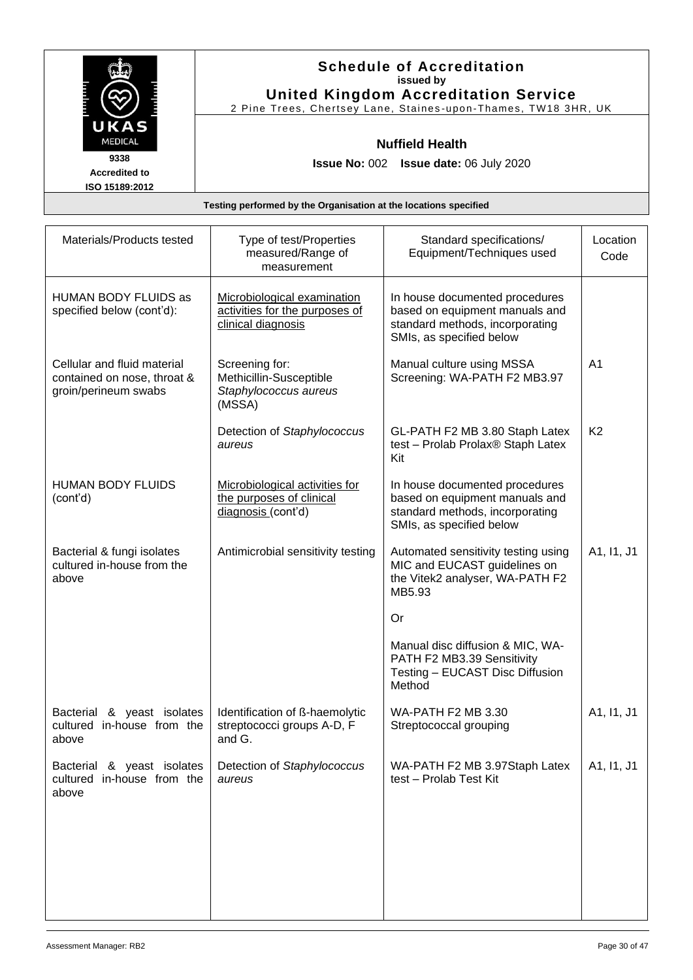|                                                | <b>Schedule of Accreditation</b><br>issued by<br><b>United Kingdom Accreditation Service</b><br>2 Pine Trees, Chertsey Lane, Staines-upon-Thames, TW18 3HR, UK |
|------------------------------------------------|----------------------------------------------------------------------------------------------------------------------------------------------------------------|
| UKAS<br><b>MEDICAL</b>                         | <b>Nuffield Health</b>                                                                                                                                         |
| 9338<br><b>Accredited to</b><br>ISO 15189:2012 | <b>Issue No: 002 Issue date: 06 July 2020</b>                                                                                                                  |
|                                                | Testing performed by the Organisation at the locations specified                                                                                               |

| Materials/Products tested                                                          | Type of test/Properties<br>measured/Range of<br>measurement                         | Standard specifications/<br>Equipment/Techniques used                                                                           | Location<br>Code |
|------------------------------------------------------------------------------------|-------------------------------------------------------------------------------------|---------------------------------------------------------------------------------------------------------------------------------|------------------|
| HUMAN BODY FLUIDS as<br>specified below (cont'd):                                  | Microbiological examination<br>activities for the purposes of<br>clinical diagnosis | In house documented procedures<br>based on equipment manuals and<br>standard methods, incorporating<br>SMIs, as specified below |                  |
| Cellular and fluid material<br>contained on nose, throat &<br>groin/perineum swabs | Screening for:<br>Methicillin-Susceptible<br>Staphylococcus aureus<br>(MSSA)        | Manual culture using MSSA<br>Screening: WA-PATH F2 MB3.97                                                                       | A <sub>1</sub>   |
|                                                                                    | Detection of Staphylococcus<br>aureus                                               | GL-PATH F2 MB 3.80 Staph Latex<br>test - Prolab Prolax® Staph Latex<br>Kit                                                      | K <sub>2</sub>   |
| <b>HUMAN BODY FLUIDS</b><br>(cont'd)                                               | Microbiological activities for<br>the purposes of clinical<br>diagnosis (cont'd)    | In house documented procedures<br>based on equipment manuals and<br>standard methods, incorporating<br>SMIs, as specified below |                  |
| Bacterial & fungi isolates<br>cultured in-house from the<br>above                  | Antimicrobial sensitivity testing                                                   | Automated sensitivity testing using<br>MIC and EUCAST guidelines on<br>the Vitek2 analyser, WA-PATH F2<br>MB5.93                | A1, I1, J1       |
|                                                                                    |                                                                                     | <b>Or</b>                                                                                                                       |                  |
|                                                                                    |                                                                                     | Manual disc diffusion & MIC, WA-<br>PATH F2 MB3.39 Sensitivity<br>Testing - EUCAST Disc Diffusion<br>Method                     |                  |
| Bacterial & yeast isolates<br>cultured in-house from the<br>above                  | Identification of ß-haemolytic<br>streptococci groups A-D, F<br>and G.              | <b>WA-PATH F2 MB 3.30</b><br>Streptococcal grouping                                                                             | A1, I1, J1       |
| Bacterial & yeast isolates<br>cultured in-house from the<br>above                  | Detection of Staphylococcus<br>aureus                                               | WA-PATH F2 MB 3.97Staph Latex<br>test - Prolab Test Kit                                                                         | A1, I1, J1       |
|                                                                                    |                                                                                     |                                                                                                                                 |                  |
|                                                                                    |                                                                                     |                                                                                                                                 |                  |
|                                                                                    |                                                                                     |                                                                                                                                 |                  |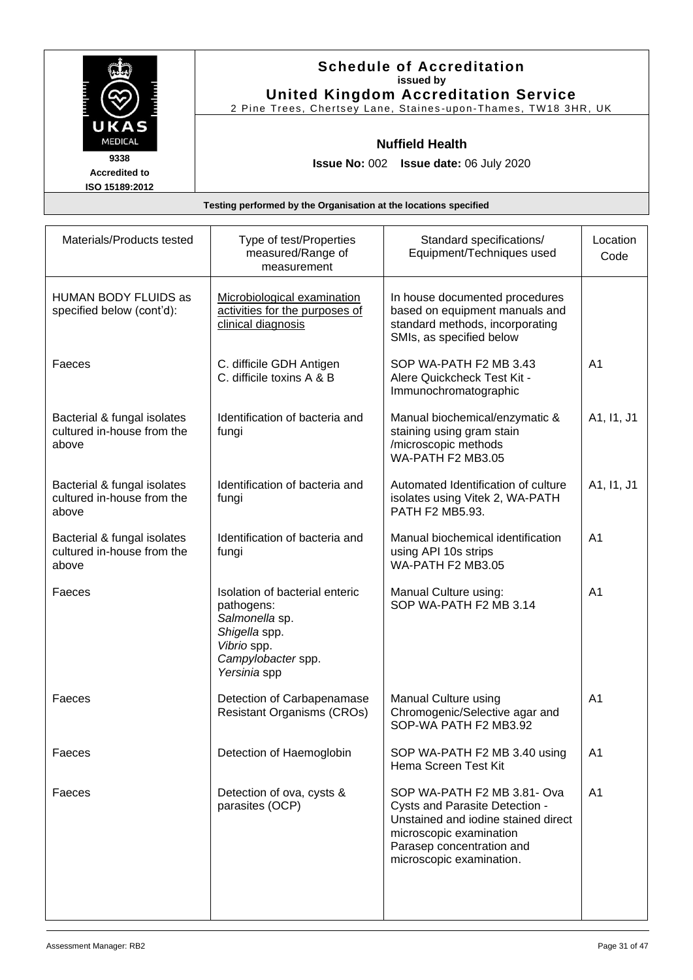|                                                | <b>Schedule of Accreditation</b><br>issued by                                                                 |
|------------------------------------------------|---------------------------------------------------------------------------------------------------------------|
|                                                | <b>United Kingdom Accreditation Service</b><br>2 Pine Trees, Chertsey Lane, Staines-upon-Thames, TW18 3HR, UK |
| <b>UKAS</b><br><b>MEDICAL</b>                  | <b>Nuffield Health</b>                                                                                        |
| 9338<br><b>Accredited to</b><br>ISO 15189:2012 | <b>Issue No: 002 Issue date: 06 July 2020</b>                                                                 |

| Materials/Products tested                                          | Type of test/Properties<br>measured/Range of<br>measurement                                                                          | Standard specifications/<br>Equipment/Techniques used                                                                                                                                    | Location<br>Code |
|--------------------------------------------------------------------|--------------------------------------------------------------------------------------------------------------------------------------|------------------------------------------------------------------------------------------------------------------------------------------------------------------------------------------|------------------|
| <b>HUMAN BODY FLUIDS as</b><br>specified below (cont'd):           | Microbiological examination<br>activities for the purposes of<br>clinical diagnosis                                                  | In house documented procedures<br>based on equipment manuals and<br>standard methods, incorporating<br>SMIs, as specified below                                                          |                  |
| Faeces                                                             | C. difficile GDH Antigen<br>C. difficile toxins A & B                                                                                | SOP WA-PATH F2 MB 3.43<br>Alere Quickcheck Test Kit -<br>Immunochromatographic                                                                                                           | A <sub>1</sub>   |
| Bacterial & fungal isolates<br>cultured in-house from the<br>above | Identification of bacteria and<br>fungi                                                                                              | Manual biochemical/enzymatic &<br>staining using gram stain<br>/microscopic methods<br>WA-PATH F2 MB3.05                                                                                 | A1, I1, J1       |
| Bacterial & fungal isolates<br>cultured in-house from the<br>above | Identification of bacteria and<br>fungi                                                                                              | Automated Identification of culture<br>isolates using Vitek 2, WA-PATH<br>PATH F2 MB5.93.                                                                                                | A1, I1, J1       |
| Bacterial & fungal isolates<br>cultured in-house from the<br>above | Identification of bacteria and<br>fungi                                                                                              | Manual biochemical identification<br>using API 10s strips<br>WA-PATH F2 MB3.05                                                                                                           | A <sub>1</sub>   |
| Faeces                                                             | Isolation of bacterial enteric<br>pathogens:<br>Salmonella sp.<br>Shigella spp.<br>Vibrio spp.<br>Campylobacter spp.<br>Yersinia spp | Manual Culture using:<br>SOP WA-PATH F2 MB 3.14                                                                                                                                          | A <sub>1</sub>   |
| Faeces                                                             | Detection of Carbapenamase<br><b>Resistant Organisms (CROs)</b>                                                                      | Manual Culture using<br>Chromogenic/Selective agar and<br>SOP-WA PATH F2 MB3.92                                                                                                          | A <sub>1</sub>   |
| Faeces                                                             | Detection of Haemoglobin                                                                                                             | SOP WA-PATH F2 MB 3.40 using<br>Hema Screen Test Kit                                                                                                                                     | A <sub>1</sub>   |
| Faeces                                                             | Detection of ova, cysts &<br>parasites (OCP)                                                                                         | SOP WA-PATH F2 MB 3.81- Ova<br>Cysts and Parasite Detection -<br>Unstained and iodine stained direct<br>microscopic examination<br>Parasep concentration and<br>microscopic examination. | A <sub>1</sub>   |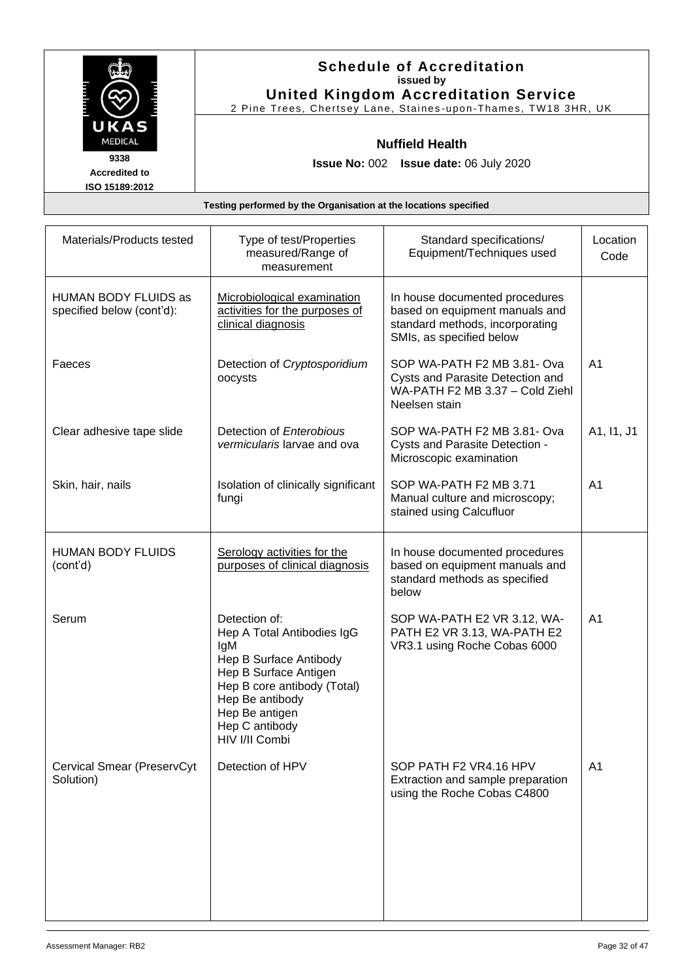|                                                | <b>Schedule of Accreditation</b><br>issued by<br><b>United Kingdom Accreditation Service</b><br>2 Pine Trees, Chertsey Lane, Staines-upon-Thames, TW18 3HR, UK |
|------------------------------------------------|----------------------------------------------------------------------------------------------------------------------------------------------------------------|
| UKAS<br><b>MEDICAL</b>                         | <b>Nuffield Health</b>                                                                                                                                         |
| 9338<br><b>Accredited to</b><br>ISO 15189:2012 | <b>Issue No: 002 Issue date: 06 July 2020</b>                                                                                                                  |

| Materials/Products tested                         | Type of test/Properties<br>measured/Range of<br>measurement                                                                                                                                                   | Standard specifications/<br>Equipment/Techniques used                                                                           | Location<br>Code |
|---------------------------------------------------|---------------------------------------------------------------------------------------------------------------------------------------------------------------------------------------------------------------|---------------------------------------------------------------------------------------------------------------------------------|------------------|
| HUMAN BODY FLUIDS as<br>specified below (cont'd): | Microbiological examination<br>activities for the purposes of<br>clinical diagnosis                                                                                                                           | In house documented procedures<br>based on equipment manuals and<br>standard methods, incorporating<br>SMIs, as specified below |                  |
| Faeces                                            | Detection of Cryptosporidium<br>oocysts                                                                                                                                                                       | SOP WA-PATH F2 MB 3.81- Ova<br>Cysts and Parasite Detection and<br>WA-PATH F2 MB 3.37 - Cold Ziehl<br>Neelsen stain             | A <sub>1</sub>   |
| Clear adhesive tape slide                         | Detection of Enterobious<br>vermicularis larvae and ova                                                                                                                                                       | SOP WA-PATH F2 MB 3.81- Ova<br>Cysts and Parasite Detection -<br>Microscopic examination                                        | A1, I1, J1       |
| Skin, hair, nails                                 | Isolation of clinically significant<br>fungi                                                                                                                                                                  | SOP WA-PATH F2 MB 3.71<br>Manual culture and microscopy;<br>stained using Calcufluor                                            | A <sub>1</sub>   |
| <b>HUMAN BODY FLUIDS</b><br>(cont'd)              | Serology activities for the<br>purposes of clinical diagnosis                                                                                                                                                 | In house documented procedures<br>based on equipment manuals and<br>standard methods as specified<br>below                      |                  |
| Serum                                             | Detection of:<br>Hep A Total Antibodies IgG<br>IgM<br>Hep B Surface Antibody<br>Hep B Surface Antigen<br>Hep B core antibody (Total)<br>Hep Be antibody<br>Hep Be antigen<br>Hep C antibody<br>HIV I/II Combi | SOP WA-PATH E2 VR 3.12, WA-<br>PATH E2 VR 3.13, WA-PATH E2<br>VR3.1 using Roche Cobas 6000                                      | A <sub>1</sub>   |
| Cervical Smear (PreservCyt<br>Solution)           | Detection of HPV                                                                                                                                                                                              | SOP PATH F2 VR4.16 HPV<br>Extraction and sample preparation<br>using the Roche Cobas C4800                                      | A <sub>1</sub>   |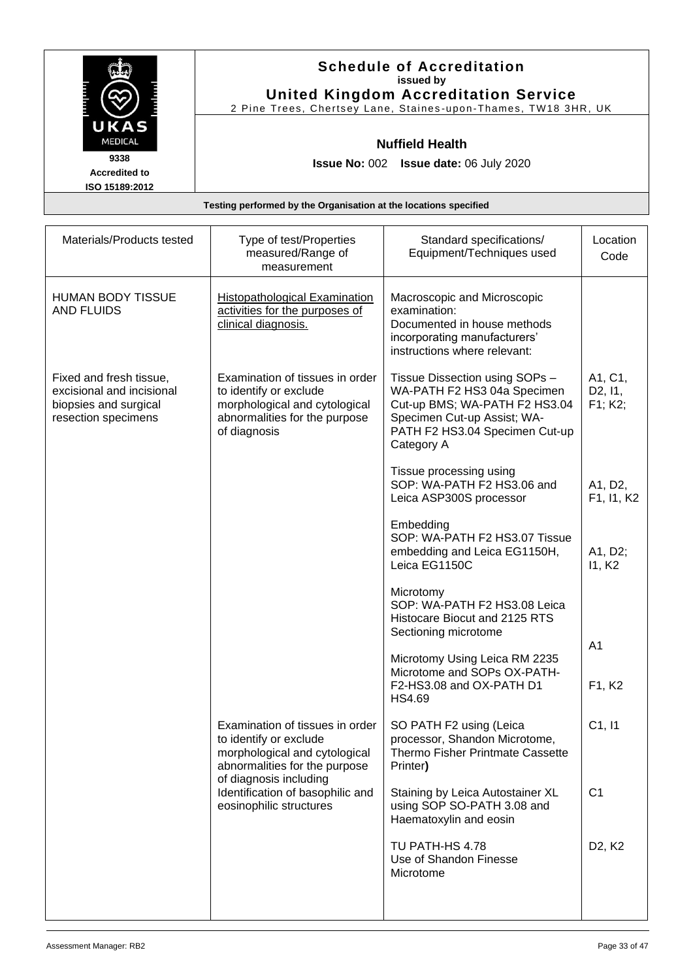|                                                                  | <b>Schedule of Accreditation</b><br>issued by<br><b>United Kingdom Accreditation Service</b><br>2 Pine Trees, Chertsey Lane, Staines-upon-Thames, TW18 3HR, UK |  |
|------------------------------------------------------------------|----------------------------------------------------------------------------------------------------------------------------------------------------------------|--|
| UKAS<br><b>MEDICAL</b>                                           | <b>Nuffield Health</b>                                                                                                                                         |  |
| 9338<br><b>Accredited to</b><br>ISO 15189:2012                   | <b>Issue No: 002 Issue date: 06 July 2020</b>                                                                                                                  |  |
| Testing performed by the Organisation at the locations specified |                                                                                                                                                                |  |

| Materials/Products tested                                                                            | Type of test/Properties<br>measured/Range of<br>measurement                                                                                 | Standard specifications/<br>Equipment/Techniques used                                                                                                                         | Location<br>Code                           |
|------------------------------------------------------------------------------------------------------|---------------------------------------------------------------------------------------------------------------------------------------------|-------------------------------------------------------------------------------------------------------------------------------------------------------------------------------|--------------------------------------------|
| <b>HUMAN BODY TISSUE</b><br><b>AND FLUIDS</b>                                                        | <b>Histopathological Examination</b><br>activities for the purposes of<br>clinical diagnosis.                                               | Macroscopic and Microscopic<br>examination:<br>Documented in house methods<br>incorporating manufacturers'<br>instructions where relevant:                                    |                                            |
| Fixed and fresh tissue,<br>excisional and incisional<br>biopsies and surgical<br>resection specimens | Examination of tissues in order<br>to identify or exclude<br>morphological and cytological<br>abnormalities for the purpose<br>of diagnosis | Tissue Dissection using SOPs -<br>WA-PATH F2 HS3 04a Specimen<br>Cut-up BMS; WA-PATH F2 HS3.04<br>Specimen Cut-up Assist; WA-<br>PATH F2 HS3.04 Specimen Cut-up<br>Category A | A1, C1,<br>D <sub>2</sub> , 11,<br>F1; K2; |
|                                                                                                      |                                                                                                                                             | Tissue processing using<br>SOP: WA-PATH F2 HS3.06 and<br>Leica ASP300S processor                                                                                              | A1, D2,<br>F1, I1, K2                      |
|                                                                                                      |                                                                                                                                             | Embedding<br>SOP: WA-PATH F2 HS3.07 Tissue<br>embedding and Leica EG1150H,<br>Leica EG1150C                                                                                   | A1, D2;<br>11, K <sub>2</sub>              |
|                                                                                                      |                                                                                                                                             | Microtomy<br>SOP: WA-PATH F2 HS3.08 Leica<br>Histocare Biocut and 2125 RTS<br>Sectioning microtome                                                                            |                                            |
|                                                                                                      |                                                                                                                                             | Microtomy Using Leica RM 2235<br>Microtome and SOPs OX-PATH-<br>F2-HS3.08 and OX-PATH D1<br>HS4.69                                                                            | A <sub>1</sub><br>F1, K2                   |
|                                                                                                      | Examination of tissues in order<br>to identify or exclude<br>morphological and cytological<br>abnormalities for the purpose                 | SO PATH F2 using (Leica<br>processor, Shandon Microtome,<br>Thermo Fisher Printmate Cassette<br>Printer)                                                                      | C1, 11                                     |
| of diagnosis including<br>Identification of basophilic and<br>eosinophilic structures                | Staining by Leica Autostainer XL<br>using SOP SO-PATH 3.08 and<br>Haematoxylin and eosin                                                    | C <sub>1</sub>                                                                                                                                                                |                                            |
|                                                                                                      |                                                                                                                                             | TU PATH-HS 4.78<br>Use of Shandon Finesse<br>Microtome                                                                                                                        | D <sub>2</sub> , K <sub>2</sub>            |
|                                                                                                      |                                                                                                                                             |                                                                                                                                                                               |                                            |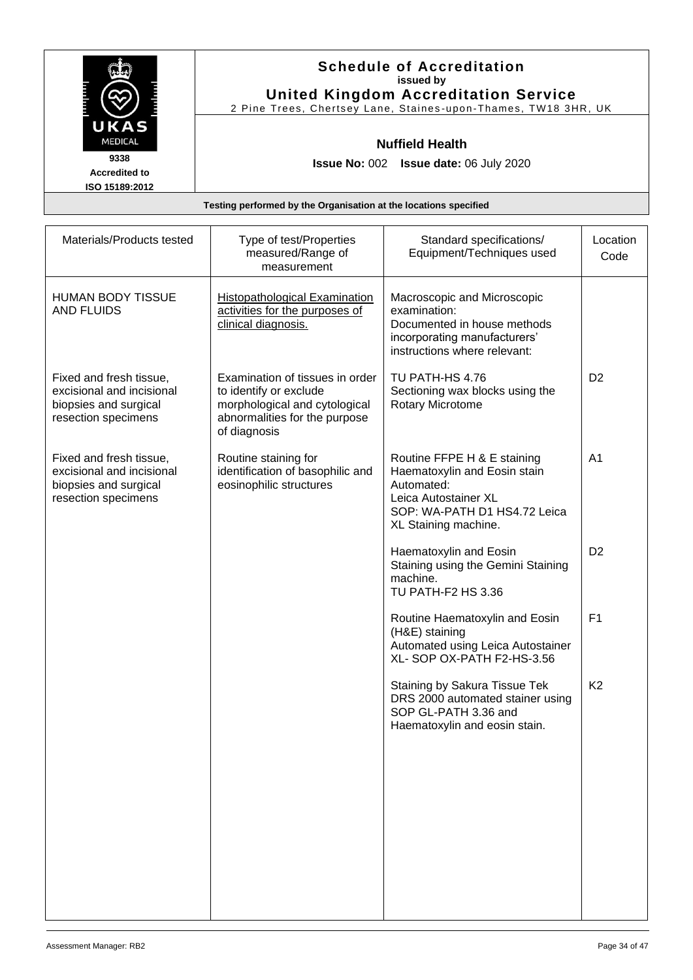|                                                                  | <b>Schedule of Accreditation</b><br>issued by<br><b>United Kingdom Accreditation Service</b><br>2 Pine Trees, Chertsey Lane, Staines-upon-Thames, TW18 3HR, UK |  |
|------------------------------------------------------------------|----------------------------------------------------------------------------------------------------------------------------------------------------------------|--|
| UKAS<br><b>MEDICAL</b>                                           | <b>Nuffield Health</b>                                                                                                                                         |  |
| 9338<br><b>Accredited to</b><br>ISO 15189:2012                   | <b>Issue No: 002 Issue date: 06 July 2020</b>                                                                                                                  |  |
| Testing performed by the Organisation at the locations specified |                                                                                                                                                                |  |

| Materials/Products tested                                                                            | Type of test/Properties<br>measured/Range of<br>measurement                                                                                 | Standard specifications/<br>Equipment/Techniques used                                                                                                     | Location<br>Code |
|------------------------------------------------------------------------------------------------------|---------------------------------------------------------------------------------------------------------------------------------------------|-----------------------------------------------------------------------------------------------------------------------------------------------------------|------------------|
| <b>HUMAN BODY TISSUE</b><br><b>AND FLUIDS</b>                                                        | <b>Histopathological Examination</b><br>activities for the purposes of<br>clinical diagnosis.                                               | Macroscopic and Microscopic<br>examination:<br>Documented in house methods<br>incorporating manufacturers'<br>instructions where relevant:                |                  |
| Fixed and fresh tissue,<br>excisional and incisional<br>biopsies and surgical<br>resection specimens | Examination of tissues in order<br>to identify or exclude<br>morphological and cytological<br>abnormalities for the purpose<br>of diagnosis | TU PATH-HS 4.76<br>Sectioning wax blocks using the<br>Rotary Microtome                                                                                    | D <sub>2</sub>   |
| Fixed and fresh tissue,<br>excisional and incisional<br>biopsies and surgical<br>resection specimens | Routine staining for<br>identification of basophilic and<br>eosinophilic structures                                                         | Routine FFPE H & E staining<br>Haematoxylin and Eosin stain<br>Automated:<br>Leica Autostainer XL<br>SOP: WA-PATH D1 HS4.72 Leica<br>XL Staining machine. | A <sub>1</sub>   |
|                                                                                                      |                                                                                                                                             | Haematoxylin and Eosin<br>Staining using the Gemini Staining<br>machine.<br>TU PATH-F2 HS 3.36                                                            | D <sub>2</sub>   |
|                                                                                                      |                                                                                                                                             | Routine Haematoxylin and Eosin<br>(H&E) staining<br>Automated using Leica Autostainer<br>XL-SOP OX-PATH F2-HS-3.56                                        | F <sub>1</sub>   |
|                                                                                                      |                                                                                                                                             | Staining by Sakura Tissue Tek<br>DRS 2000 automated stainer using<br>SOP GL-PATH 3.36 and<br>Haematoxylin and eosin stain.                                | K <sub>2</sub>   |
|                                                                                                      |                                                                                                                                             |                                                                                                                                                           |                  |
|                                                                                                      |                                                                                                                                             |                                                                                                                                                           |                  |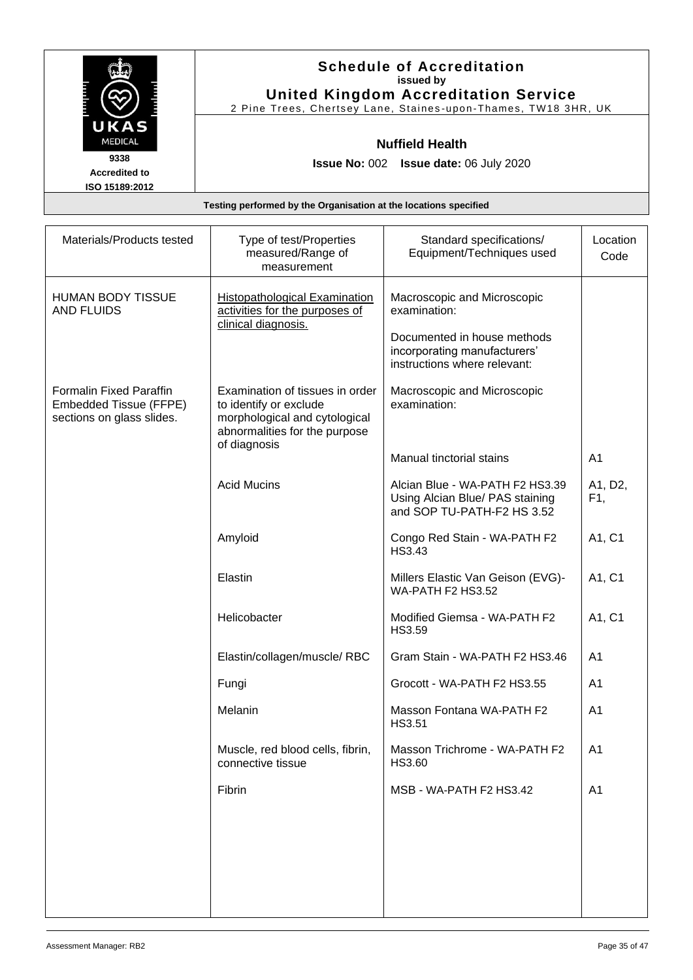|                                                | <b>Schedule of Accreditation</b><br>issued by<br><b>United Kingdom Accreditation Service</b><br>2 Pine Trees, Chertsey Lane, Staines-upon-Thames, TW18 3HR, UK |
|------------------------------------------------|----------------------------------------------------------------------------------------------------------------------------------------------------------------|
| UKAS<br><b>MEDICAL</b>                         | <b>Nuffield Health</b>                                                                                                                                         |
| 9338<br><b>Accredited to</b><br>ISO 15189:2012 | <b>Issue No: 002 Issue date: 06 July 2020</b>                                                                                                                  |
|                                                | Testing performed by the Organisation at the locations specified                                                                                               |

| Materials/Products tested                                                             | Type of test/Properties<br>measured/Range of<br>measurement                                                                                 | Standard specifications/<br>Equipment/Techniques used                                                                                      | Location<br>Code |
|---------------------------------------------------------------------------------------|---------------------------------------------------------------------------------------------------------------------------------------------|--------------------------------------------------------------------------------------------------------------------------------------------|------------------|
| <b>HUMAN BODY TISSUE</b><br><b>AND FLUIDS</b>                                         | <b>Histopathological Examination</b><br>activities for the purposes of<br>clinical diagnosis.                                               | Macroscopic and Microscopic<br>examination:<br>Documented in house methods<br>incorporating manufacturers'<br>instructions where relevant: |                  |
| <b>Formalin Fixed Paraffin</b><br>Embedded Tissue (FFPE)<br>sections on glass slides. | Examination of tissues in order<br>to identify or exclude<br>morphological and cytological<br>abnormalities for the purpose<br>of diagnosis | Macroscopic and Microscopic<br>examination:                                                                                                |                  |
|                                                                                       |                                                                                                                                             | Manual tinctorial stains                                                                                                                   | A <sub>1</sub>   |
|                                                                                       | <b>Acid Mucins</b>                                                                                                                          | Alcian Blue - WA-PATH F2 HS3.39<br>Using Alcian Blue/ PAS staining<br>and SOP TU-PATH-F2 HS 3.52                                           | A1, D2,<br>F1,   |
|                                                                                       | Amyloid                                                                                                                                     | Congo Red Stain - WA-PATH F2<br>HS3.43                                                                                                     | A1, C1           |
|                                                                                       | Elastin                                                                                                                                     | Millers Elastic Van Geison (EVG)-<br>WA-PATH F2 HS3.52                                                                                     | A1, C1           |
|                                                                                       | Helicobacter                                                                                                                                | Modified Giemsa - WA-PATH F2<br>HS3.59                                                                                                     | A1, C1           |
|                                                                                       | Elastin/collagen/muscle/RBC                                                                                                                 | Gram Stain - WA-PATH F2 HS3.46                                                                                                             | A <sub>1</sub>   |
|                                                                                       | Fungi                                                                                                                                       | Grocott - WA-PATH F2 HS3.55                                                                                                                | A <sub>1</sub>   |
|                                                                                       | Melanin                                                                                                                                     | Masson Fontana WA-PATH F2<br><b>HS3.51</b>                                                                                                 | A <sub>1</sub>   |
|                                                                                       | Muscle, red blood cells, fibrin,<br>connective tissue                                                                                       | Masson Trichrome - WA-PATH F2<br>HS3.60                                                                                                    | A <sub>1</sub>   |
|                                                                                       | Fibrin                                                                                                                                      | MSB - WA-PATH F2 HS3.42                                                                                                                    | A <sub>1</sub>   |
|                                                                                       |                                                                                                                                             |                                                                                                                                            |                  |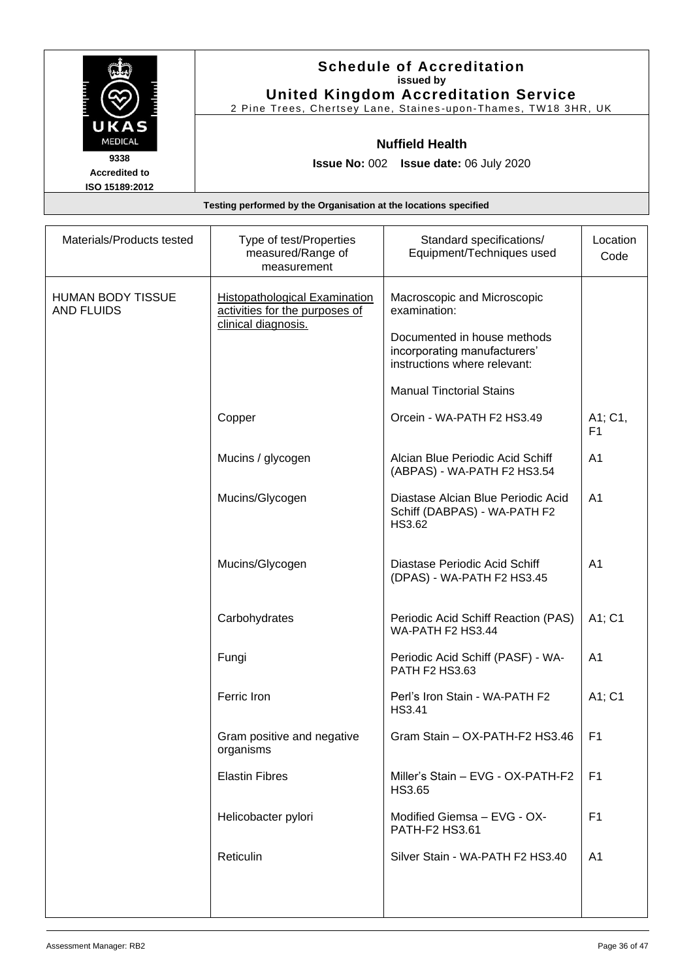|                        | <b>Schedule of Accreditation</b><br>issued by<br><b>United Kingdom Accreditation Service</b> |
|------------------------|----------------------------------------------------------------------------------------------|
|                        | 2 Pine Trees, Chertsey Lane, Staines-upon-Thames, TW18 3HR, UK                               |
| UKAS<br><b>MEDICAL</b> | <b>Nuffield Health</b>                                                                       |
| 9338                   | <b>Issue No: 002 Issue date: 06 July 2020</b>                                                |
| <b>Accredited to</b>   |                                                                                              |
| ISO 15189:2012         |                                                                                              |
|                        | Testing performed by the Organisation at the locations specified                             |

| Materials/Products tested                     | Type of test/Properties<br>measured/Range of<br>measurement                                   | Standard specifications/<br>Equipment/Techniques used                                       | Location<br>Code          |
|-----------------------------------------------|-----------------------------------------------------------------------------------------------|---------------------------------------------------------------------------------------------|---------------------------|
| <b>HUMAN BODY TISSUE</b><br><b>AND FLUIDS</b> | <b>Histopathological Examination</b><br>activities for the purposes of<br>clinical diagnosis. | Macroscopic and Microscopic<br>examination:                                                 |                           |
|                                               |                                                                                               | Documented in house methods<br>incorporating manufacturers'<br>instructions where relevant: |                           |
|                                               |                                                                                               | <b>Manual Tinctorial Stains</b>                                                             |                           |
|                                               | Copper                                                                                        | Orcein - WA-PATH F2 HS3.49                                                                  | A1; C1,<br>F <sub>1</sub> |
|                                               | Mucins / glycogen                                                                             | Alcian Blue Periodic Acid Schiff<br>(ABPAS) - WA-PATH F2 HS3.54                             | A1                        |
|                                               | Mucins/Glycogen                                                                               | Diastase Alcian Blue Periodic Acid<br>Schiff (DABPAS) - WA-PATH F2<br>HS3.62                | A <sub>1</sub>            |
|                                               | Mucins/Glycogen                                                                               | Diastase Periodic Acid Schiff<br>(DPAS) - WA-PATH F2 HS3.45                                 | A <sub>1</sub>            |
|                                               | Carbohydrates                                                                                 | Periodic Acid Schiff Reaction (PAS)<br>WA-PATH F2 HS3.44                                    | A1; C1                    |
|                                               | Fungi                                                                                         | Periodic Acid Schiff (PASF) - WA-<br>PATH F2 HS3.63                                         | A <sub>1</sub>            |
|                                               | Ferric Iron                                                                                   | Perl's Iron Stain - WA-PATH F2<br><b>HS3.41</b>                                             | A1; C1                    |
|                                               | Gram positive and negative<br>organisms                                                       | Gram Stain - OX-PATH-F2 HS3.46                                                              | F <sub>1</sub>            |
|                                               | <b>Elastin Fibres</b>                                                                         | Miller's Stain - EVG - OX-PATH-F2<br>HS3.65                                                 | F <sub>1</sub>            |
|                                               | Helicobacter pylori                                                                           | Modified Giemsa - EVG - OX-<br>PATH-F2 HS3.61                                               | F <sub>1</sub>            |
|                                               | Reticulin                                                                                     | Silver Stain - WA-PATH F2 HS3.40                                                            | A <sub>1</sub>            |
|                                               |                                                                                               |                                                                                             |                           |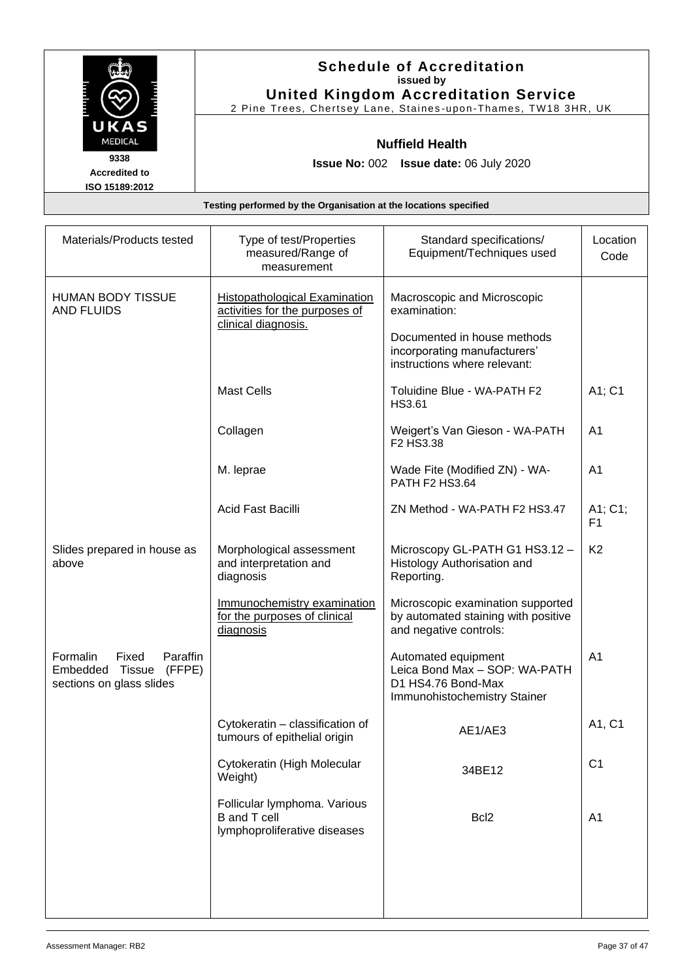|                      | <b>Schedule of Accreditation</b><br>issued by                  |
|----------------------|----------------------------------------------------------------|
|                      | <b>United Kingdom Accreditation Service</b>                    |
|                      | 2 Pine Trees, Chertsey Lane, Staines-upon-Thames, TW18 3HR, UK |
| UKAS                 |                                                                |
| <b>MEDICAL</b>       | <b>Nuffield Health</b>                                         |
| 9338                 | <b>Issue No: 002 Issue date: 06 July 2020</b>                  |
| <b>Accredited to</b> |                                                                |
| ISO 15189:2012       |                                                                |

| Materials/Products tested                                                                        | Type of test/Properties<br>measured/Range of<br>measurement                                   | Standard specifications/<br>Equipment/Techniques used                                                      | Location<br>Code          |
|--------------------------------------------------------------------------------------------------|-----------------------------------------------------------------------------------------------|------------------------------------------------------------------------------------------------------------|---------------------------|
| <b>HUMAN BODY TISSUE</b><br><b>AND FLUIDS</b>                                                    | <b>Histopathological Examination</b><br>activities for the purposes of<br>clinical diagnosis. | Macroscopic and Microscopic<br>examination:<br>Documented in house methods<br>incorporating manufacturers' |                           |
|                                                                                                  | <b>Mast Cells</b>                                                                             | instructions where relevant:<br>Toluidine Blue - WA-PATH F2                                                | A1; C1                    |
|                                                                                                  | Collagen                                                                                      | HS3.61<br>Weigert's Van Gieson - WA-PATH                                                                   | A <sub>1</sub>            |
|                                                                                                  |                                                                                               | F2 HS3.38                                                                                                  |                           |
|                                                                                                  | M. leprae                                                                                     | Wade Fite (Modified ZN) - WA-<br>PATH F2 HS3.64                                                            | A <sub>1</sub>            |
|                                                                                                  | Acid Fast Bacilli                                                                             | ZN Method - WA-PATH F2 HS3.47                                                                              | A1; C1;<br>F <sub>1</sub> |
| Slides prepared in house as<br>above                                                             | Morphological assessment<br>and interpretation and<br>diagnosis                               | Microscopy GL-PATH G1 HS3.12-<br>Histology Authorisation and<br>Reporting.                                 | K <sub>2</sub>            |
|                                                                                                  | Immunochemistry examination<br>for the purposes of clinical<br>diagnosis                      | Microscopic examination supported<br>by automated staining with positive<br>and negative controls:         |                           |
| Paraffin<br>Formalin<br>Fixed<br><b>Tissue</b><br>Embedded<br>(FFPE)<br>sections on glass slides |                                                                                               | Automated equipment<br>Leica Bond Max - SOP: WA-PATH<br>D1 HS4.76 Bond-Max<br>Immunohistochemistry Stainer | A <sub>1</sub>            |
|                                                                                                  | Cytokeratin - classification of<br>tumours of epithelial origin                               | AE1/AE3                                                                                                    | A1, C1                    |
|                                                                                                  | Cytokeratin (High Molecular<br>Weight)                                                        | 34BE12                                                                                                     | C <sub>1</sub>            |
|                                                                                                  | Follicular lymphoma. Various<br><b>B</b> and T cell<br>lymphoproliferative diseases           | Bcl <sub>2</sub>                                                                                           | A <sub>1</sub>            |
|                                                                                                  |                                                                                               |                                                                                                            |                           |
|                                                                                                  |                                                                                               |                                                                                                            |                           |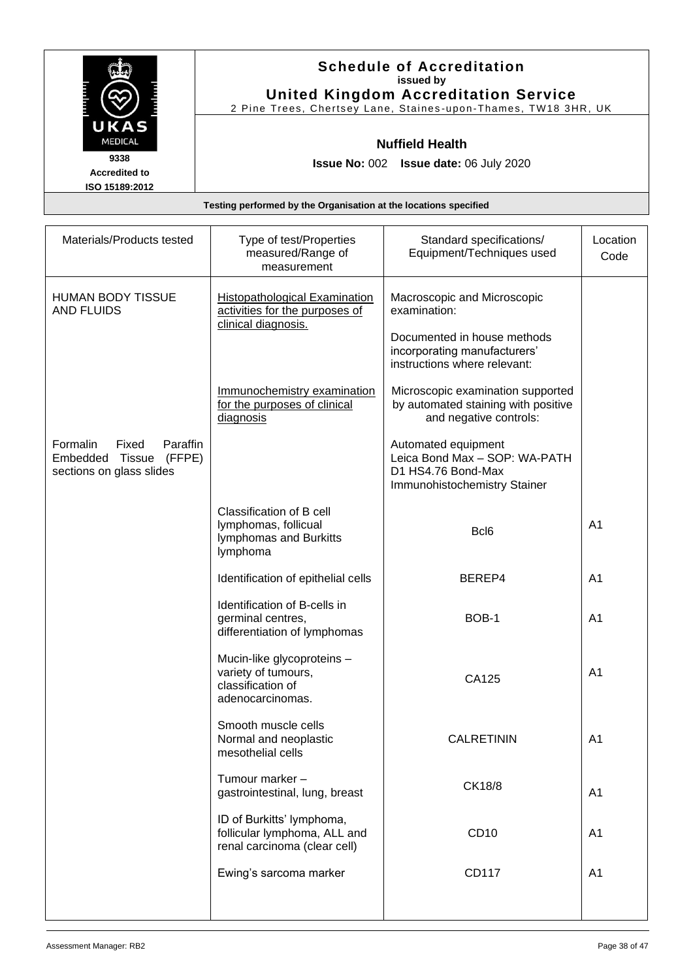|                                                | <b>Schedule of Accreditation</b><br>issued by<br><b>United Kingdom Accreditation Service</b> |
|------------------------------------------------|----------------------------------------------------------------------------------------------|
|                                                | 2 Pine Trees, Chertsey Lane, Staines-upon-Thames, TW18 3HR, UK                               |
| UKAS<br><b>MEDICAL</b>                         | <b>Nuffield Health</b>                                                                       |
| 9338<br><b>Accredited to</b><br>ISO 15189:2012 | <b>Issue No: 002 Issue date: 06 July 2020</b>                                                |
|                                                | Testing performed by the Organisation at the locations specified                             |

| Materials/Products tested                                                              | Type of test/Properties<br>measured/Range of<br>measurement                                   | Standard specifications/<br>Equipment/Techniques used                                                      | Location<br>Code |
|----------------------------------------------------------------------------------------|-----------------------------------------------------------------------------------------------|------------------------------------------------------------------------------------------------------------|------------------|
| <b>HUMAN BODY TISSUE</b><br><b>AND FLUIDS</b>                                          | <b>Histopathological Examination</b><br>activities for the purposes of<br>clinical diagnosis. | Macroscopic and Microscopic<br>examination:<br>Documented in house methods<br>incorporating manufacturers' |                  |
|                                                                                        | Immunochemistry examination                                                                   | instructions where relevant:<br>Microscopic examination supported                                          |                  |
|                                                                                        | for the purposes of clinical<br>diagnosis                                                     | by automated staining with positive<br>and negative controls:                                              |                  |
| Formalin<br>Fixed<br>Paraffin<br>Embedded Tissue<br>(FFPE)<br>sections on glass slides |                                                                                               | Automated equipment<br>Leica Bond Max - SOP: WA-PATH<br>D1 HS4.76 Bond-Max<br>Immunohistochemistry Stainer |                  |
|                                                                                        | Classification of B cell<br>lymphomas, follicual<br>lymphomas and Burkitts<br>lymphoma        | Bcl <sub>6</sub>                                                                                           | A <sub>1</sub>   |
|                                                                                        | Identification of epithelial cells                                                            | BEREP4                                                                                                     | A <sub>1</sub>   |
|                                                                                        | Identification of B-cells in<br>germinal centres,<br>differentiation of lymphomas             | BOB-1                                                                                                      | A <sub>1</sub>   |
|                                                                                        | Mucin-like glycoproteins -<br>variety of tumours,<br>classification of<br>adenocarcinomas.    | CA125                                                                                                      | A <sub>1</sub>   |
|                                                                                        | Smooth muscle cells<br>Normal and neoplastic<br>mesothelial cells                             | <b>CALRETININ</b>                                                                                          | A <sub>1</sub>   |
|                                                                                        | Tumour marker -<br>gastrointestinal, lung, breast                                             | CK18/8                                                                                                     | A <sub>1</sub>   |
|                                                                                        | ID of Burkitts' lymphoma,<br>follicular lymphoma, ALL and<br>renal carcinoma (clear cell)     | CD10                                                                                                       | A <sub>1</sub>   |
|                                                                                        | Ewing's sarcoma marker                                                                        | CD117                                                                                                      | A <sub>1</sub>   |
|                                                                                        |                                                                                               |                                                                                                            |                  |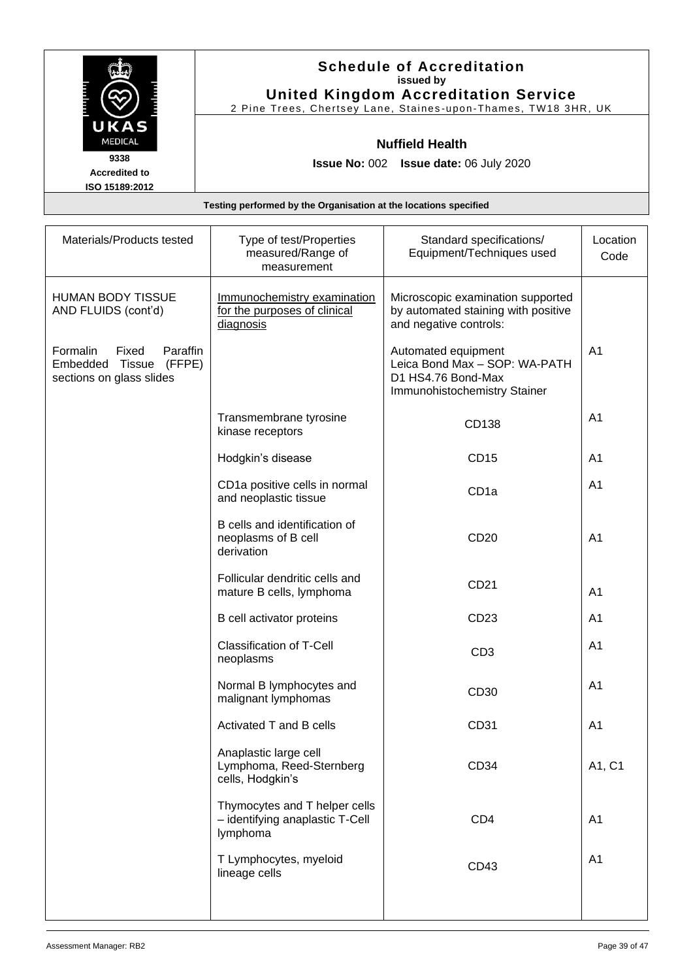|                      | <b>Schedule of Accreditation</b><br>issued by                                                                 |
|----------------------|---------------------------------------------------------------------------------------------------------------|
|                      |                                                                                                               |
|                      | <b>United Kingdom Accreditation Service</b><br>2 Pine Trees, Chertsey Lane, Staines-upon-Thames, TW18 3HR, UK |
|                      |                                                                                                               |
| UKAS                 |                                                                                                               |
| <b>MEDICAL</b>       | <b>Nuffield Health</b>                                                                                        |
| 9338                 | <b>Issue No: 002 Issue date: 06 July 2020</b>                                                                 |
| <b>Accredited to</b> |                                                                                                               |
| ISO 15189:2012       |                                                                                                               |

| Materials/Products tested                                                              | Type of test/Properties<br>measured/Range of<br>measurement                  | Standard specifications/<br>Equipment/Techniques used                                                      | Location<br>Code |
|----------------------------------------------------------------------------------------|------------------------------------------------------------------------------|------------------------------------------------------------------------------------------------------------|------------------|
| <b>HUMAN BODY TISSUE</b><br>AND FLUIDS (cont'd)                                        | Immunochemistry examination<br>for the purposes of clinical<br>diagnosis     | Microscopic examination supported<br>by automated staining with positive<br>and negative controls:         |                  |
| Formalin<br>Paraffin<br>Fixed<br>Embedded Tissue<br>(FFPE)<br>sections on glass slides |                                                                              | Automated equipment<br>Leica Bond Max - SOP: WA-PATH<br>D1 HS4.76 Bond-Max<br>Immunohistochemistry Stainer | A <sub>1</sub>   |
|                                                                                        | Transmembrane tyrosine<br>kinase receptors                                   | CD138                                                                                                      | A <sub>1</sub>   |
|                                                                                        | Hodgkin's disease                                                            | <b>CD15</b>                                                                                                | A1               |
|                                                                                        | CD1a positive cells in normal<br>and neoplastic tissue                       | CD <sub>1a</sub>                                                                                           | A <sub>1</sub>   |
|                                                                                        | B cells and identification of<br>neoplasms of B cell<br>derivation           | CD20                                                                                                       | A <sub>1</sub>   |
|                                                                                        | Follicular dendritic cells and<br>mature B cells, lymphoma                   | CD21                                                                                                       | A <sub>1</sub>   |
|                                                                                        | B cell activator proteins                                                    | CD23                                                                                                       | A <sub>1</sub>   |
|                                                                                        | <b>Classification of T-Cell</b><br>neoplasms                                 | CD <sub>3</sub>                                                                                            | A <sub>1</sub>   |
|                                                                                        | Normal B lymphocytes and<br>malignant lymphomas                              | CD30                                                                                                       | A <sub>1</sub>   |
|                                                                                        | Activated T and B cells                                                      | CD31                                                                                                       | A <sub>1</sub>   |
|                                                                                        | Anaplastic large cell<br>Lymphoma, Reed-Sternberg<br>cells, Hodgkin's        | CD34                                                                                                       | A1, C1           |
|                                                                                        | Thymocytes and T helper cells<br>- identifying anaplastic T-Cell<br>lymphoma | CD <sub>4</sub>                                                                                            | A <sub>1</sub>   |
|                                                                                        | T Lymphocytes, myeloid<br>lineage cells                                      | CD43                                                                                                       | A <sub>1</sub>   |
|                                                                                        |                                                                              |                                                                                                            |                  |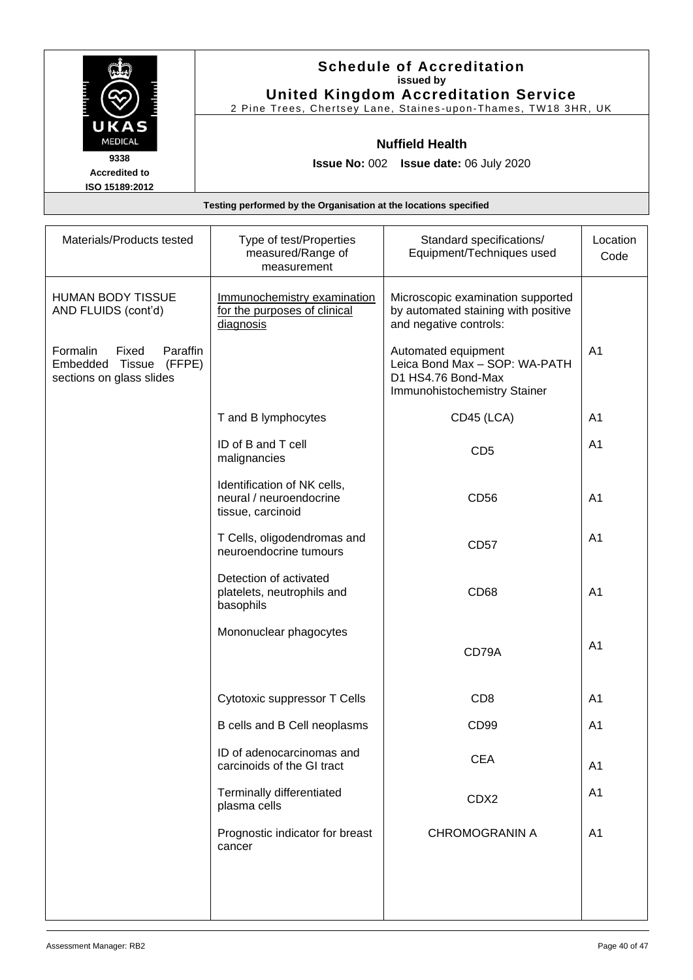|                      | <b>Schedule of Accreditation</b>                               |
|----------------------|----------------------------------------------------------------|
|                      | issued by                                                      |
|                      | <b>United Kingdom Accreditation Service</b>                    |
|                      | 2 Pine Trees, Chertsey Lane, Staines-upon-Thames, TW18 3HR, UK |
| UKAS                 |                                                                |
| <b>MEDICAL</b>       | <b>Nuffield Health</b>                                         |
| 9338                 | Issue No: 002    Issue date: 06 July 2020                      |
| <b>Accredited to</b> |                                                                |
| ISO 15189:2012       |                                                                |

| Materials/Products tested                                                              | Type of test/Properties<br>measured/Range of<br>measurement                 | Standard specifications/<br>Equipment/Techniques used                                                      | Location<br>Code |
|----------------------------------------------------------------------------------------|-----------------------------------------------------------------------------|------------------------------------------------------------------------------------------------------------|------------------|
| <b>HUMAN BODY TISSUE</b><br>AND FLUIDS (cont'd)                                        | Immunochemistry examination<br>for the purposes of clinical<br>diagnosis    | Microscopic examination supported<br>by automated staining with positive<br>and negative controls:         |                  |
| Formalin<br>Fixed<br>Paraffin<br>Embedded Tissue<br>(FFPE)<br>sections on glass slides |                                                                             | Automated equipment<br>Leica Bond Max - SOP: WA-PATH<br>D1 HS4.76 Bond-Max<br>Immunohistochemistry Stainer | A <sub>1</sub>   |
|                                                                                        | T and B lymphocytes                                                         | CD45 (LCA)                                                                                                 | A1               |
|                                                                                        | ID of B and T cell<br>malignancies                                          | CD <sub>5</sub>                                                                                            | A1               |
|                                                                                        | Identification of NK cells,<br>neural / neuroendocrine<br>tissue, carcinoid | CD56                                                                                                       | A <sub>1</sub>   |
|                                                                                        | T Cells, oligodendromas and<br>neuroendocrine tumours                       | <b>CD57</b>                                                                                                | A <sub>1</sub>   |
|                                                                                        | Detection of activated<br>platelets, neutrophils and<br>basophils           | CD68                                                                                                       | A <sub>1</sub>   |
|                                                                                        | Mononuclear phagocytes                                                      | CD79A                                                                                                      | A <sub>1</sub>   |
|                                                                                        | Cytotoxic suppressor T Cells                                                | CD <sub>8</sub>                                                                                            | A <sub>1</sub>   |
|                                                                                        | B cells and B Cell neoplasms                                                | CD <sub>99</sub>                                                                                           | A <sub>1</sub>   |
|                                                                                        | ID of adenocarcinomas and<br>carcinoids of the GI tract                     | <b>CEA</b>                                                                                                 | A <sub>1</sub>   |
|                                                                                        | Terminally differentiated<br>plasma cells                                   | CDX2                                                                                                       | A <sub>1</sub>   |
|                                                                                        | Prognostic indicator for breast<br>cancer                                   | <b>CHROMOGRANIN A</b>                                                                                      | A <sub>1</sub>   |
|                                                                                        |                                                                             |                                                                                                            |                  |
|                                                                                        |                                                                             |                                                                                                            |                  |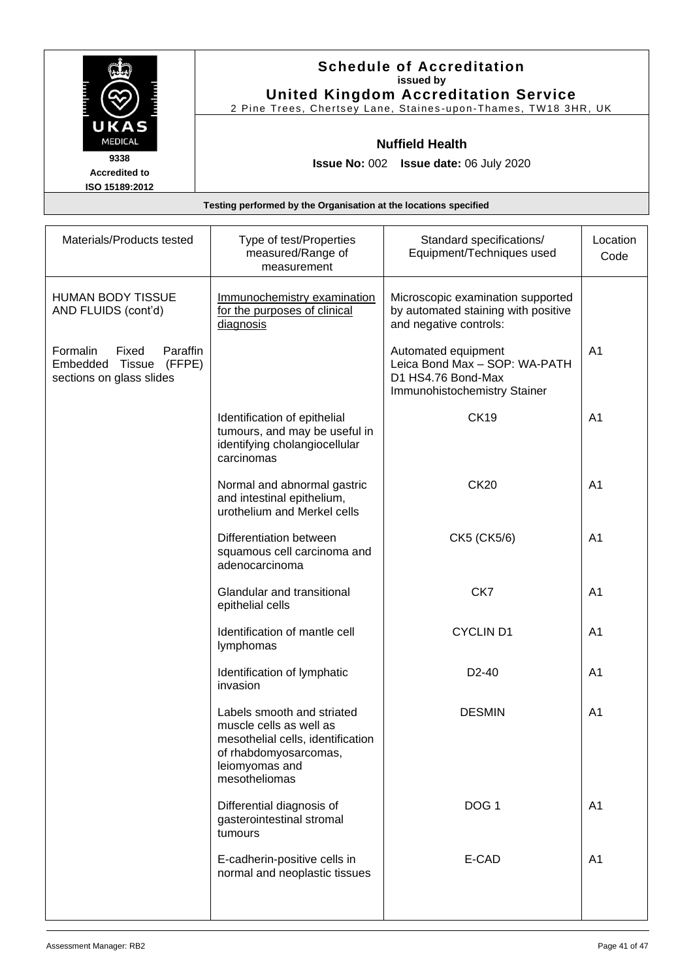|                      | <b>Schedule of Accreditation</b><br>issued by                  |
|----------------------|----------------------------------------------------------------|
|                      | <b>United Kingdom Accreditation Service</b>                    |
|                      | 2 Pine Trees, Chertsey Lane, Staines-upon-Thames, TW18 3HR, UK |
| UKAS                 |                                                                |
| <b>MEDICAL</b>       | <b>Nuffield Health</b>                                         |
| 9338                 | <b>Issue No: 002 Issue date: 06 July 2020</b>                  |
| <b>Accredited to</b> |                                                                |
| ISO 15189:2012       |                                                                |

| Materials/Products tested                                                                 | Type of test/Properties<br>measured/Range of<br>measurement                                                                                            | Standard specifications/<br>Equipment/Techniques used                                                      | Location<br>Code |
|-------------------------------------------------------------------------------------------|--------------------------------------------------------------------------------------------------------------------------------------------------------|------------------------------------------------------------------------------------------------------------|------------------|
| <b>HUMAN BODY TISSUE</b><br>AND FLUIDS (cont'd)                                           | Immunochemistry examination<br>for the purposes of clinical<br>diagnosis                                                                               | Microscopic examination supported<br>by automated staining with positive<br>and negative controls:         |                  |
| Paraffin<br>Formalin<br>Fixed<br>Embedded<br>Tissue<br>(FFPE)<br>sections on glass slides |                                                                                                                                                        | Automated equipment<br>Leica Bond Max - SOP: WA-PATH<br>D1 HS4.76 Bond-Max<br>Immunohistochemistry Stainer | A <sub>1</sub>   |
|                                                                                           | Identification of epithelial<br>tumours, and may be useful in<br>identifying cholangiocellular<br>carcinomas                                           | <b>CK19</b>                                                                                                | A <sub>1</sub>   |
|                                                                                           | Normal and abnormal gastric<br>and intestinal epithelium,<br>urothelium and Merkel cells                                                               | <b>CK20</b>                                                                                                | A <sub>1</sub>   |
|                                                                                           | Differentiation between<br>squamous cell carcinoma and<br>adenocarcinoma                                                                               | CK5 (CK5/6)                                                                                                | A <sub>1</sub>   |
|                                                                                           | Glandular and transitional<br>epithelial cells                                                                                                         | CK7                                                                                                        | A <sub>1</sub>   |
|                                                                                           | Identification of mantle cell<br>lymphomas                                                                                                             | <b>CYCLIND1</b>                                                                                            | A <sub>1</sub>   |
|                                                                                           | Identification of lymphatic<br>invasion                                                                                                                | D <sub>2</sub> -40                                                                                         | A <sub>1</sub>   |
|                                                                                           | Labels smooth and striated<br>muscle cells as well as<br>mesothelial cells, identification<br>of rhabdomyosarcomas,<br>leiomyomas and<br>mesotheliomas | <b>DESMIN</b>                                                                                              | A <sub>1</sub>   |
|                                                                                           | Differential diagnosis of<br>gasterointestinal stromal<br>tumours                                                                                      | DOG <sub>1</sub>                                                                                           | A <sub>1</sub>   |
|                                                                                           | E-cadherin-positive cells in<br>normal and neoplastic tissues                                                                                          | E-CAD                                                                                                      | A <sub>1</sub>   |
|                                                                                           |                                                                                                                                                        |                                                                                                            |                  |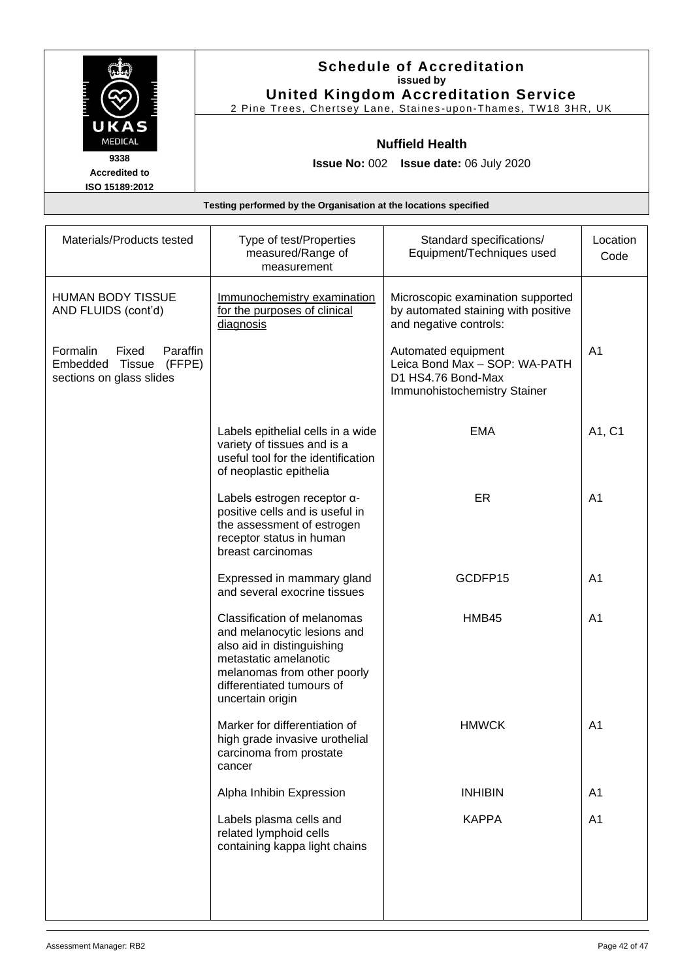|                                                                  | <b>Schedule of Accreditation</b><br>issued by<br><b>United Kingdom Accreditation Service</b> |  |  |
|------------------------------------------------------------------|----------------------------------------------------------------------------------------------|--|--|
|                                                                  | 2 Pine Trees, Chertsey Lane, Staines-upon-Thames, TW18 3HR, UK                               |  |  |
| UKAS                                                             |                                                                                              |  |  |
| <b>MEDICAL</b>                                                   | <b>Nuffield Health</b>                                                                       |  |  |
| 9338                                                             | <b>Issue No: 002 Issue date: 06 July 2020</b>                                                |  |  |
| <b>Accredited to</b>                                             |                                                                                              |  |  |
| ISO 15189:2012                                                   |                                                                                              |  |  |
| Testing performed by the Organisation at the locations specified |                                                                                              |  |  |

| Materials/Products tested                                                           | Type of test/Properties<br>measured/Range of<br>measurement                                                                                                                                       | Standard specifications/<br>Equipment/Techniques used                                                      | Location<br>Code |
|-------------------------------------------------------------------------------------|---------------------------------------------------------------------------------------------------------------------------------------------------------------------------------------------------|------------------------------------------------------------------------------------------------------------|------------------|
| <b>HUMAN BODY TISSUE</b><br>AND FLUIDS (cont'd)                                     | Immunochemistry examination<br>for the purposes of clinical<br>diagnosis                                                                                                                          | Microscopic examination supported<br>by automated staining with positive<br>and negative controls:         |                  |
| Formalin<br>Fixed<br>Paraffin<br>Embedded Tissue (FFPE)<br>sections on glass slides |                                                                                                                                                                                                   | Automated equipment<br>Leica Bond Max - SOP: WA-PATH<br>D1 HS4.76 Bond-Max<br>Immunohistochemistry Stainer | A <sub>1</sub>   |
|                                                                                     | Labels epithelial cells in a wide<br>variety of tissues and is a<br>useful tool for the identification<br>of neoplastic epithelia                                                                 | <b>EMA</b>                                                                                                 | A1, C1           |
|                                                                                     | Labels estrogen receptor a-<br>positive cells and is useful in<br>the assessment of estrogen<br>receptor status in human<br>breast carcinomas                                                     | ER                                                                                                         | A <sub>1</sub>   |
|                                                                                     | Expressed in mammary gland<br>and several exocrine tissues                                                                                                                                        | GCDFP15                                                                                                    | A <sub>1</sub>   |
|                                                                                     | Classification of melanomas<br>and melanocytic lesions and<br>also aid in distinguishing<br>metastatic amelanotic<br>melanomas from other poorly<br>differentiated tumours of<br>uncertain origin | HMB45                                                                                                      | A <sub>1</sub>   |
|                                                                                     | Marker for differentiation of<br>high grade invasive urothelial<br>carcinoma from prostate<br>cancer                                                                                              | <b>HMWCK</b>                                                                                               | A <sub>1</sub>   |
|                                                                                     | Alpha Inhibin Expression                                                                                                                                                                          | <b>INHIBIN</b>                                                                                             | A <sub>1</sub>   |
|                                                                                     | Labels plasma cells and<br>related lymphoid cells<br>containing kappa light chains                                                                                                                | <b>KAPPA</b>                                                                                               | A <sub>1</sub>   |
|                                                                                     |                                                                                                                                                                                                   |                                                                                                            |                  |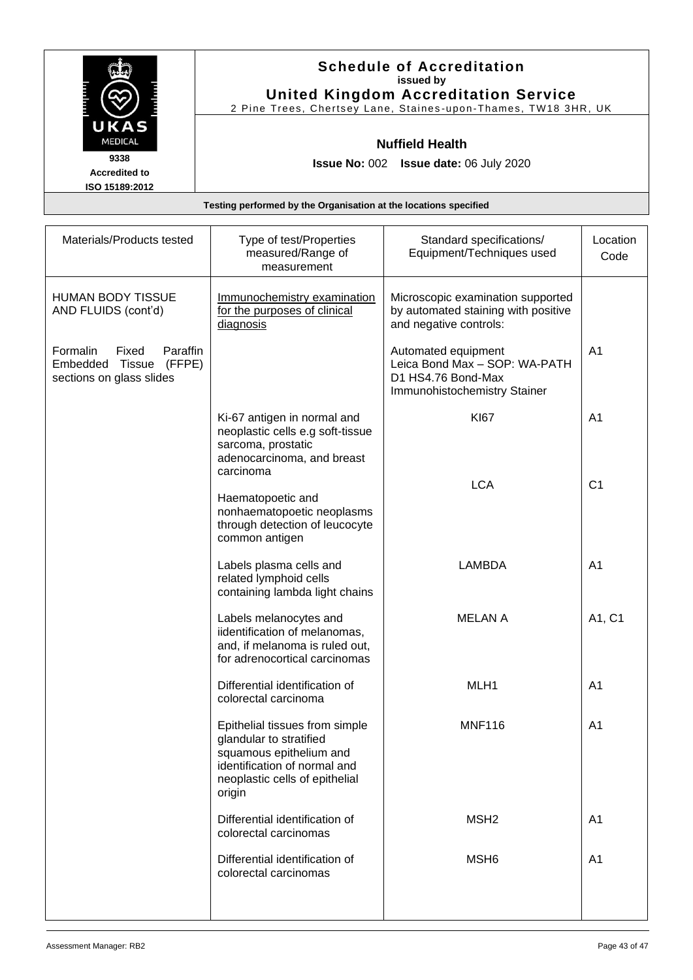|                                                                  | <b>Schedule of Accreditation</b><br>issued by<br><b>United Kingdom Accreditation Service</b><br>2 Pine Trees, Chertsey Lane, Staines-upon-Thames, TW18 3HR, UK |  |
|------------------------------------------------------------------|----------------------------------------------------------------------------------------------------------------------------------------------------------------|--|
| UKAS<br><b>MEDICAL</b>                                           | <b>Nuffield Health</b>                                                                                                                                         |  |
| 9338<br><b>Accredited to</b><br>ISO 15189:2012                   | <b>Issue No: 002 Issue date: 06 July 2020</b>                                                                                                                  |  |
| Testing performed by the Organisation at the locations specified |                                                                                                                                                                |  |

| Materials/Products tested                                                                 | Type of test/Properties                                                                                                                                          | Standard specifications/                                                                                   | Location       |
|-------------------------------------------------------------------------------------------|------------------------------------------------------------------------------------------------------------------------------------------------------------------|------------------------------------------------------------------------------------------------------------|----------------|
|                                                                                           | measured/Range of<br>measurement                                                                                                                                 | Equipment/Techniques used                                                                                  | Code           |
| <b>HUMAN BODY TISSUE</b><br>AND FLUIDS (cont'd)                                           | Immunochemistry examination<br>for the purposes of clinical<br>diagnosis                                                                                         | Microscopic examination supported<br>by automated staining with positive<br>and negative controls:         |                |
| Formalin<br>Fixed<br>Paraffin<br>(FFPE)<br>Tissue<br>Embedded<br>sections on glass slides |                                                                                                                                                                  | Automated equipment<br>Leica Bond Max - SOP: WA-PATH<br>D1 HS4.76 Bond-Max<br>Immunohistochemistry Stainer | A <sub>1</sub> |
|                                                                                           | Ki-67 antigen in normal and<br>neoplastic cells e.g soft-tissue<br>sarcoma, prostatic<br>adenocarcinoma, and breast<br>carcinoma                                 | <b>KI67</b>                                                                                                | A <sub>1</sub> |
|                                                                                           | Haematopoetic and<br>nonhaematopoetic neoplasms<br>through detection of leucocyte<br>common antigen                                                              | <b>LCA</b>                                                                                                 | C <sub>1</sub> |
|                                                                                           | Labels plasma cells and<br>related lymphoid cells<br>containing lambda light chains                                                                              | <b>LAMBDA</b>                                                                                              | A <sub>1</sub> |
|                                                                                           | Labels melanocytes and<br>iidentification of melanomas,<br>and, if melanoma is ruled out,<br>for adrenocortical carcinomas                                       | <b>MELAN A</b>                                                                                             | A1, C1         |
|                                                                                           | Differential identification of<br>colorectal carcinoma                                                                                                           | MLH1                                                                                                       | A1             |
|                                                                                           | Epithelial tissues from simple<br>glandular to stratified<br>squamous epithelium and<br>identification of normal and<br>neoplastic cells of epithelial<br>origin | <b>MNF116</b>                                                                                              | A <sub>1</sub> |
|                                                                                           | Differential identification of<br>colorectal carcinomas                                                                                                          | MSH <sub>2</sub>                                                                                           | A <sub>1</sub> |
|                                                                                           | Differential identification of<br>colorectal carcinomas                                                                                                          | MSH <sub>6</sub>                                                                                           | A <sub>1</sub> |
|                                                                                           |                                                                                                                                                                  |                                                                                                            |                |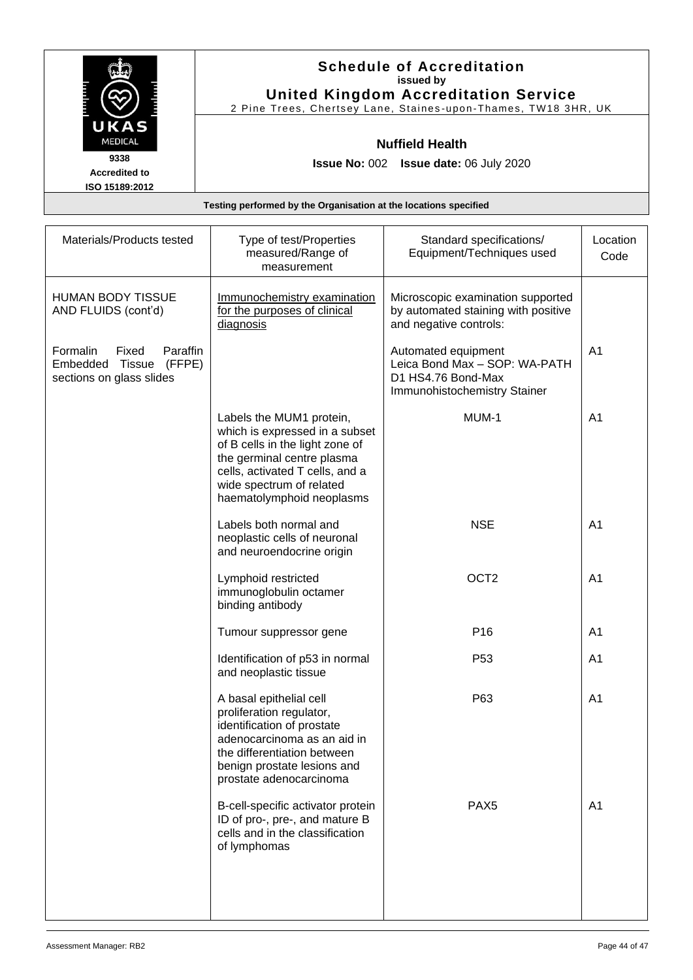|                                                                  | <b>Schedule of Accreditation</b><br>issued by<br><b>United Kingdom Accreditation Service</b><br>2 Pine Trees, Chertsey Lane, Staines-upon-Thames, TW18 3HR, UK |  |
|------------------------------------------------------------------|----------------------------------------------------------------------------------------------------------------------------------------------------------------|--|
| UKAS<br><b>MEDICAL</b>                                           | <b>Nuffield Health</b>                                                                                                                                         |  |
| 9338<br><b>Accredited to</b><br>ISO 15189:2012                   | <b>Issue No: 002 Issue date: 06 July 2020</b>                                                                                                                  |  |
| Testing performed by the Organisation at the locations specified |                                                                                                                                                                |  |

| Materials/Products tested                                                              | Type of test/Properties<br>measured/Range of<br>measurement                                                                                                                                                             | Standard specifications/<br>Equipment/Techniques used                                                      | Location<br>Code |
|----------------------------------------------------------------------------------------|-------------------------------------------------------------------------------------------------------------------------------------------------------------------------------------------------------------------------|------------------------------------------------------------------------------------------------------------|------------------|
| HUMAN BODY TISSUE<br>AND FLUIDS (cont'd)                                               | Immunochemistry examination<br>for the purposes of clinical<br>diagnosis                                                                                                                                                | Microscopic examination supported<br>by automated staining with positive<br>and negative controls:         |                  |
| Paraffin<br>Formalin<br>Fixed<br>Embedded Tissue<br>(FFPE)<br>sections on glass slides |                                                                                                                                                                                                                         | Automated equipment<br>Leica Bond Max - SOP: WA-PATH<br>D1 HS4.76 Bond-Max<br>Immunohistochemistry Stainer | A <sub>1</sub>   |
|                                                                                        | Labels the MUM1 protein,<br>which is expressed in a subset<br>of B cells in the light zone of<br>the germinal centre plasma<br>cells, activated T cells, and a<br>wide spectrum of related<br>haematolymphoid neoplasms | MUM-1                                                                                                      | A <sub>1</sub>   |
|                                                                                        | Labels both normal and<br>neoplastic cells of neuronal<br>and neuroendocrine origin                                                                                                                                     | <b>NSE</b>                                                                                                 | A <sub>1</sub>   |
|                                                                                        | Lymphoid restricted<br>immunoglobulin octamer<br>binding antibody                                                                                                                                                       | OCT <sub>2</sub>                                                                                           | A <sub>1</sub>   |
|                                                                                        | Tumour suppressor gene                                                                                                                                                                                                  | P16                                                                                                        | A <sub>1</sub>   |
|                                                                                        | Identification of p53 in normal<br>and neoplastic tissue                                                                                                                                                                | P <sub>53</sub>                                                                                            | A <sub>1</sub>   |
|                                                                                        | A basal epithelial cell<br>proliferation regulator,<br>identification of prostate<br>adenocarcinoma as an aid in<br>the differentiation between<br>benign prostate lesions and<br>prostate adenocarcinoma               | P63                                                                                                        | A <sub>1</sub>   |
|                                                                                        | B-cell-specific activator protein<br>ID of pro-, pre-, and mature B<br>cells and in the classification<br>of lymphomas                                                                                                  | PAX <sub>5</sub>                                                                                           | A <sub>1</sub>   |
|                                                                                        |                                                                                                                                                                                                                         |                                                                                                            |                  |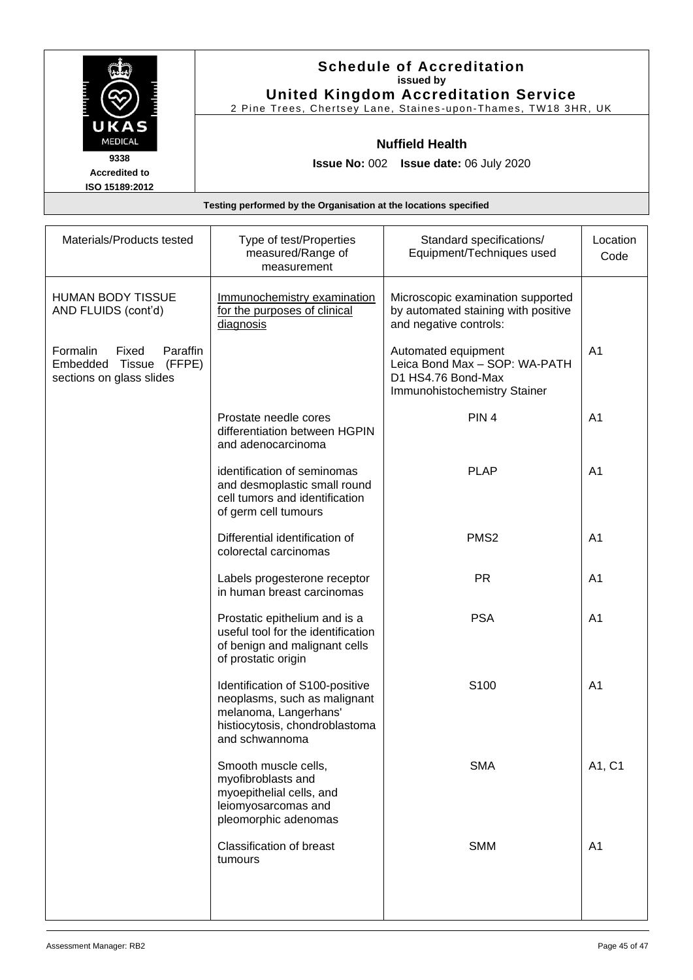|                              | <b>Schedule of Accreditation</b><br>issued by<br><b>United Kingdom Accreditation Service</b> |
|------------------------------|----------------------------------------------------------------------------------------------|
|                              | 2 Pine Trees, Chertsey Lane, Staines-upon-Thames, TW18 3HR, UK                               |
| UKAS<br><b>MEDICAL</b>       | <b>Nuffield Health</b>                                                                       |
| 9338<br><b>Accredited to</b> | <b>Issue No: 002 Issue date: 06 July 2020</b>                                                |
| ISO 15189:2012               | Testing performed by the Organisation at the locations specified                             |

| Materials/Products tested                                                                 | Type of test/Properties<br>measured/Range of<br>measurement                                                                                  | Standard specifications/<br>Equipment/Techniques used                                                      | Location<br>Code |
|-------------------------------------------------------------------------------------------|----------------------------------------------------------------------------------------------------------------------------------------------|------------------------------------------------------------------------------------------------------------|------------------|
| <b>HUMAN BODY TISSUE</b><br>AND FLUIDS (cont'd)                                           | Immunochemistry examination<br>for the purposes of clinical<br>diagnosis                                                                     | Microscopic examination supported<br>by automated staining with positive<br>and negative controls:         |                  |
| Formalin<br>Fixed<br>Paraffin<br>(FFPE)<br>Embedded<br>Tissue<br>sections on glass slides |                                                                                                                                              | Automated equipment<br>Leica Bond Max - SOP: WA-PATH<br>D1 HS4.76 Bond-Max<br>Immunohistochemistry Stainer | A <sub>1</sub>   |
|                                                                                           | Prostate needle cores<br>differentiation between HGPIN<br>and adenocarcinoma                                                                 | PIN <sub>4</sub>                                                                                           | A <sub>1</sub>   |
|                                                                                           | identification of seminomas<br>and desmoplastic small round<br>cell tumors and identification<br>of germ cell tumours                        | <b>PLAP</b>                                                                                                | A <sub>1</sub>   |
|                                                                                           | Differential identification of<br>colorectal carcinomas                                                                                      | PMS <sub>2</sub>                                                                                           | A <sub>1</sub>   |
|                                                                                           | Labels progesterone receptor<br>in human breast carcinomas                                                                                   | <b>PR</b>                                                                                                  | A <sub>1</sub>   |
|                                                                                           | Prostatic epithelium and is a<br>useful tool for the identification<br>of benign and malignant cells<br>of prostatic origin                  | <b>PSA</b>                                                                                                 | A <sub>1</sub>   |
|                                                                                           | Identification of S100-positive<br>neoplasms, such as malignant<br>melanoma, Langerhans'<br>histiocytosis, chondroblastoma<br>and schwannoma | S100                                                                                                       | A <sub>1</sub>   |
|                                                                                           | Smooth muscle cells,<br>myofibroblasts and<br>myoepithelial cells, and<br>leiomyosarcomas and<br>pleomorphic adenomas                        | <b>SMA</b>                                                                                                 | A1, C1           |
|                                                                                           | <b>Classification of breast</b><br>tumours                                                                                                   | <b>SMM</b>                                                                                                 | A <sub>1</sub>   |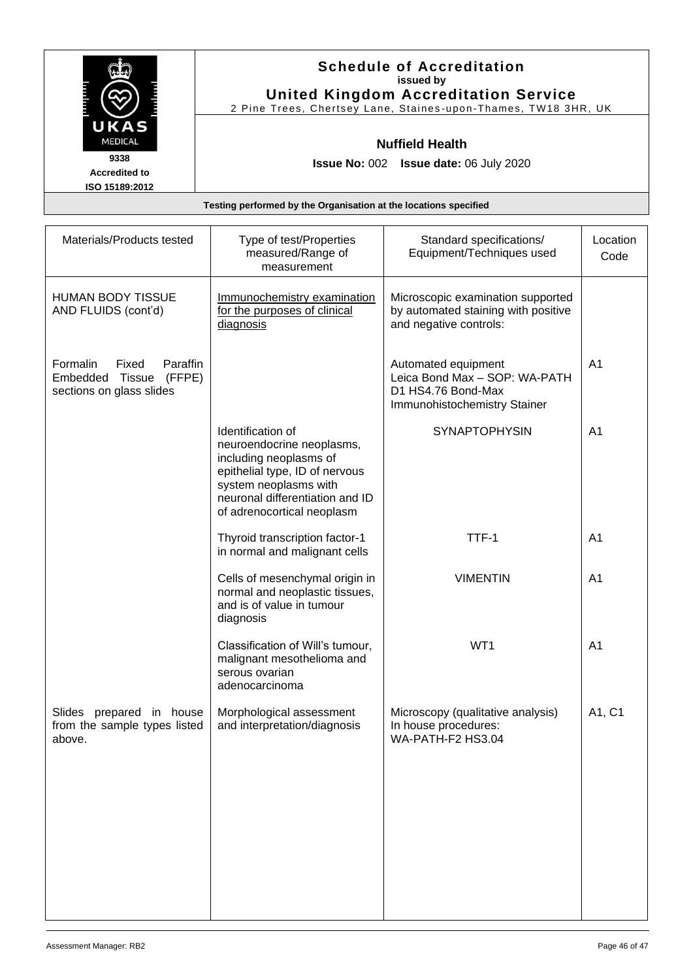|                                                                  | <b>Schedule of Accreditation</b><br>issued by<br><b>United Kingdom Accreditation Service</b><br>2 Pine Trees, Chertsey Lane, Staines-upon-Thames, TW18 3HR, UK |  |
|------------------------------------------------------------------|----------------------------------------------------------------------------------------------------------------------------------------------------------------|--|
| UKAS<br><b>MEDICAL</b>                                           | <b>Nuffield Health</b>                                                                                                                                         |  |
| 9338<br><b>Accredited to</b><br>ISO 15189:2012                   | <b>Issue No: 002 Issue date: 06 July 2020</b>                                                                                                                  |  |
| Testing performed by the Organisation at the locations specified |                                                                                                                                                                |  |

| Materials/Products tested                                                              | Type of test/Properties<br>measured/Range of<br>measurement                                                                                                                                          | Standard specifications/<br>Equipment/Techniques used                                                      | Location<br>Code |
|----------------------------------------------------------------------------------------|------------------------------------------------------------------------------------------------------------------------------------------------------------------------------------------------------|------------------------------------------------------------------------------------------------------------|------------------|
| <b>HUMAN BODY TISSUE</b><br>AND FLUIDS (cont'd)                                        | Immunochemistry examination<br>for the purposes of clinical<br>diagnosis                                                                                                                             | Microscopic examination supported<br>by automated staining with positive<br>and negative controls:         |                  |
| Formalin<br>Fixed<br>Paraffin<br>Embedded Tissue<br>(FFPE)<br>sections on glass slides |                                                                                                                                                                                                      | Automated equipment<br>Leica Bond Max - SOP: WA-PATH<br>D1 HS4.76 Bond-Max<br>Immunohistochemistry Stainer | A <sub>1</sub>   |
|                                                                                        | Identification of<br>neuroendocrine neoplasms,<br>including neoplasms of<br>epithelial type, ID of nervous<br>system neoplasms with<br>neuronal differentiation and ID<br>of adrenocortical neoplasm | <b>SYNAPTOPHYSIN</b>                                                                                       | A <sub>1</sub>   |
|                                                                                        | Thyroid transcription factor-1<br>in normal and malignant cells                                                                                                                                      | TTF-1                                                                                                      | A <sub>1</sub>   |
|                                                                                        | Cells of mesenchymal origin in<br>normal and neoplastic tissues,<br>and is of value in tumour<br>diagnosis                                                                                           | <b>VIMENTIN</b>                                                                                            | A <sub>1</sub>   |
|                                                                                        | Classification of Will's tumour,<br>malignant mesothelioma and<br>serous ovarian<br>adenocarcinoma                                                                                                   | WT1                                                                                                        | A <sub>1</sub>   |
| Slides prepared in house<br>from the sample types listed<br>above.                     | Morphological assessment<br>and interpretation/diagnosis                                                                                                                                             | Microscopy (qualitative analysis)<br>In house procedures:<br>WA-PATH-F2 HS3.04                             | A1, C1           |
|                                                                                        |                                                                                                                                                                                                      |                                                                                                            |                  |